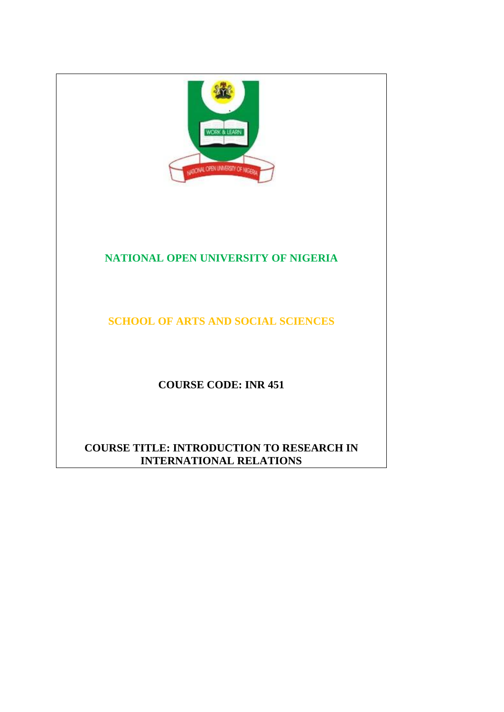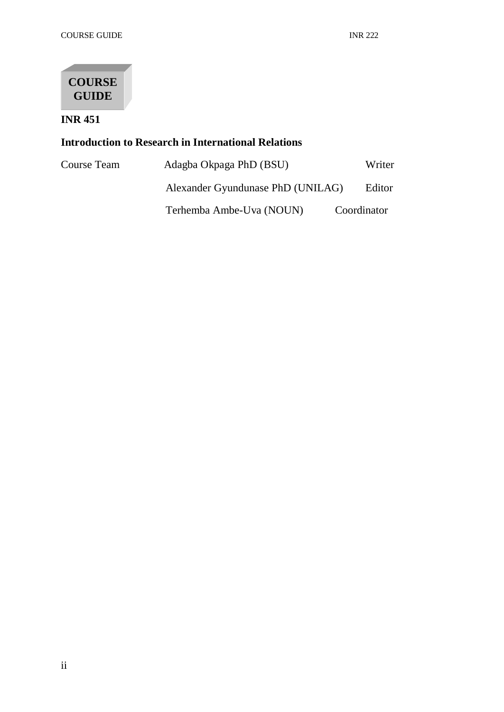

**INR 451**

# **Introduction to Research in International Relations**

| Course Team | Adagba Okpaga PhD (BSU)           | Writer      |
|-------------|-----------------------------------|-------------|
|             | Alexander Gyundunase PhD (UNILAG) | Editor      |
|             | Terhemba Ambe-Uva (NOUN)          | Coordinator |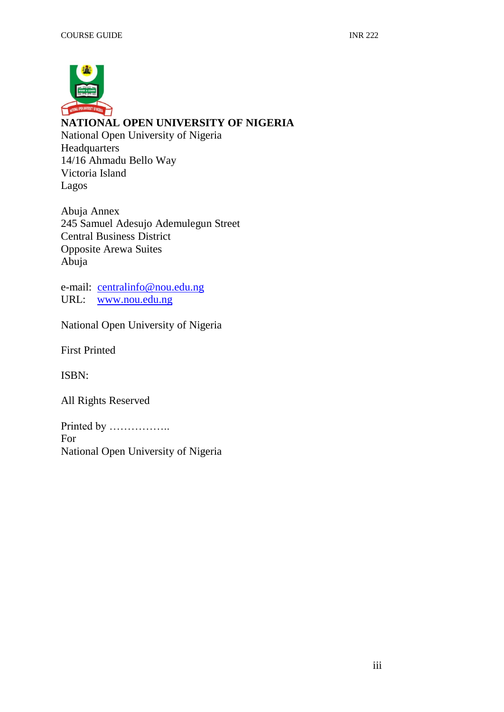

# **NATIONAL OPEN UNIVERSITY OF NIGERIA**

National Open University of Nigeria Headquarters 14/16 Ahmadu Bello Way Victoria Island Lagos

Abuja Annex 245 Samuel Adesujo Ademulegun Street Central Business District Opposite Arewa Suites Abuja

e-mail: [centralinfo@nou.edu.ng](mailto:centralinfo@nou.edu.ng) URL: [www.nou.edu.ng](http://www.nou.edu.ng/)

National Open University of Nigeria

First Printed

ISBN:

All Rights Reserved

Printed by …………….. For National Open University of Nigeria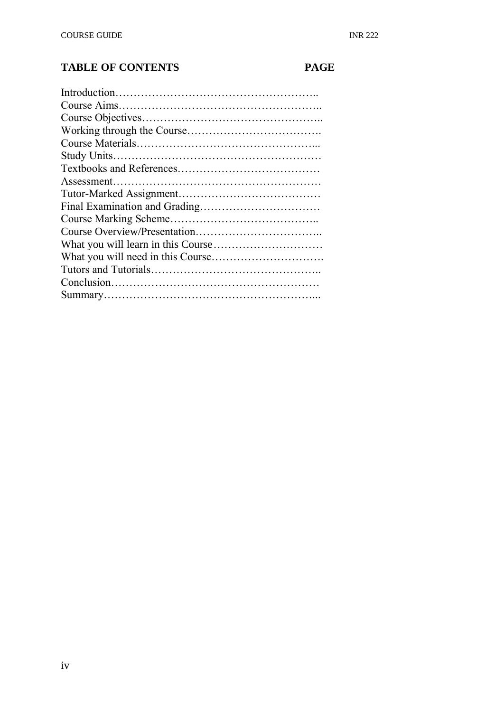# **TABLE OF CONTENTS PAGE**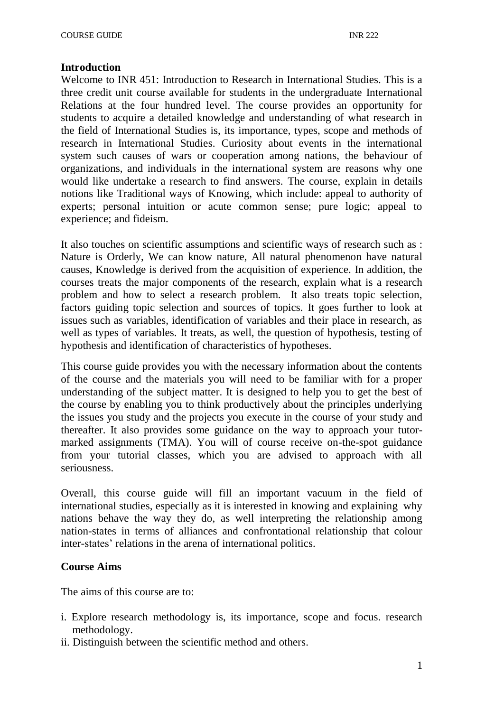# **Introduction**

Welcome to INR 451: Introduction to Research in International Studies. This is a three credit unit course available for students in the undergraduate International Relations at the four hundred level. The course provides an opportunity for students to acquire a detailed knowledge and understanding of what research in the field of International Studies is, its importance, types, scope and methods of research in International Studies. Curiosity about events in the international system such causes of wars or cooperation among nations, the behaviour of organizations, and individuals in the international system are reasons why one would like undertake a research to find answers. The course, explain in details notions like Traditional ways of Knowing, which include: appeal to authority of experts; personal intuition or acute common sense; pure logic; appeal to experience; and fideism.

It also touches on scientific assumptions and scientific ways of research such as : Nature is Orderly, We can know nature, All natural phenomenon have natural causes, Knowledge is derived from the acquisition of experience. In addition, the courses treats the major components of the research, explain what is a research problem and how to select a research problem. It also treats topic selection, factors guiding topic selection and sources of topics. It goes further to look at issues such as variables, identification of variables and their place in research, as well as types of variables. It treats, as well, the question of hypothesis, testing of hypothesis and identification of characteristics of hypotheses.

This course guide provides you with the necessary information about the contents of the course and the materials you will need to be familiar with for a proper understanding of the subject matter. It is designed to help you to get the best of the course by enabling you to think productively about the principles underlying the issues you study and the projects you execute in the course of your study and thereafter. It also provides some guidance on the way to approach your tutormarked assignments (TMA). You will of course receive on-the-spot guidance from your tutorial classes, which you are advised to approach with all seriousness.

Overall, this course guide will fill an important vacuum in the field of international studies, especially as it is interested in knowing and explaining why nations behave the way they do, as well interpreting the relationship among nation-states in terms of alliances and confrontational relationship that colour inter-states' relations in the arena of international politics.

# **Course Aims**

The aims of this course are to:

- i. Explore research methodology is, its importance, scope and focus. research methodology.
- ii. Distinguish between the scientific method and others.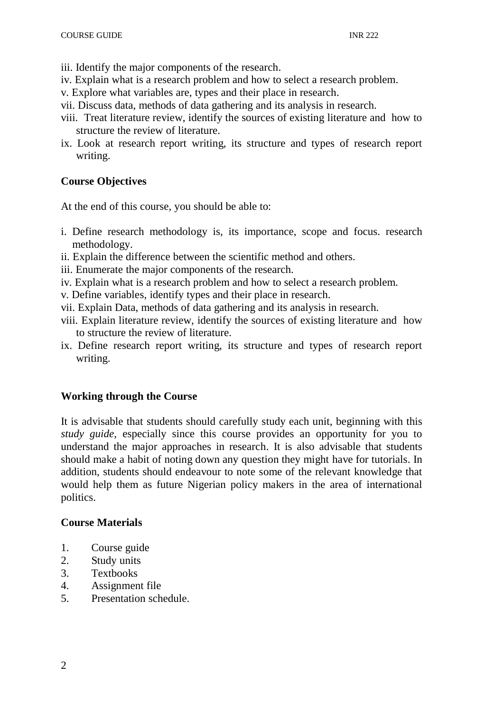- iii. Identify the major components of the research.
- iv. Explain what is a research problem and how to select a research problem.
- v. Explore what variables are, types and their place in research.
- vii. Discuss data, methods of data gathering and its analysis in research.
- viii. Treat literature review, identify the sources of existing literature and how to structure the review of literature.
- ix. Look at research report writing, its structure and types of research report writing.

# **Course Objectives**

At the end of this course, you should be able to:

- i. Define research methodology is, its importance, scope and focus. research methodology.
- ii. Explain the difference between the scientific method and others.
- iii. Enumerate the major components of the research.
- iv. Explain what is a research problem and how to select a research problem.
- v. Define variables, identify types and their place in research.
- vii. Explain Data, methods of data gathering and its analysis in research.
- viii. Explain literature review, identify the sources of existing literature and how to structure the review of literature.
- ix. Define research report writing, its structure and types of research report writing.

# **Working through the Course**

It is advisable that students should carefully study each unit, beginning with this *study guide*, especially since this course provides an opportunity for you to understand the major approaches in research. It is also advisable that students should make a habit of noting down any question they might have for tutorials. In addition, students should endeavour to note some of the relevant knowledge that would help them as future Nigerian policy makers in the area of international politics.

# **Course Materials**

- 1. Course guide
- 2. Study units
- 3. Textbooks
- 4. Assignment file
- 5. Presentation schedule.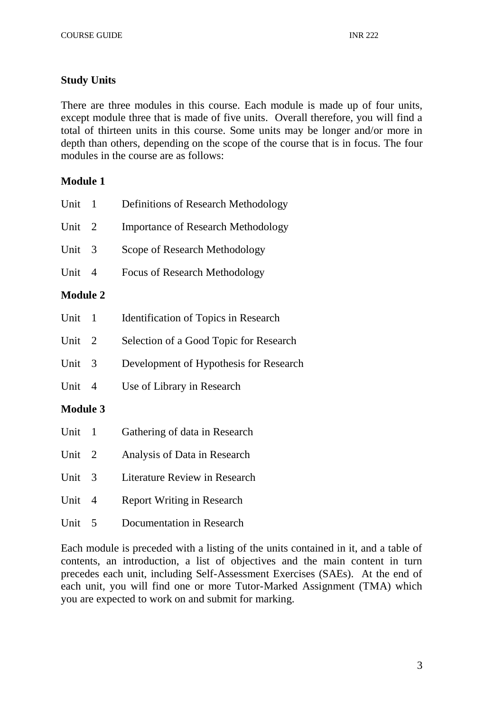# **Study Units**

There are three modules in this course. Each module is made up of four units, except module three that is made of five units. Overall therefore, you will find a total of thirteen units in this course. Some units may be longer and/or more in depth than others, depending on the scope of the course that is in focus. The four modules in the course are as follows:

# **Module 1**

| Unit            | $\mathbf{1}$   | Definitions of Research Methodology       |
|-----------------|----------------|-------------------------------------------|
| Unit            | $\overline{2}$ | <b>Importance of Research Methodology</b> |
| Unit            | 3              | Scope of Research Methodology             |
| Unit            | $\overline{4}$ | <b>Focus of Research Methodology</b>      |
| <b>Module 2</b> |                |                                           |
| Unit            | $\mathbf{1}$   | Identification of Topics in Research      |
| Unit            | $\overline{2}$ | Selection of a Good Topic for Research    |
| Unit            | 3              | Development of Hypothesis for Research    |
| Unit            | $\overline{4}$ | Use of Library in Research                |
| <b>Module 3</b> |                |                                           |
| Unit            | $\mathbf{1}$   | Gathering of data in Research             |
| Unit            | <sup>2</sup>   | Analysis of Data in Research              |
| Unit            | 3              | <b>Literature Review in Research</b>      |
| Unit            | $\overline{4}$ | <b>Report Writing in Research</b>         |
|                 |                |                                           |

Unit 5 Documentation in Research

Each module is preceded with a listing of the units contained in it, and a table of contents, an introduction, a list of objectives and the main content in turn precedes each unit, including Self-Assessment Exercises (SAEs). At the end of each unit, you will find one or more Tutor-Marked Assignment (TMA) which you are expected to work on and submit for marking.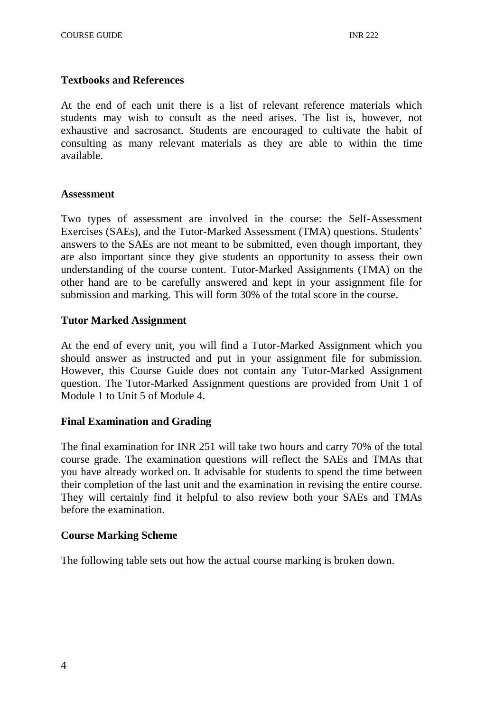# **Textbooks and References**

At the end of each unit there is a list of relevant reference materials which students may wish to consult as the need arises. The list is, however, not exhaustive and sacrosanct. Students are encouraged to cultivate the habit of consulting as many relevant materials as they are able to within the time available.

# **Assessment**

Two types of assessment are involved in the course: the Self-Assessment Exercises (SAEs), and the Tutor-Marked Assessment (TMA) questions. Students' answers to the SAEs are not meant to be submitted, even though important, they are also important since they give students an opportunity to assess their own understanding of the course content. Tutor-Marked Assignments (TMA) on the other hand are to be carefully answered and kept in your assignment file for submission and marking. This will form 30% of the total score in the course.

# **Tutor Marked Assignment**

At the end of every unit, you will find a Tutor-Marked Assignment which you should answer as instructed and put in your assignment file for submission. However, this Course Guide does not contain any Tutor-Marked Assignment question. The Tutor-Marked Assignment questions are provided from Unit 1 of Module 1 to Unit 5 of Module 4.

# **Final Examination and Grading**

The final examination for INR 251 will take two hours and carry 70% of the total course grade. The examination questions will reflect the SAEs and TMAs that you have already worked on. It advisable for students to spend the time between their completion of the last unit and the examination in revising the entire course. They will certainly find it helpful to also review both your SAEs and TMAs before the examination.

# **Course Marking Scheme**

The following table sets out how the actual course marking is broken down.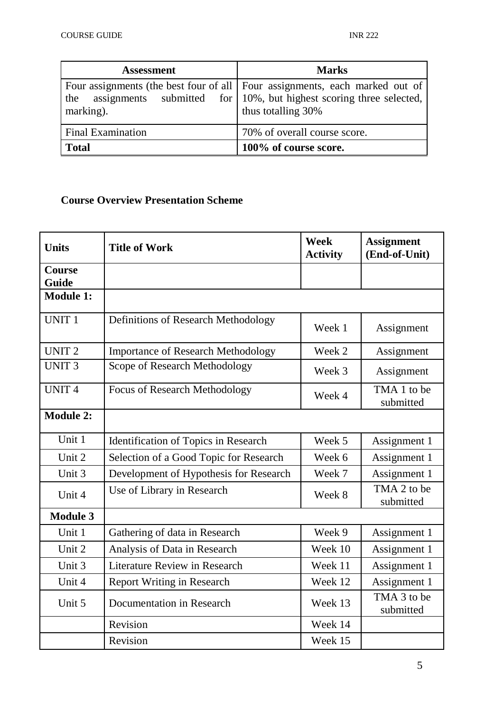| <b>Assessment</b>        | <b>Marks</b>                                                                                                                                                              |
|--------------------------|---------------------------------------------------------------------------------------------------------------------------------------------------------------------------|
| the<br>marking).         | Four assignments (the best four of all   Four assignments, each marked out of<br>assignments submitted for 10%, but highest scoring three selected,<br>thus totalling 30% |
| <b>Final Examination</b> | 70% of overall course score.                                                                                                                                              |
| <b>Total</b>             | 100% of course score.                                                                                                                                                     |

# **Course Overview Presentation Scheme**

| <b>Units</b>           | <b>Title of Work</b>                      | <b>Week</b><br><b>Activity</b> | <b>Assignment</b><br>(End-of-Unit) |
|------------------------|-------------------------------------------|--------------------------------|------------------------------------|
| <b>Course</b><br>Guide |                                           |                                |                                    |
| <b>Module 1:</b>       |                                           |                                |                                    |
| <b>UNIT 1</b>          | Definitions of Research Methodology       | Week 1                         | Assignment                         |
| UNIT <sub>2</sub>      | <b>Importance of Research Methodology</b> | Week 2                         | Assignment                         |
| <b>UNIT3</b>           | Scope of Research Methodology             | Week 3                         | Assignment                         |
| <b>UNIT4</b>           | <b>Focus of Research Methodology</b>      | Week 4                         | TMA 1 to be<br>submitted           |
| <b>Module 2:</b>       |                                           |                                |                                    |
| Unit 1                 | Identification of Topics in Research      | Week 5                         | Assignment 1                       |
| Unit 2                 | Selection of a Good Topic for Research    | Week 6                         | Assignment 1                       |
| Unit 3                 | Development of Hypothesis for Research    | Week 7                         | Assignment 1                       |
| Unit 4                 | Use of Library in Research                | Week 8                         | TMA 2 to be<br>submitted           |
| <b>Module 3</b>        |                                           |                                |                                    |
| Unit 1                 | Gathering of data in Research             | Week 9                         | Assignment 1                       |
| Unit 2                 | Analysis of Data in Research              | Week 10                        | Assignment 1                       |
| Unit 3                 | <b>Literature Review in Research</b>      | Week 11                        | Assignment 1                       |
| Unit 4                 | <b>Report Writing in Research</b>         | Week 12                        | Assignment 1                       |
| Unit 5                 | Documentation in Research                 | Week 13                        | TMA 3 to be<br>submitted           |
|                        | Revision                                  | Week 14                        |                                    |
|                        | Revision                                  | Week 15                        |                                    |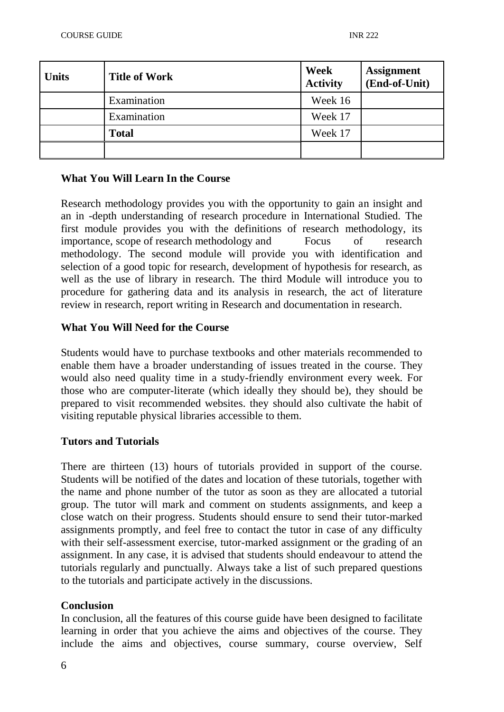| <b>Units</b> | <b>Title of Work</b> | Week<br><b>Activity</b> | <b>Assignment</b><br>(End-of-Unit) |
|--------------|----------------------|-------------------------|------------------------------------|
|              | Examination          | Week 16                 |                                    |
|              | Examination          | Week 17                 |                                    |
|              | <b>Total</b>         | Week 17                 |                                    |
|              |                      |                         |                                    |

# **What You Will Learn In the Course**

Research methodology provides you with the opportunity to gain an insight and an in -depth understanding of research procedure in International Studied. The first module provides you with the definitions of research methodology, its importance, scope of research methodology and Focus of research methodology. The second module will provide you with identification and selection of a good topic for research, development of hypothesis for research, as well as the use of library in research. The third Module will introduce you to procedure for gathering data and its analysis in research, the act of literature review in research, report writing in Research and documentation in research.

# **What You Will Need for the Course**

Students would have to purchase textbooks and other materials recommended to enable them have a broader understanding of issues treated in the course. They would also need quality time in a study-friendly environment every week. For those who are computer-literate (which ideally they should be), they should be prepared to visit recommended websites. they should also cultivate the habit of visiting reputable physical libraries accessible to them.

# **Tutors and Tutorials**

There are thirteen (13) hours of tutorials provided in support of the course. Students will be notified of the dates and location of these tutorials, together with the name and phone number of the tutor as soon as they are allocated a tutorial group. The tutor will mark and comment on students assignments, and keep a close watch on their progress. Students should ensure to send their tutor-marked assignments promptly, and feel free to contact the tutor in case of any difficulty with their self-assessment exercise, tutor-marked assignment or the grading of an assignment. In any case, it is advised that students should endeavour to attend the tutorials regularly and punctually. Always take a list of such prepared questions to the tutorials and participate actively in the discussions.

# **Conclusion**

In conclusion, all the features of this course guide have been designed to facilitate learning in order that you achieve the aims and objectives of the course. They include the aims and objectives, course summary, course overview, Self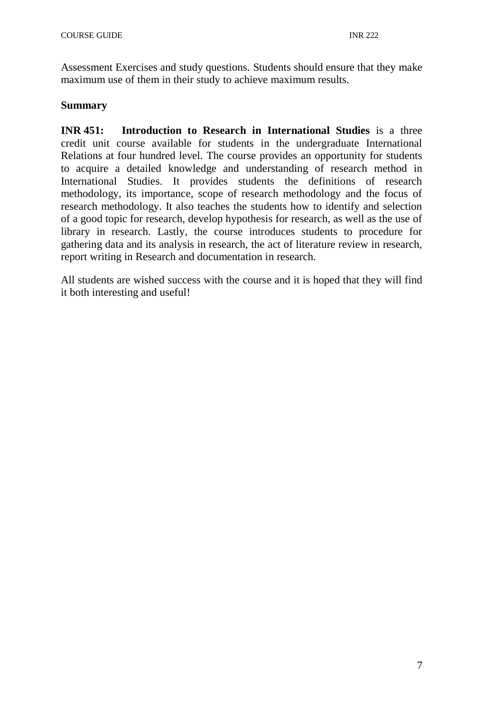Assessment Exercises and study questions. Students should ensure that they make maximum use of them in their study to achieve maximum results.

# **Summary**

**INR 451: Introduction to Research in International Studies** is a three credit unit course available for students in the undergraduate International Relations at four hundred level. The course provides an opportunity for students to acquire a detailed knowledge and understanding of research method in International Studies. It provides students the definitions of research methodology, its importance, scope of research methodology and the focus of research methodology. It also teaches the students how to identify and selection of a good topic for research, develop hypothesis for research, as well as the use of library in research. Lastly, the course introduces students to procedure for gathering data and its analysis in research, the act of literature review in research, report writing in Research and documentation in research.

All students are wished success with the course and it is hoped that they will find it both interesting and useful!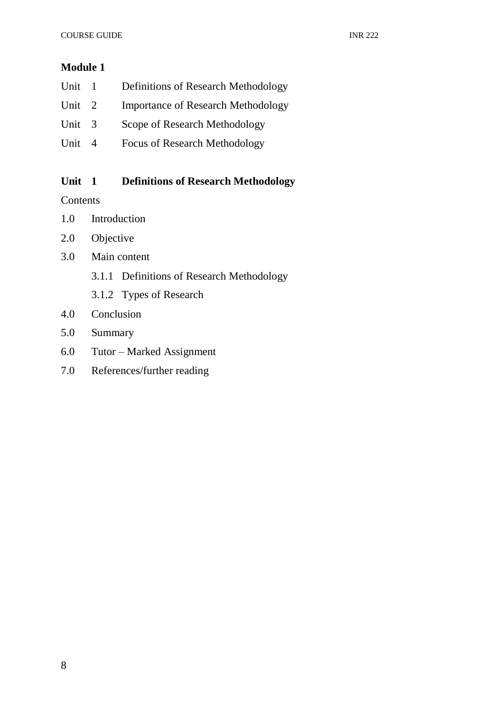# **Module 1**

| Unit 1 | <b>Definitions of Research Methodology</b> |
|--------|--------------------------------------------|
| Unit 2 | <b>Importance of Research Methodology</b>  |
| Unit 3 | Scope of Research Methodology              |
| Unit 4 | <b>Focus of Research Methodology</b>       |

# **Unit 1 Definitions of Research Methodology**

# **Contents**

- 1.0 Introduction
- 2.0 Objective
- 3.0 Main content
	- 3.1.1 Definitions of Research Methodology
	- 3.1.2 Types of Research
- 4.0 Conclusion
- 5.0 Summary
- 6.0 Tutor Marked Assignment
- 7.0 References/further reading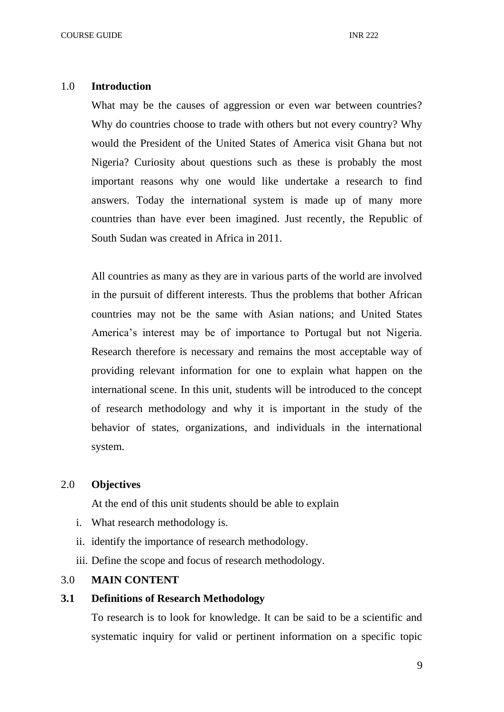#### 1.0 **Introduction**

What may be the causes of aggression or even war between countries? Why do countries choose to trade with others but not every country? Why would the President of the United States of America visit Ghana but not Nigeria? Curiosity about questions such as these is probably the most important reasons why one would like undertake a research to find answers. Today the international system is made up of many more countries than have ever been imagined. Just recently, the Republic of South Sudan was created in Africa in 2011.

All countries as many as they are in various parts of the world are involved in the pursuit of different interests. Thus the problems that bother African countries may not be the same with Asian nations; and United States America's interest may be of importance to Portugal but not Nigeria. Research therefore is necessary and remains the most acceptable way of providing relevant information for one to explain what happen on the international scene. In this unit, students will be introduced to the concept of research methodology and why it is important in the study of the behavior of states, organizations, and individuals in the international system.

## 2.0 **Objectives**

At the end of this unit students should be able to explain

- i. What research methodology is.
- ii. identify the importance of research methodology.
- iii. Define the scope and focus of research methodology.

# 3.0 **MAIN CONTENT**

# **3.1 Definitions of Research Methodology**

To research is to look for knowledge. It can be said to be a scientific and systematic inquiry for valid or pertinent information on a specific topic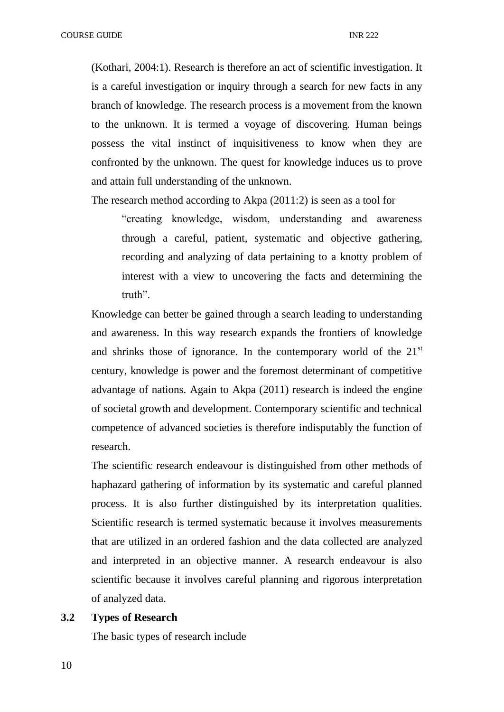(Kothari, 2004:1). Research is therefore an act of scientific investigation. It is a careful investigation or inquiry through a search for new facts in any branch of knowledge. The research process is a movement from the known to the unknown. It is termed a voyage of discovering. Human beings possess the vital instinct of inquisitiveness to know when they are confronted by the unknown. The quest for knowledge induces us to prove and attain full understanding of the unknown.

The research method according to Akpa (2011:2) is seen as a tool for

"creating knowledge, wisdom, understanding and awareness through a careful, patient, systematic and objective gathering, recording and analyzing of data pertaining to a knotty problem of interest with a view to uncovering the facts and determining the truth".

Knowledge can better be gained through a search leading to understanding and awareness. In this way research expands the frontiers of knowledge and shrinks those of ignorance. In the contemporary world of the  $21<sup>st</sup>$ century, knowledge is power and the foremost determinant of competitive advantage of nations. Again to Akpa (2011) research is indeed the engine of societal growth and development. Contemporary scientific and technical competence of advanced societies is therefore indisputably the function of research.

The scientific research endeavour is distinguished from other methods of haphazard gathering of information by its systematic and careful planned process. It is also further distinguished by its interpretation qualities. Scientific research is termed systematic because it involves measurements that are utilized in an ordered fashion and the data collected are analyzed and interpreted in an objective manner. A research endeavour is also scientific because it involves careful planning and rigorous interpretation of analyzed data.

#### **3.2 Types of Research**

The basic types of research include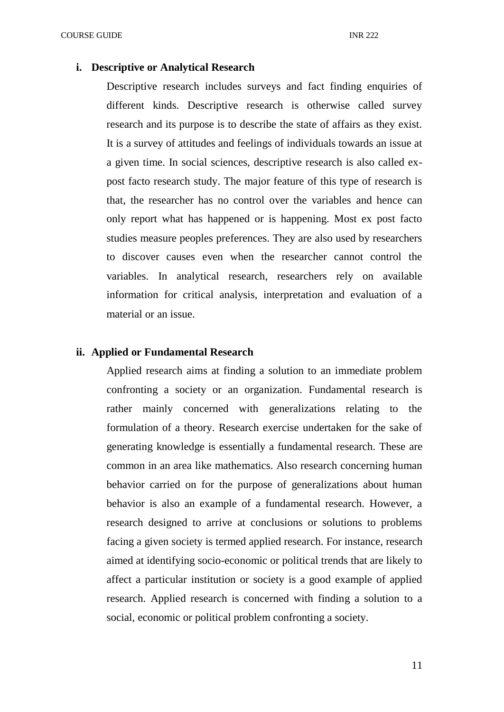#### **i. Descriptive or Analytical Research**

Descriptive research includes surveys and fact finding enquiries of different kinds. Descriptive research is otherwise called survey research and its purpose is to describe the state of affairs as they exist. It is a survey of attitudes and feelings of individuals towards an issue at a given time. In social sciences, descriptive research is also called expost facto research study. The major feature of this type of research is that, the researcher has no control over the variables and hence can only report what has happened or is happening. Most ex post facto studies measure peoples preferences. They are also used by researchers to discover causes even when the researcher cannot control the variables. In analytical research, researchers rely on available information for critical analysis, interpretation and evaluation of a material or an issue.

#### **ii. Applied or Fundamental Research**

Applied research aims at finding a solution to an immediate problem confronting a society or an organization. Fundamental research is rather mainly concerned with generalizations relating to the formulation of a theory. Research exercise undertaken for the sake of generating knowledge is essentially a fundamental research. These are common in an area like mathematics. Also research concerning human behavior carried on for the purpose of generalizations about human behavior is also an example of a fundamental research. However, a research designed to arrive at conclusions or solutions to problems facing a given society is termed applied research. For instance, research aimed at identifying socio-economic or political trends that are likely to affect a particular institution or society is a good example of applied research. Applied research is concerned with finding a solution to a social, economic or political problem confronting a society.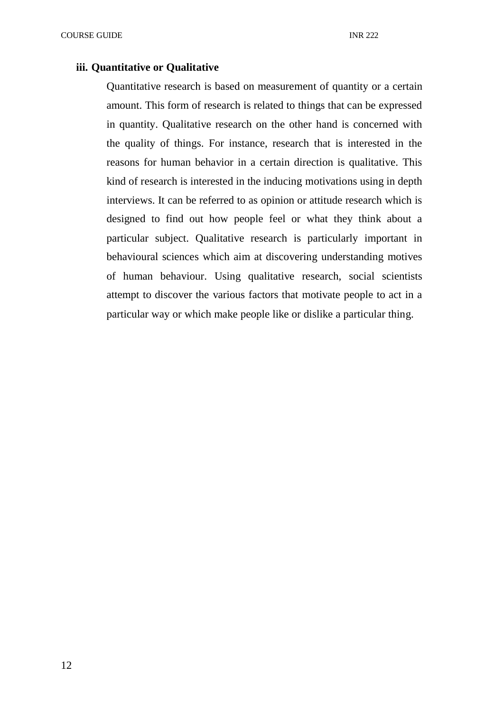#### **iii. Quantitative or Qualitative**

Quantitative research is based on measurement of quantity or a certain amount. This form of research is related to things that can be expressed in quantity. Qualitative research on the other hand is concerned with the quality of things. For instance, research that is interested in the reasons for human behavior in a certain direction is qualitative. This kind of research is interested in the inducing motivations using in depth interviews. It can be referred to as opinion or attitude research which is designed to find out how people feel or what they think about a particular subject. Qualitative research is particularly important in behavioural sciences which aim at discovering understanding motives of human behaviour. Using qualitative research, social scientists attempt to discover the various factors that motivate people to act in a particular way or which make people like or dislike a particular thing.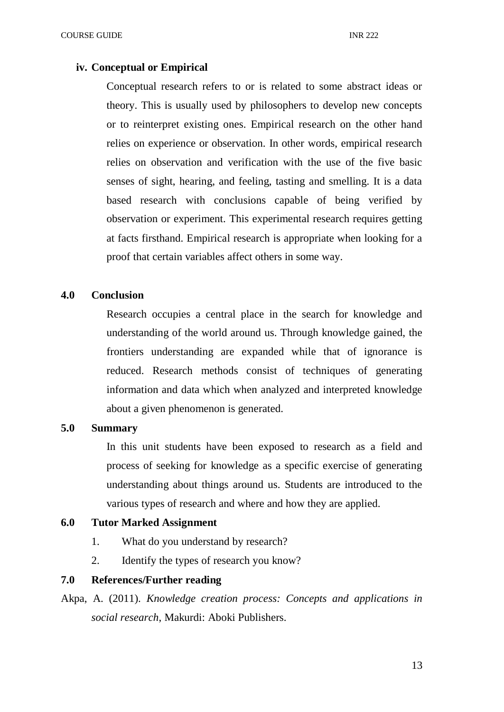#### **iv. Conceptual or Empirical**

Conceptual research refers to or is related to some abstract ideas or theory. This is usually used by philosophers to develop new concepts or to reinterpret existing ones. Empirical research on the other hand relies on experience or observation. In other words, empirical research relies on observation and verification with the use of the five basic senses of sight, hearing, and feeling, tasting and smelling. It is a data based research with conclusions capable of being verified by observation or experiment. This experimental research requires getting at facts firsthand. Empirical research is appropriate when looking for a proof that certain variables affect others in some way.

## **4.0 Conclusion**

Research occupies a central place in the search for knowledge and understanding of the world around us. Through knowledge gained, the frontiers understanding are expanded while that of ignorance is reduced. Research methods consist of techniques of generating information and data which when analyzed and interpreted knowledge about a given phenomenon is generated.

#### **5.0 Summary**

In this unit students have been exposed to research as a field and process of seeking for knowledge as a specific exercise of generating understanding about things around us. Students are introduced to the various types of research and where and how they are applied.

# **6.0 Tutor Marked Assignment**

- 1. What do you understand by research?
- 2. Identify the types of research you know?

# **7.0 References/Further reading**

Akpa, A. (2011). *Knowledge creation process: Concepts and applications in social research*, Makurdi: Aboki Publishers.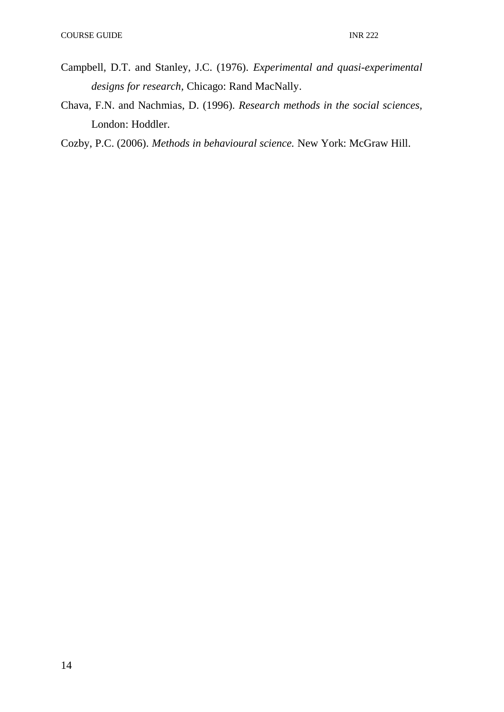- Campbell, D.T. and Stanley, J.C. (1976). *Experimental and quasi-experimental designs for research,* Chicago: Rand MacNally.
- Chava, F.N. and Nachmias, D. (1996). *Research methods in the social sciences,*  London: Hoddler.
- Cozby, P.C. (2006). *Methods in behavioural science.* New York: McGraw Hill.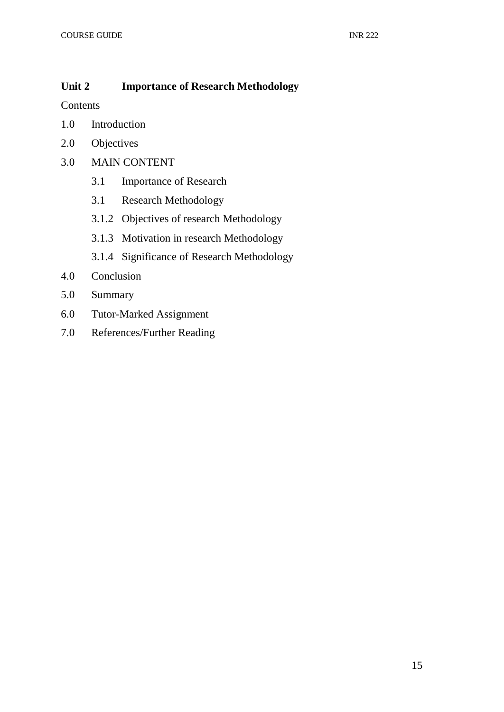# **Unit 2 Importance of Research Methodology**

Contents

- 1.0 Introduction
- 2.0 Objectives
- 3.0 MAIN CONTENT
	- 3.1 Importance of Research
	- 3.1 Research Methodology
	- 3.1.2 Objectives of research Methodology
	- 3.1.3 Motivation in research Methodology
	- 3.1.4 Significance of Research Methodology
- 4.0 Conclusion
- 5.0 Summary
- 6.0 Tutor-Marked Assignment
- 7.0 References/Further Reading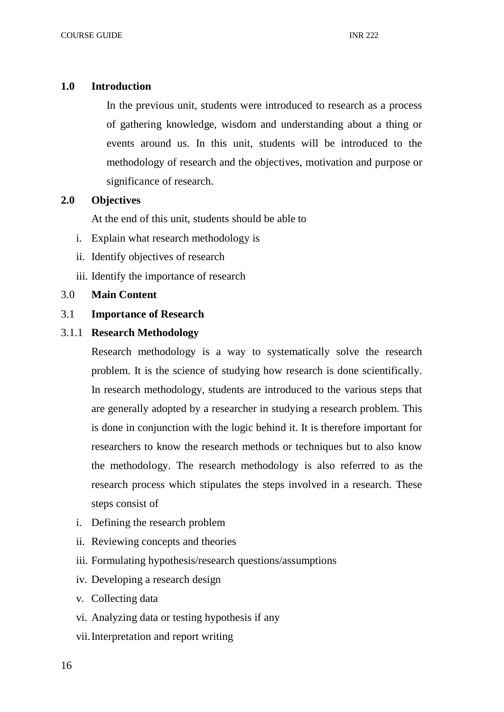# **1.0 Introduction**

In the previous unit, students were introduced to research as a process of gathering knowledge, wisdom and understanding about a thing or events around us. In this unit, students will be introduced to the methodology of research and the objectives, motivation and purpose or significance of research.

# **2.0 Objectives**

At the end of this unit, students should be able to

- i. Explain what research methodology is
- ii. Identify objectives of research
- iii. Identify the importance of research

# 3.0 **Main Content**

# 3.1 **Importance of Research**

# 3.1.1 **Research Methodology**

Research methodology is a way to systematically solve the research problem. It is the science of studying how research is done scientifically. In research methodology, students are introduced to the various steps that are generally adopted by a researcher in studying a research problem. This is done in conjunction with the logic behind it. It is therefore important for researchers to know the research methods or techniques but to also know the methodology. The research methodology is also referred to as the research process which stipulates the steps involved in a research. These steps consist of

- i. Defining the research problem
- ii. Reviewing concepts and theories
- iii. Formulating hypothesis/research questions/assumptions
- iv. Developing a research design
- v. Collecting data
- vi. Analyzing data or testing hypothesis if any
- vii.Interpretation and report writing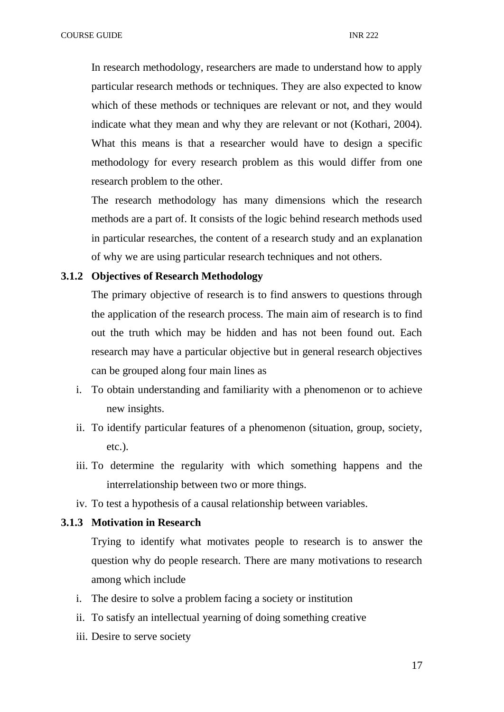In research methodology, researchers are made to understand how to apply particular research methods or techniques. They are also expected to know which of these methods or techniques are relevant or not, and they would indicate what they mean and why they are relevant or not (Kothari, 2004). What this means is that a researcher would have to design a specific methodology for every research problem as this would differ from one research problem to the other.

The research methodology has many dimensions which the research methods are a part of. It consists of the logic behind research methods used in particular researches, the content of a research study and an explanation of why we are using particular research techniques and not others.

#### **3.1.2 Objectives of Research Methodology**

The primary objective of research is to find answers to questions through the application of the research process. The main aim of research is to find out the truth which may be hidden and has not been found out. Each research may have a particular objective but in general research objectives can be grouped along four main lines as

- i. To obtain understanding and familiarity with a phenomenon or to achieve new insights.
- ii. To identify particular features of a phenomenon (situation, group, society, etc.).
- iii. To determine the regularity with which something happens and the interrelationship between two or more things.
- iv. To test a hypothesis of a causal relationship between variables.

# **3.1.3 Motivation in Research**

Trying to identify what motivates people to research is to answer the question why do people research. There are many motivations to research among which include

- i. The desire to solve a problem facing a society or institution
- ii. To satisfy an intellectual yearning of doing something creative
- iii. Desire to serve society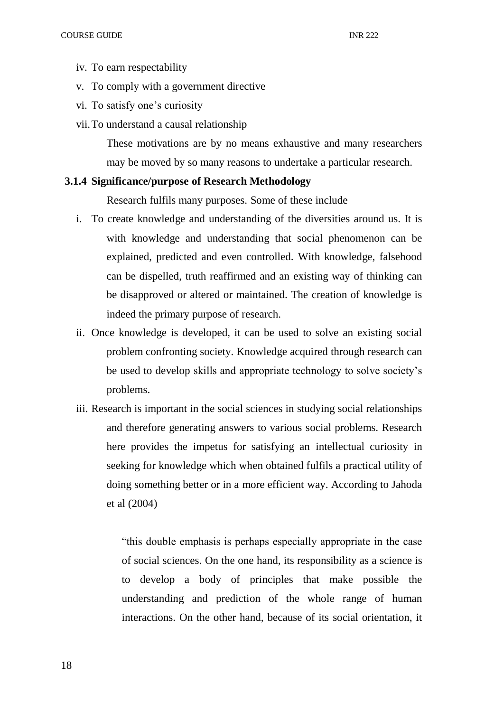- iv. To earn respectability
- v. To comply with a government directive
- vi. To satisfy one's curiosity
- vii.To understand a causal relationship

These motivations are by no means exhaustive and many researchers may be moved by so many reasons to undertake a particular research.

# **3.1.4 Significance/purpose of Research Methodology**

Research fulfils many purposes. Some of these include

- i. To create knowledge and understanding of the diversities around us. It is with knowledge and understanding that social phenomenon can be explained, predicted and even controlled. With knowledge, falsehood can be dispelled, truth reaffirmed and an existing way of thinking can be disapproved or altered or maintained. The creation of knowledge is indeed the primary purpose of research.
- ii. Once knowledge is developed, it can be used to solve an existing social problem confronting society. Knowledge acquired through research can be used to develop skills and appropriate technology to solve society's problems.
- iii. Research is important in the social sciences in studying social relationships and therefore generating answers to various social problems. Research here provides the impetus for satisfying an intellectual curiosity in seeking for knowledge which when obtained fulfils a practical utility of doing something better or in a more efficient way. According to Jahoda et al (2004)

"this double emphasis is perhaps especially appropriate in the case of social sciences. On the one hand, its responsibility as a science is to develop a body of principles that make possible the understanding and prediction of the whole range of human interactions. On the other hand, because of its social orientation, it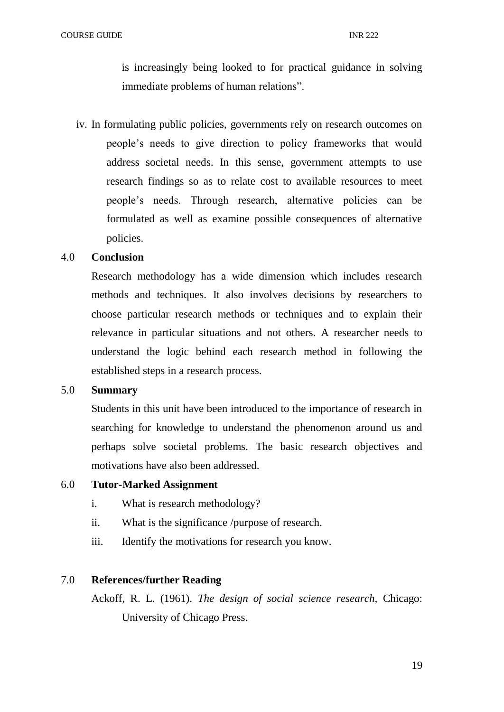is increasingly being looked to for practical guidance in solving immediate problems of human relations".

iv. In formulating public policies, governments rely on research outcomes on people's needs to give direction to policy frameworks that would address societal needs. In this sense, government attempts to use research findings so as to relate cost to available resources to meet people's needs. Through research, alternative policies can be formulated as well as examine possible consequences of alternative policies.

#### 4.0 **Conclusion**

Research methodology has a wide dimension which includes research methods and techniques. It also involves decisions by researchers to choose particular research methods or techniques and to explain their relevance in particular situations and not others. A researcher needs to understand the logic behind each research method in following the established steps in a research process.

#### 5.0 **Summary**

Students in this unit have been introduced to the importance of research in searching for knowledge to understand the phenomenon around us and perhaps solve societal problems. The basic research objectives and motivations have also been addressed.

#### 6.0 **Tutor-Marked Assignment**

- i. What is research methodology?
- ii. What is the significance /purpose of research.
- iii. Identify the motivations for research you know.

#### 7.0 **References/further Reading**

Ackoff, R. L. (1961). *The design of social science research,* Chicago: University of Chicago Press.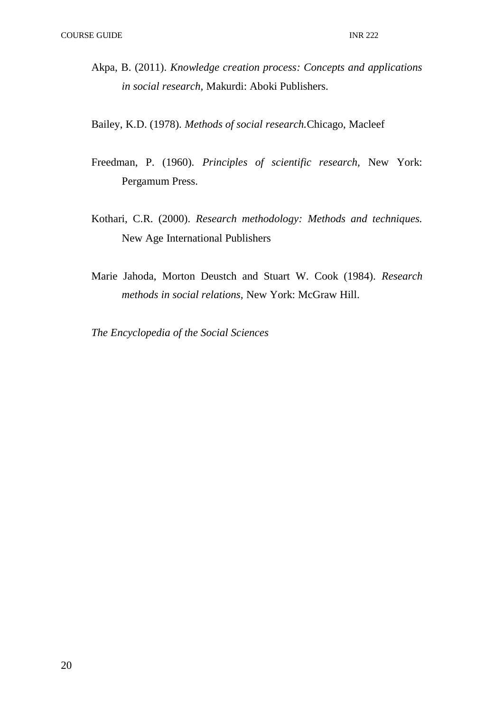- Akpa, B. (2011). *Knowledge creation process: Concepts and applications in social research,* Makurdi: Aboki Publishers.
- Bailey, K.D. (1978). *Methods of social research.*Chicago, Macleef
- Freedman, P. (1960). *Principles of scientific research,* New York: Pergamum Press.
- Kothari, C.R. (2000). *Research methodology: Methods and techniques.*  New Age International Publishers
- Marie Jahoda, Morton Deustch and Stuart W. Cook (1984). *Research methods in social relations,* New York: McGraw Hill.

*The Encyclopedia of the Social Sciences*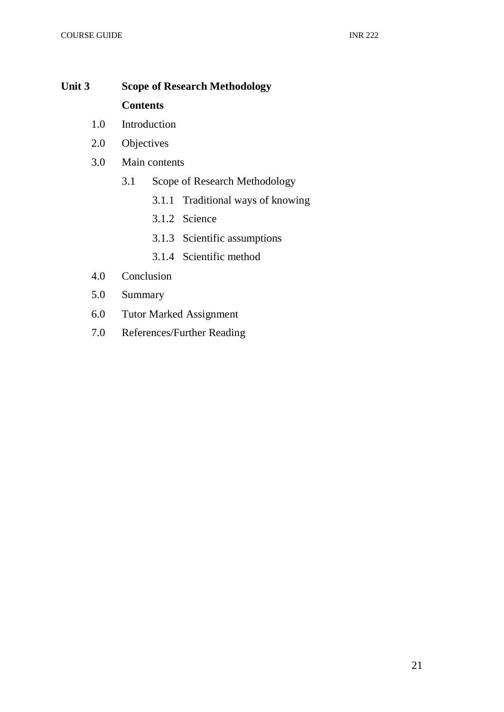# **Unit 3 Scope of Research Methodology Contents**

- 1.0 Introduction
- 2.0 Objectives
- 3.0 Main contents
	- 3.1 Scope of Research Methodology
		- 3.1.1 Traditional ways of knowing
		- 3.1.2 Science
		- 3.1.3 Scientific assumptions
		- 3.1.4 Scientific method
- 4.0 Conclusion
- 5.0 Summary
- 6.0 Tutor Marked Assignment
- 7.0 References/Further Reading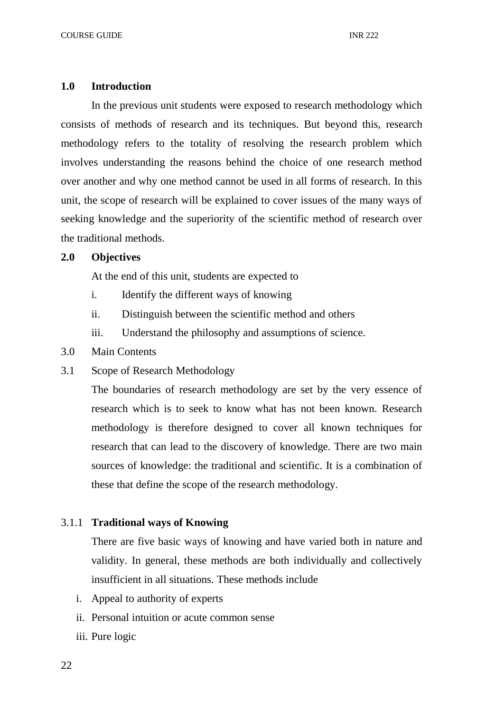#### **1.0 Introduction**

In the previous unit students were exposed to research methodology which consists of methods of research and its techniques. But beyond this, research methodology refers to the totality of resolving the research problem which involves understanding the reasons behind the choice of one research method over another and why one method cannot be used in all forms of research. In this unit, the scope of research will be explained to cover issues of the many ways of seeking knowledge and the superiority of the scientific method of research over the traditional methods.

## **2.0 Objectives**

At the end of this unit, students are expected to

- i. Identify the different ways of knowing
- ii. Distinguish between the scientific method and others
- iii. Understand the philosophy and assumptions of science.
- 3.0 Main Contents
- 3.1 Scope of Research Methodology

The boundaries of research methodology are set by the very essence of research which is to seek to know what has not been known. Research methodology is therefore designed to cover all known techniques for research that can lead to the discovery of knowledge. There are two main sources of knowledge: the traditional and scientific. It is a combination of these that define the scope of the research methodology.

# 3.1.1 **Traditional ways of Knowing**

There are five basic ways of knowing and have varied both in nature and validity. In general, these methods are both individually and collectively insufficient in all situations. These methods include

- i. Appeal to authority of experts
- ii. Personal intuition or acute common sense
- iii. Pure logic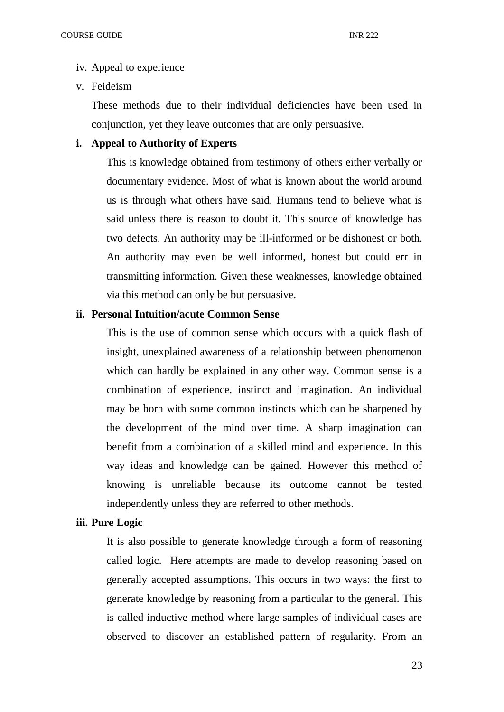#### iv. Appeal to experience

v. Feideism

These methods due to their individual deficiencies have been used in conjunction, yet they leave outcomes that are only persuasive.

# **i. Appeal to Authority of Experts**

This is knowledge obtained from testimony of others either verbally or documentary evidence. Most of what is known about the world around us is through what others have said. Humans tend to believe what is said unless there is reason to doubt it. This source of knowledge has two defects. An authority may be ill-informed or be dishonest or both. An authority may even be well informed, honest but could err in transmitting information. Given these weaknesses, knowledge obtained via this method can only be but persuasive.

# **ii. Personal Intuition/acute Common Sense**

This is the use of common sense which occurs with a quick flash of insight, unexplained awareness of a relationship between phenomenon which can hardly be explained in any other way. Common sense is a combination of experience, instinct and imagination. An individual may be born with some common instincts which can be sharpened by the development of the mind over time. A sharp imagination can benefit from a combination of a skilled mind and experience. In this way ideas and knowledge can be gained. However this method of knowing is unreliable because its outcome cannot be tested independently unless they are referred to other methods.

# **iii. Pure Logic**

It is also possible to generate knowledge through a form of reasoning called logic. Here attempts are made to develop reasoning based on generally accepted assumptions. This occurs in two ways: the first to generate knowledge by reasoning from a particular to the general. This is called inductive method where large samples of individual cases are observed to discover an established pattern of regularity. From an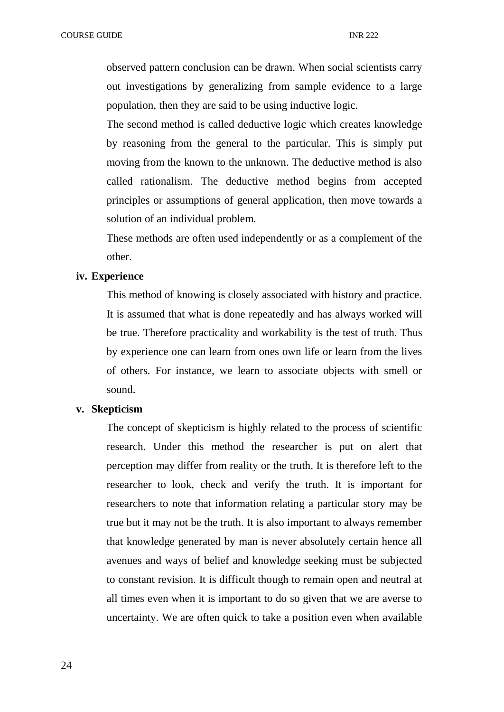observed pattern conclusion can be drawn. When social scientists carry out investigations by generalizing from sample evidence to a large population, then they are said to be using inductive logic.

The second method is called deductive logic which creates knowledge by reasoning from the general to the particular. This is simply put moving from the known to the unknown. The deductive method is also called rationalism. The deductive method begins from accepted principles or assumptions of general application, then move towards a solution of an individual problem.

These methods are often used independently or as a complement of the other.

#### **iv. Experience**

This method of knowing is closely associated with history and practice. It is assumed that what is done repeatedly and has always worked will be true. Therefore practicality and workability is the test of truth. Thus by experience one can learn from ones own life or learn from the lives of others. For instance, we learn to associate objects with smell or sound.

#### **v. Skepticism**

The concept of skepticism is highly related to the process of scientific research. Under this method the researcher is put on alert that perception may differ from reality or the truth. It is therefore left to the researcher to look, check and verify the truth. It is important for researchers to note that information relating a particular story may be true but it may not be the truth. It is also important to always remember that knowledge generated by man is never absolutely certain hence all avenues and ways of belief and knowledge seeking must be subjected to constant revision. It is difficult though to remain open and neutral at all times even when it is important to do so given that we are averse to uncertainty. We are often quick to take a position even when available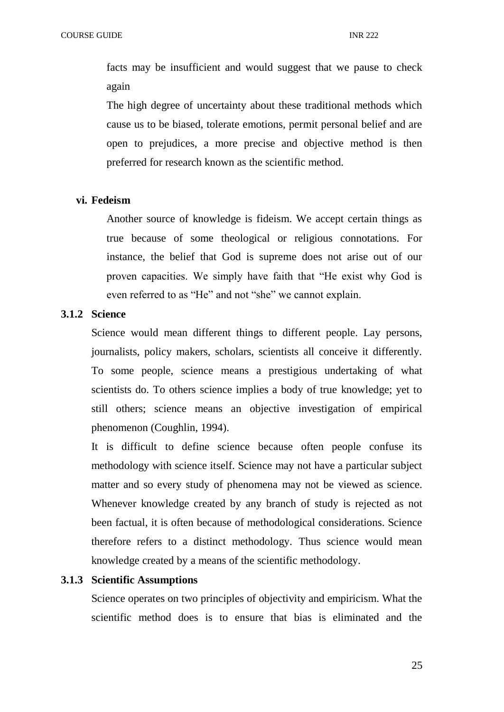facts may be insufficient and would suggest that we pause to check again

The high degree of uncertainty about these traditional methods which cause us to be biased, tolerate emotions, permit personal belief and are open to prejudices, a more precise and objective method is then preferred for research known as the scientific method.

#### **vi. Fedeism**

Another source of knowledge is fideism. We accept certain things as true because of some theological or religious connotations. For instance, the belief that God is supreme does not arise out of our proven capacities. We simply have faith that "He exist why God is even referred to as "He" and not "she" we cannot explain.

# **3.1.2 Science**

Science would mean different things to different people. Lay persons, journalists, policy makers, scholars, scientists all conceive it differently. To some people, science means a prestigious undertaking of what scientists do. To others science implies a body of true knowledge; yet to still others; science means an objective investigation of empirical phenomenon (Coughlin, 1994).

It is difficult to define science because often people confuse its methodology with science itself. Science may not have a particular subject matter and so every study of phenomena may not be viewed as science. Whenever knowledge created by any branch of study is rejected as not been factual, it is often because of methodological considerations. Science therefore refers to a distinct methodology. Thus science would mean knowledge created by a means of the scientific methodology.

# **3.1.3 Scientific Assumptions**

Science operates on two principles of objectivity and empiricism. What the scientific method does is to ensure that bias is eliminated and the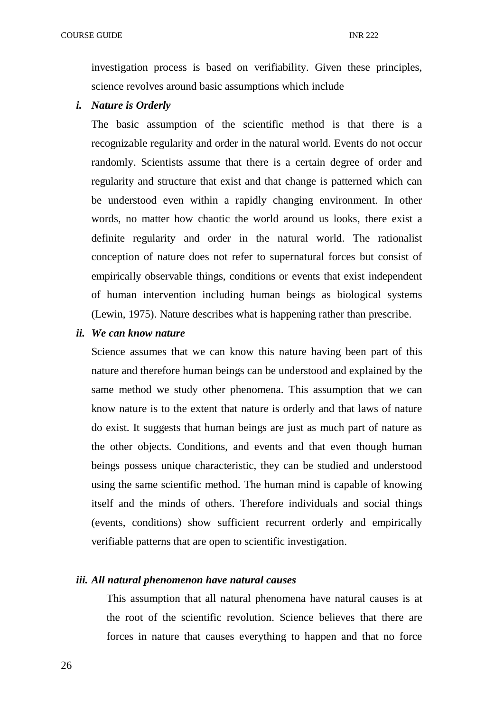investigation process is based on verifiability. Given these principles, science revolves around basic assumptions which include

#### *i. Nature is Orderly*

The basic assumption of the scientific method is that there is a recognizable regularity and order in the natural world. Events do not occur randomly. Scientists assume that there is a certain degree of order and regularity and structure that exist and that change is patterned which can be understood even within a rapidly changing environment. In other words, no matter how chaotic the world around us looks, there exist a definite regularity and order in the natural world. The rationalist conception of nature does not refer to supernatural forces but consist of empirically observable things, conditions or events that exist independent of human intervention including human beings as biological systems (Lewin, 1975). Nature describes what is happening rather than prescribe.

#### *ii. We can know nature*

Science assumes that we can know this nature having been part of this nature and therefore human beings can be understood and explained by the same method we study other phenomena. This assumption that we can know nature is to the extent that nature is orderly and that laws of nature do exist. It suggests that human beings are just as much part of nature as the other objects. Conditions, and events and that even though human beings possess unique characteristic, they can be studied and understood using the same scientific method. The human mind is capable of knowing itself and the minds of others. Therefore individuals and social things (events, conditions) show sufficient recurrent orderly and empirically verifiable patterns that are open to scientific investigation.

# *iii. All natural phenomenon have natural causes*

This assumption that all natural phenomena have natural causes is at the root of the scientific revolution. Science believes that there are forces in nature that causes everything to happen and that no force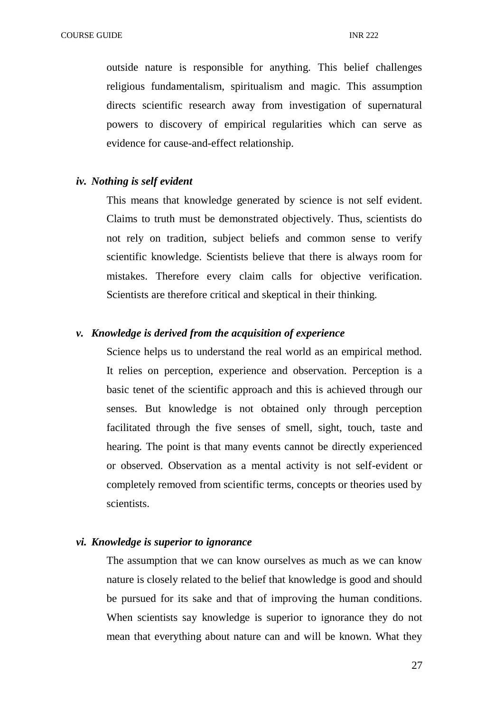outside nature is responsible for anything. This belief challenges religious fundamentalism, spiritualism and magic. This assumption directs scientific research away from investigation of supernatural powers to discovery of empirical regularities which can serve as evidence for cause-and-effect relationship.

## *iv. Nothing is self evident*

This means that knowledge generated by science is not self evident. Claims to truth must be demonstrated objectively. Thus, scientists do not rely on tradition, subject beliefs and common sense to verify scientific knowledge. Scientists believe that there is always room for mistakes. Therefore every claim calls for objective verification. Scientists are therefore critical and skeptical in their thinking.

#### *v. Knowledge is derived from the acquisition of experience*

Science helps us to understand the real world as an empirical method. It relies on perception, experience and observation. Perception is a basic tenet of the scientific approach and this is achieved through our senses. But knowledge is not obtained only through perception facilitated through the five senses of smell, sight, touch, taste and hearing. The point is that many events cannot be directly experienced or observed. Observation as a mental activity is not self-evident or completely removed from scientific terms, concepts or theories used by scientists.

#### *vi. Knowledge is superior to ignorance*

The assumption that we can know ourselves as much as we can know nature is closely related to the belief that knowledge is good and should be pursued for its sake and that of improving the human conditions. When scientists say knowledge is superior to ignorance they do not mean that everything about nature can and will be known. What they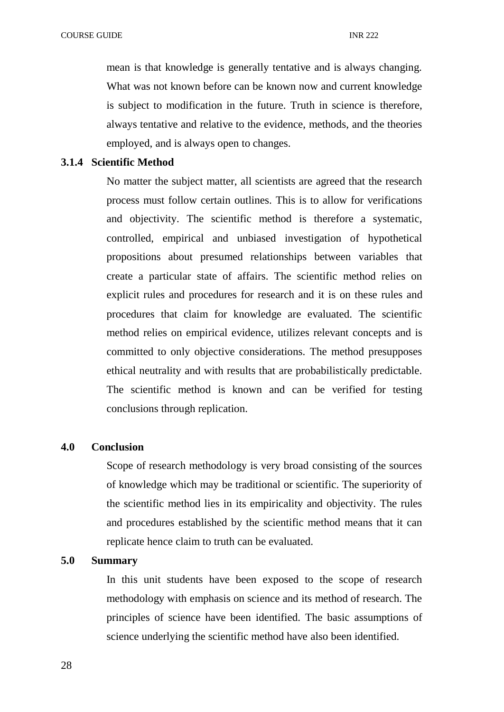mean is that knowledge is generally tentative and is always changing. What was not known before can be known now and current knowledge is subject to modification in the future. Truth in science is therefore, always tentative and relative to the evidence, methods, and the theories employed, and is always open to changes.

# **3.1.4 Scientific Method**

No matter the subject matter, all scientists are agreed that the research process must follow certain outlines. This is to allow for verifications and objectivity. The scientific method is therefore a systematic, controlled, empirical and unbiased investigation of hypothetical propositions about presumed relationships between variables that create a particular state of affairs. The scientific method relies on explicit rules and procedures for research and it is on these rules and procedures that claim for knowledge are evaluated. The scientific method relies on empirical evidence, utilizes relevant concepts and is committed to only objective considerations. The method presupposes ethical neutrality and with results that are probabilistically predictable. The scientific method is known and can be verified for testing conclusions through replication.

#### **4.0 Conclusion**

Scope of research methodology is very broad consisting of the sources of knowledge which may be traditional or scientific. The superiority of the scientific method lies in its empiricality and objectivity. The rules and procedures established by the scientific method means that it can replicate hence claim to truth can be evaluated.

# **5.0 Summary**

In this unit students have been exposed to the scope of research methodology with emphasis on science and its method of research. The principles of science have been identified. The basic assumptions of science underlying the scientific method have also been identified.

28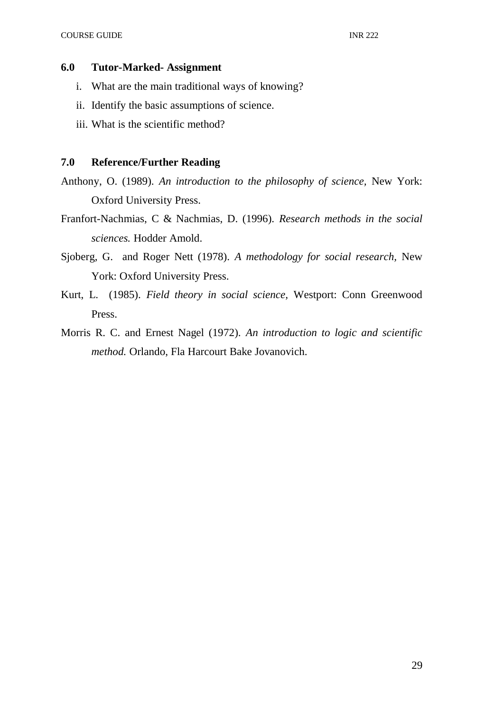#### **6.0 Tutor-Marked- Assignment**

- i. What are the main traditional ways of knowing?
- ii. Identify the basic assumptions of science.
- iii. What is the scientific method?

## **7.0 Reference/Further Reading**

- Anthony, O. (1989). *An introduction to the philosophy of science,* New York: Oxford University Press.
- Franfort-Nachmias, C & Nachmias, D. (1996). *Research methods in the social sciences.* Hodder Amold.
- Sjoberg, G. and Roger Nett (1978). *A methodology for social research,* New York: Oxford University Press.
- Kurt, L. (1985). *Field theory in social science,* Westport: Conn Greenwood Press.
- Morris R. C. and Ernest Nagel (1972). *An introduction to logic and scientific method.* Orlando, Fla Harcourt Bake Jovanovich.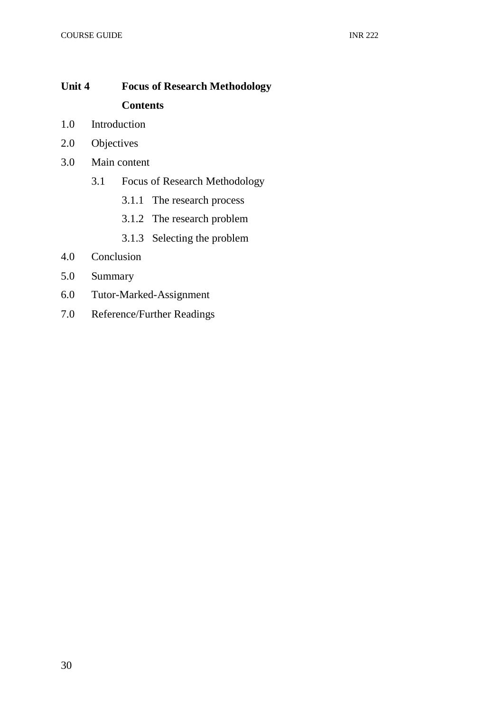# **Unit 4 Focus of Research Methodology Contents**

- 1.0 Introduction
- 2.0 Objectives
- 3.0 Main content
	- 3.1 Focus of Research Methodology
		- 3.1.1 The research process
		- 3.1.2 The research problem
		- 3.1.3 Selecting the problem
- 4.0 Conclusion
- 5.0 Summary
- 6.0 Tutor-Marked-Assignment
- 7.0 Reference/Further Readings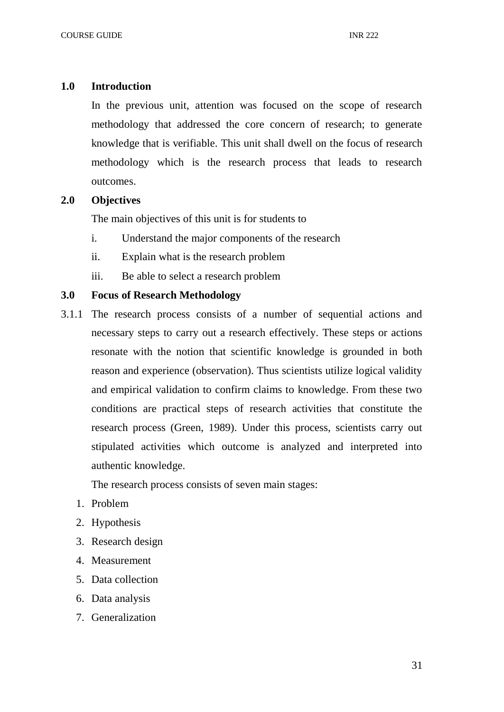#### **1.0 Introduction**

In the previous unit, attention was focused on the scope of research methodology that addressed the core concern of research; to generate knowledge that is verifiable. This unit shall dwell on the focus of research methodology which is the research process that leads to research outcomes.

#### **2.0 Objectives**

The main objectives of this unit is for students to

- i. Understand the major components of the research
- ii. Explain what is the research problem
- iii. Be able to select a research problem

# **3.0 Focus of Research Methodology**

3.1.1 The research process consists of a number of sequential actions and necessary steps to carry out a research effectively. These steps or actions resonate with the notion that scientific knowledge is grounded in both reason and experience (observation). Thus scientists utilize logical validity and empirical validation to confirm claims to knowledge. From these two conditions are practical steps of research activities that constitute the research process (Green, 1989). Under this process, scientists carry out stipulated activities which outcome is analyzed and interpreted into authentic knowledge.

The research process consists of seven main stages:

- 1. Problem
- 2. Hypothesis
- 3. Research design
- 4. Measurement
- 5. Data collection
- 6. Data analysis
- 7. Generalization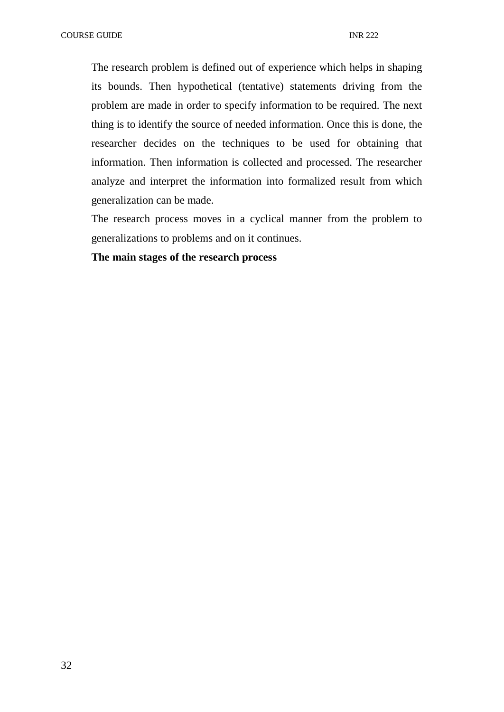The research problem is defined out of experience which helps in shaping its bounds. Then hypothetical (tentative) statements driving from the problem are made in order to specify information to be required. The next thing is to identify the source of needed information. Once this is done, the researcher decides on the techniques to be used for obtaining that information. Then information is collected and processed. The researcher analyze and interpret the information into formalized result from which generalization can be made.

The research process moves in a cyclical manner from the problem to generalizations to problems and on it continues.

# **The main stages of the research process**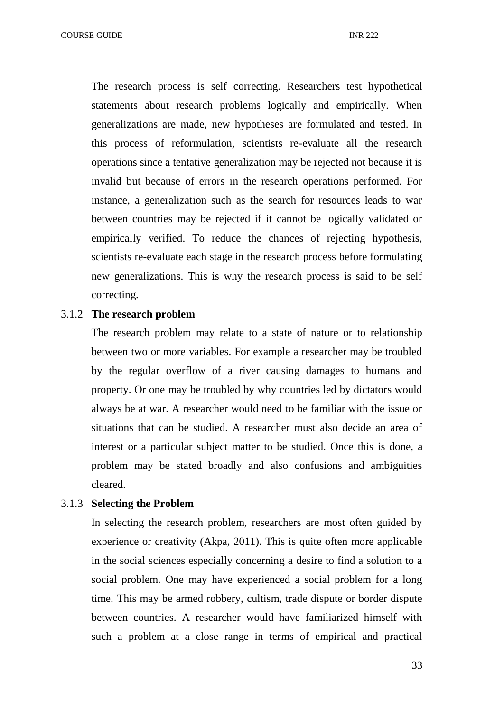The research process is self correcting. Researchers test hypothetical statements about research problems logically and empirically. When generalizations are made, new hypotheses are formulated and tested. In this process of reformulation, scientists re-evaluate all the research operations since a tentative generalization may be rejected not because it is invalid but because of errors in the research operations performed. For instance, a generalization such as the search for resources leads to war between countries may be rejected if it cannot be logically validated or empirically verified. To reduce the chances of rejecting hypothesis, scientists re-evaluate each stage in the research process before formulating new generalizations. This is why the research process is said to be self correcting.

## 3.1.2 **The research problem**

The research problem may relate to a state of nature or to relationship between two or more variables. For example a researcher may be troubled by the regular overflow of a river causing damages to humans and property. Or one may be troubled by why countries led by dictators would always be at war. A researcher would need to be familiar with the issue or situations that can be studied. A researcher must also decide an area of interest or a particular subject matter to be studied. Once this is done, a problem may be stated broadly and also confusions and ambiguities cleared.

## 3.1.3 **Selecting the Problem**

In selecting the research problem, researchers are most often guided by experience or creativity (Akpa, 2011). This is quite often more applicable in the social sciences especially concerning a desire to find a solution to a social problem. One may have experienced a social problem for a long time. This may be armed robbery, cultism, trade dispute or border dispute between countries. A researcher would have familiarized himself with such a problem at a close range in terms of empirical and practical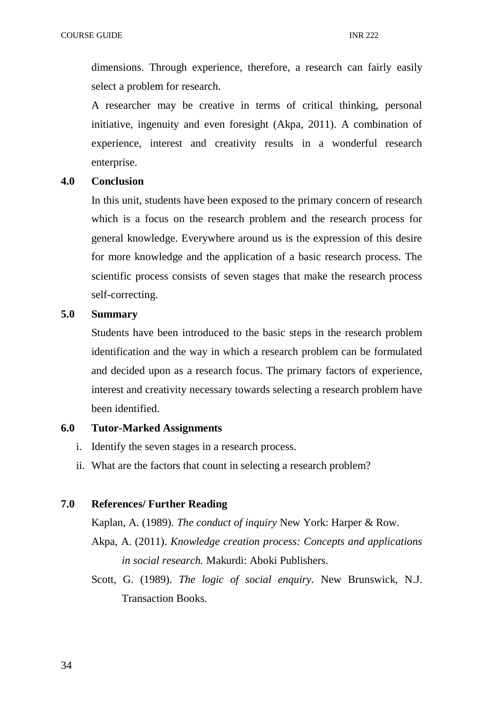dimensions. Through experience, therefore, a research can fairly easily select a problem for research.

A researcher may be creative in terms of critical thinking, personal initiative, ingenuity and even foresight (Akpa, 2011). A combination of experience, interest and creativity results in a wonderful research enterprise.

# **4.0 Conclusion**

In this unit, students have been exposed to the primary concern of research which is a focus on the research problem and the research process for general knowledge. Everywhere around us is the expression of this desire for more knowledge and the application of a basic research process. The scientific process consists of seven stages that make the research process self-correcting.

# **5.0 Summary**

Students have been introduced to the basic steps in the research problem identification and the way in which a research problem can be formulated and decided upon as a research focus. The primary factors of experience, interest and creativity necessary towards selecting a research problem have been identified.

# **6.0 Tutor-Marked Assignments**

- i. Identify the seven stages in a research process.
- ii. What are the factors that count in selecting a research problem?

# **7.0 References/ Further Reading**

Kaplan, A. (1989). *The conduct of inquiry* New York: Harper & Row.

- Akpa, A. (2011). *Knowledge creation process: Concepts and applications in social research.* Makurdi: Aboki Publishers.
- Scott, G. (1989). *The logic of social enquiry.* New Brunswick, N.J. Transaction Books.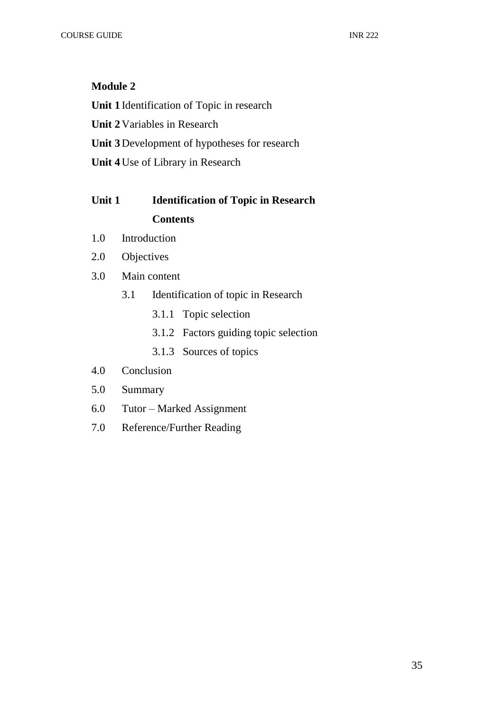# **Module 2**

**Unit 1** Identification of Topic in research **Unit 2** Variables in Research **Unit 3** Development of hypotheses for research **Unit 4** Use of Library in Research

# **Unit 1 Identification of Topic in Research Contents**

- 1.0 Introduction
- 2.0 Objectives
- 3.0 Main content
	- 3.1 Identification of topic in Research
		- 3.1.1 Topic selection
		- 3.1.2 Factors guiding topic selection
		- 3.1.3 Sources of topics
- 4.0 Conclusion
- 5.0 Summary
- 6.0 Tutor Marked Assignment
- 7.0 Reference/Further Reading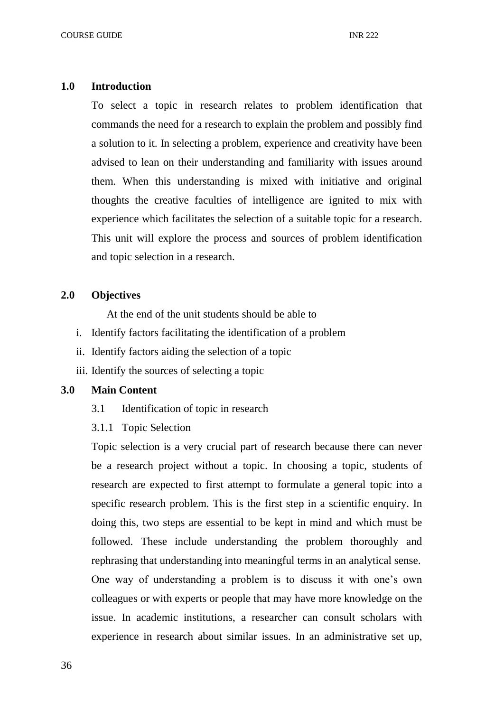#### **1.0 Introduction**

To select a topic in research relates to problem identification that commands the need for a research to explain the problem and possibly find a solution to it. In selecting a problem, experience and creativity have been advised to lean on their understanding and familiarity with issues around them. When this understanding is mixed with initiative and original thoughts the creative faculties of intelligence are ignited to mix with experience which facilitates the selection of a suitable topic for a research. This unit will explore the process and sources of problem identification and topic selection in a research.

# **2.0 Objectives**

At the end of the unit students should be able to

- i. Identify factors facilitating the identification of a problem
- ii. Identify factors aiding the selection of a topic
- iii. Identify the sources of selecting a topic

#### **3.0 Main Content**

- 3.1 Identification of topic in research
- 3.1.1 Topic Selection

Topic selection is a very crucial part of research because there can never be a research project without a topic. In choosing a topic, students of research are expected to first attempt to formulate a general topic into a specific research problem. This is the first step in a scientific enquiry. In doing this, two steps are essential to be kept in mind and which must be followed. These include understanding the problem thoroughly and rephrasing that understanding into meaningful terms in an analytical sense. One way of understanding a problem is to discuss it with one's own colleagues or with experts or people that may have more knowledge on the issue. In academic institutions, a researcher can consult scholars with experience in research about similar issues. In an administrative set up,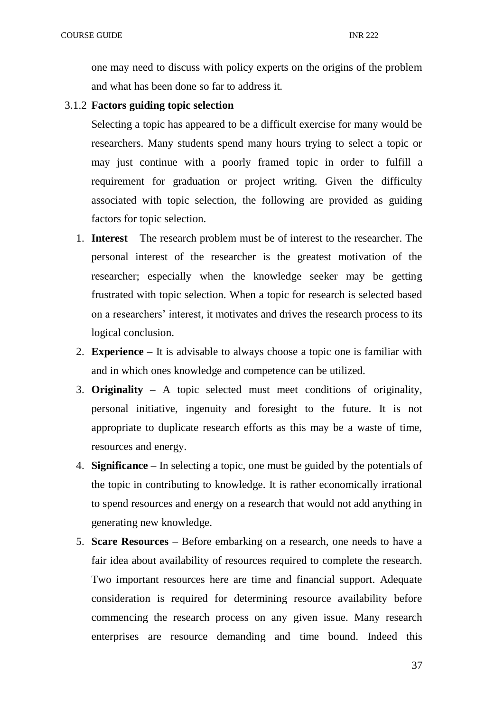one may need to discuss with policy experts on the origins of the problem and what has been done so far to address it.

## 3.1.2 **Factors guiding topic selection**

Selecting a topic has appeared to be a difficult exercise for many would be researchers. Many students spend many hours trying to select a topic or may just continue with a poorly framed topic in order to fulfill a requirement for graduation or project writing. Given the difficulty associated with topic selection, the following are provided as guiding factors for topic selection.

- 1. **Interest**  The research problem must be of interest to the researcher. The personal interest of the researcher is the greatest motivation of the researcher; especially when the knowledge seeker may be getting frustrated with topic selection. When a topic for research is selected based on a researchers' interest, it motivates and drives the research process to its logical conclusion.
- 2. **Experience** It is advisable to always choose a topic one is familiar with and in which ones knowledge and competence can be utilized.
- 3. **Originality**  A topic selected must meet conditions of originality, personal initiative, ingenuity and foresight to the future. It is not appropriate to duplicate research efforts as this may be a waste of time, resources and energy.
- 4. **Significance**  In selecting a topic, one must be guided by the potentials of the topic in contributing to knowledge. It is rather economically irrational to spend resources and energy on a research that would not add anything in generating new knowledge.
- 5. **Scare Resources**  Before embarking on a research, one needs to have a fair idea about availability of resources required to complete the research. Two important resources here are time and financial support. Adequate consideration is required for determining resource availability before commencing the research process on any given issue. Many research enterprises are resource demanding and time bound. Indeed this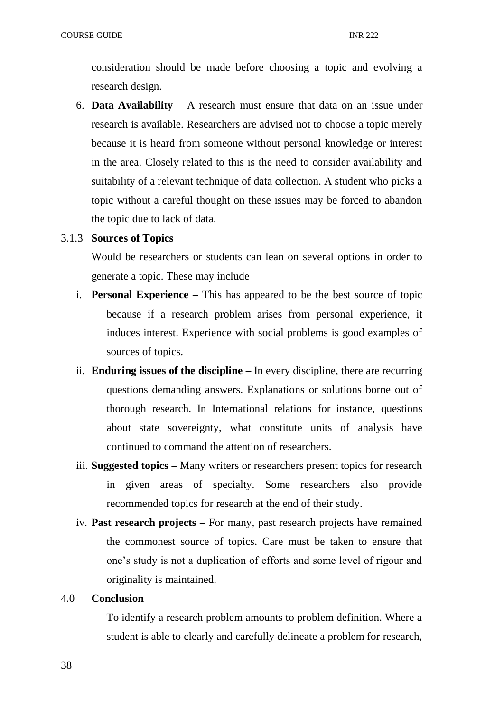consideration should be made before choosing a topic and evolving a research design.

6. **Data Availability** – A research must ensure that data on an issue under research is available. Researchers are advised not to choose a topic merely because it is heard from someone without personal knowledge or interest in the area. Closely related to this is the need to consider availability and suitability of a relevant technique of data collection. A student who picks a topic without a careful thought on these issues may be forced to abandon the topic due to lack of data.

## 3.1.3 **Sources of Topics**

Would be researchers or students can lean on several options in order to generate a topic. These may include

- i. **Personal Experience –** This has appeared to be the best source of topic because if a research problem arises from personal experience, it induces interest. Experience with social problems is good examples of sources of topics.
- ii. **Enduring issues of the discipline –** In every discipline, there are recurring questions demanding answers. Explanations or solutions borne out of thorough research. In International relations for instance, questions about state sovereignty, what constitute units of analysis have continued to command the attention of researchers.
- iii. **Suggested topics –** Many writers or researchers present topics for research in given areas of specialty. Some researchers also provide recommended topics for research at the end of their study.
- iv. **Past research projects –** For many, past research projects have remained the commonest source of topics. Care must be taken to ensure that one's study is not a duplication of efforts and some level of rigour and originality is maintained.

## 4.0 **Conclusion**

To identify a research problem amounts to problem definition. Where a student is able to clearly and carefully delineate a problem for research,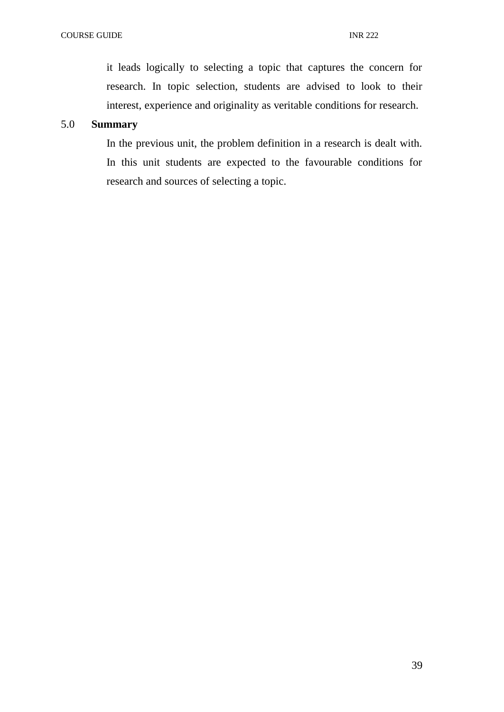it leads logically to selecting a topic that captures the concern for research. In topic selection, students are advised to look to their interest, experience and originality as veritable conditions for research.

# 5.0 **Summary**

In the previous unit, the problem definition in a research is dealt with. In this unit students are expected to the favourable conditions for research and sources of selecting a topic.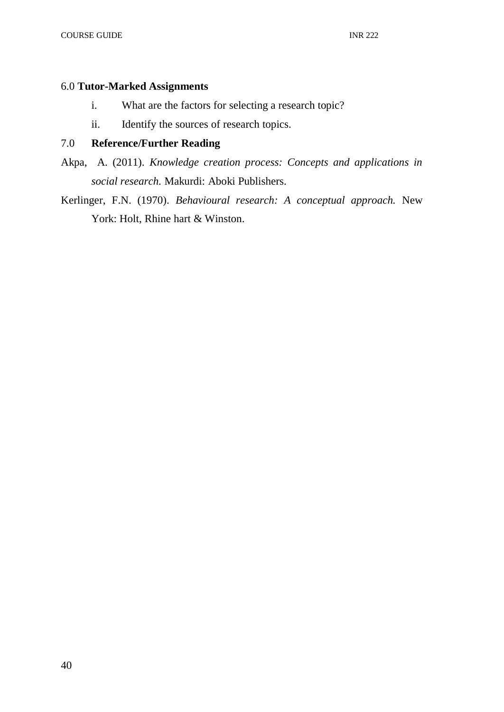# 6.0 **Tutor-Marked Assignments**

- i. What are the factors for selecting a research topic?
- ii. Identify the sources of research topics.

# 7.0 **Reference/Further Reading**

Akpa, A. (2011). *Knowledge creation process: Concepts and applications in social research.* Makurdi: Aboki Publishers.

Kerlinger, F.N. (1970). *Behavioural research: A conceptual approach.* New York: Holt, Rhine hart & Winston.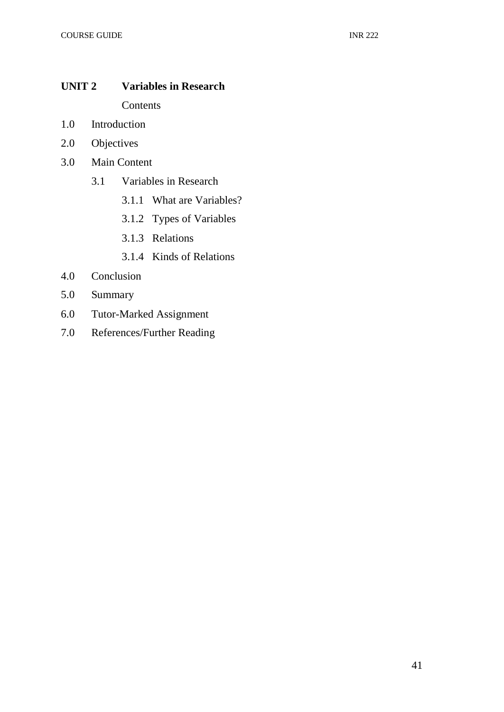# **UNIT 2 Variables in Research**

Contents

- 1.0 Introduction
- 2.0 Objectives
- 3.0 Main Content
	- 3.1 Variables in Research
		- 3.1.1 What are Variables?
		- 3.1.2 Types of Variables
		- 3.1.3 Relations
		- 3.1.4 Kinds of Relations
- 4.0 Conclusion
- 5.0 Summary
- 6.0 Tutor-Marked Assignment
- 7.0 References/Further Reading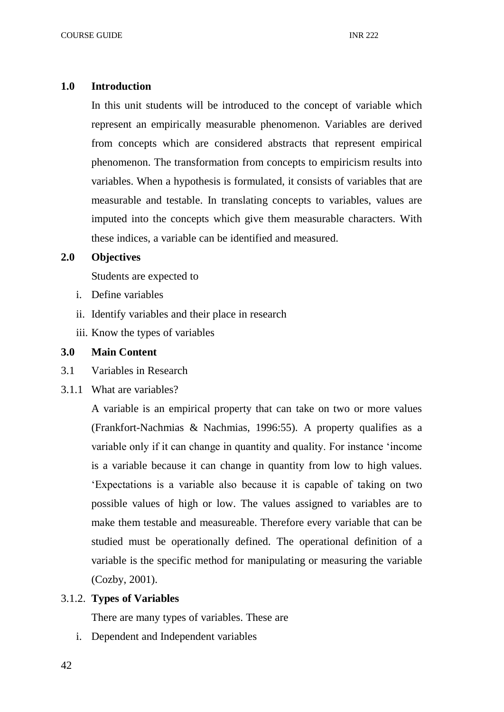### **1.0 Introduction**

In this unit students will be introduced to the concept of variable which represent an empirically measurable phenomenon. Variables are derived from concepts which are considered abstracts that represent empirical phenomenon. The transformation from concepts to empiricism results into variables. When a hypothesis is formulated, it consists of variables that are measurable and testable. In translating concepts to variables, values are imputed into the concepts which give them measurable characters. With these indices, a variable can be identified and measured.

# **2.0 Objectives**

Students are expected to

- i. Define variables
- ii. Identify variables and their place in research
- iii. Know the types of variables

# **3.0 Main Content**

- 3.1 Variables in Research
- 3.1.1 What are variables?

A variable is an empirical property that can take on two or more values (Frankfort-Nachmias & Nachmias, 1996:55). A property qualifies as a variable only if it can change in quantity and quality. For instance 'income is a variable because it can change in quantity from low to high values. 'Expectations is a variable also because it is capable of taking on two possible values of high or low. The values assigned to variables are to make them testable and measureable. Therefore every variable that can be studied must be operationally defined. The operational definition of a variable is the specific method for manipulating or measuring the variable (Cozby, 2001).

# 3.1.2. **Types of Variables**

There are many types of variables. These are

i. Dependent and Independent variables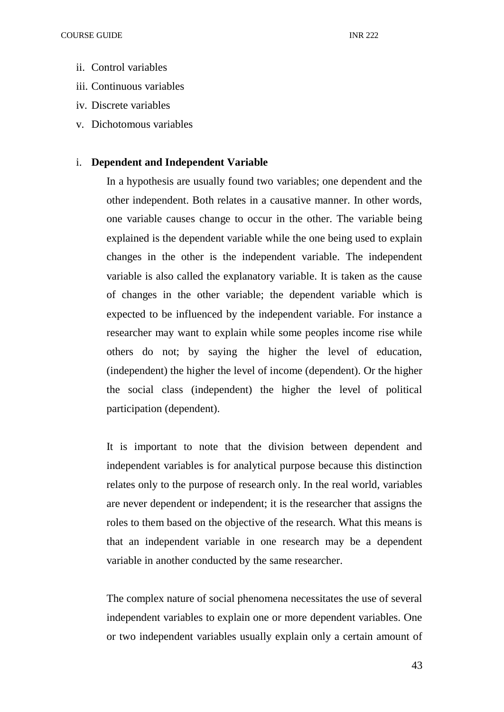- ii. Control variables
- iii. Continuous variables
- iv. Discrete variables
- v. Dichotomous variables

# i. **Dependent and Independent Variable**

In a hypothesis are usually found two variables; one dependent and the other independent. Both relates in a causative manner. In other words, one variable causes change to occur in the other. The variable being explained is the dependent variable while the one being used to explain changes in the other is the independent variable. The independent variable is also called the explanatory variable. It is taken as the cause of changes in the other variable; the dependent variable which is expected to be influenced by the independent variable. For instance a researcher may want to explain while some peoples income rise while others do not; by saying the higher the level of education, (independent) the higher the level of income (dependent). Or the higher the social class (independent) the higher the level of political participation (dependent).

It is important to note that the division between dependent and independent variables is for analytical purpose because this distinction relates only to the purpose of research only. In the real world, variables are never dependent or independent; it is the researcher that assigns the roles to them based on the objective of the research. What this means is that an independent variable in one research may be a dependent variable in another conducted by the same researcher.

The complex nature of social phenomena necessitates the use of several independent variables to explain one or more dependent variables. One or two independent variables usually explain only a certain amount of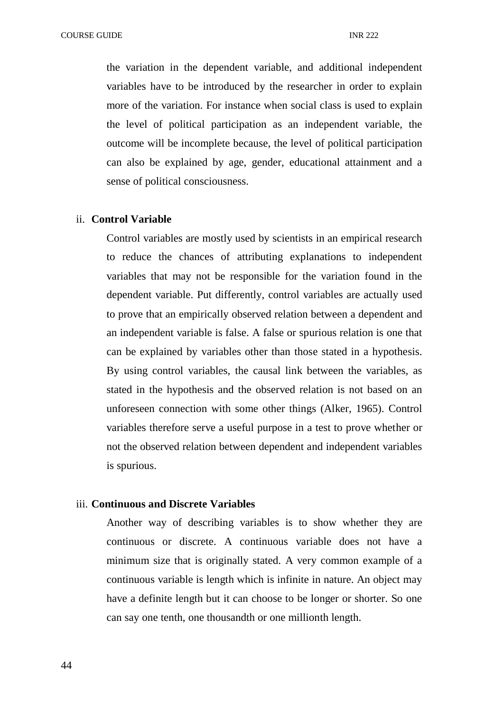the variation in the dependent variable, and additional independent variables have to be introduced by the researcher in order to explain more of the variation. For instance when social class is used to explain the level of political participation as an independent variable, the outcome will be incomplete because, the level of political participation can also be explained by age, gender, educational attainment and a sense of political consciousness.

#### ii. **Control Variable**

Control variables are mostly used by scientists in an empirical research to reduce the chances of attributing explanations to independent variables that may not be responsible for the variation found in the dependent variable. Put differently, control variables are actually used to prove that an empirically observed relation between a dependent and an independent variable is false. A false or spurious relation is one that can be explained by variables other than those stated in a hypothesis. By using control variables, the causal link between the variables, as stated in the hypothesis and the observed relation is not based on an unforeseen connection with some other things (Alker, 1965). Control variables therefore serve a useful purpose in a test to prove whether or not the observed relation between dependent and independent variables is spurious.

#### iii. **Continuous and Discrete Variables**

Another way of describing variables is to show whether they are continuous or discrete. A continuous variable does not have a minimum size that is originally stated. A very common example of a continuous variable is length which is infinite in nature. An object may have a definite length but it can choose to be longer or shorter. So one can say one tenth, one thousandth or one millionth length.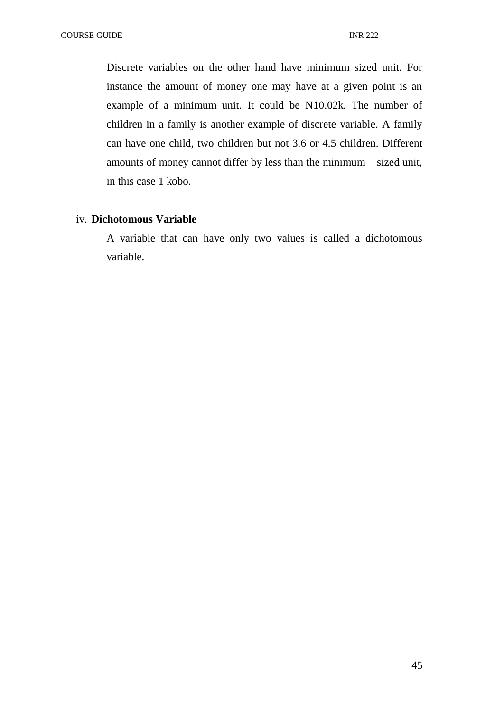Discrete variables on the other hand have minimum sized unit. For instance the amount of money one may have at a given point is an example of a minimum unit. It could be N10.02k. The number of children in a family is another example of discrete variable. A family can have one child, two children but not 3.6 or 4.5 children. Different amounts of money cannot differ by less than the minimum – sized unit, in this case 1 kobo.

# iv. **Dichotomous Variable**

A variable that can have only two values is called a dichotomous variable.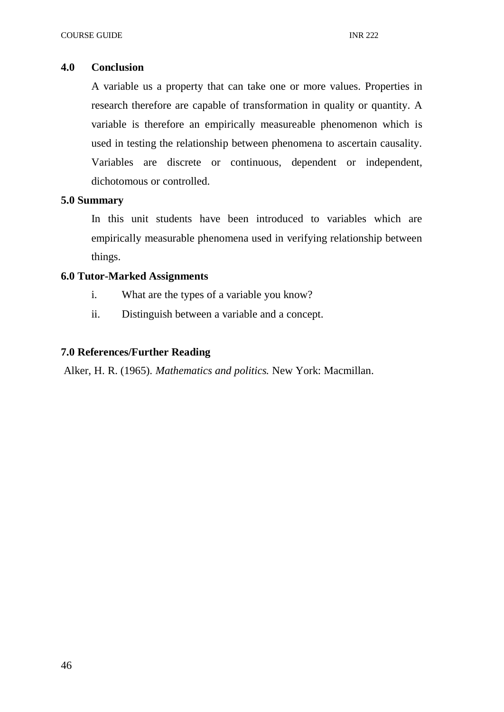## **4.0 Conclusion**

A variable us a property that can take one or more values. Properties in research therefore are capable of transformation in quality or quantity. A variable is therefore an empirically measureable phenomenon which is used in testing the relationship between phenomena to ascertain causality. Variables are discrete or continuous, dependent or independent, dichotomous or controlled.

## **5.0 Summary**

In this unit students have been introduced to variables which are empirically measurable phenomena used in verifying relationship between things.

# **6.0 Tutor-Marked Assignments**

- i. What are the types of a variable you know?
- ii. Distinguish between a variable and a concept.

## **7.0 References/Further Reading**

Alker, H. R. (1965). *Mathematics and politics.* New York: Macmillan.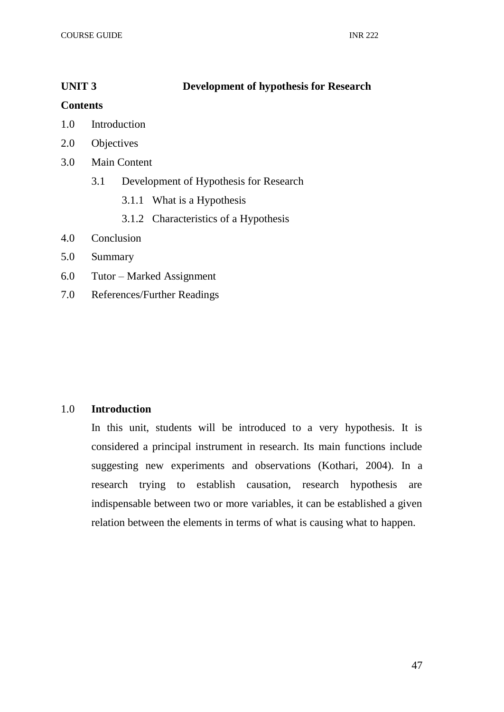# **UNIT 3 Development of hypothesis for Research**

## **Contents**

- 1.0 Introduction
- 2.0 Objectives
- 3.0 Main Content
	- 3.1 Development of Hypothesis for Research
		- 3.1.1 What is a Hypothesis
		- 3.1.2 Characteristics of a Hypothesis
- 4.0 Conclusion
- 5.0 Summary
- 6.0 Tutor Marked Assignment
- 7.0 References/Further Readings

# 1.0 **Introduction**

In this unit, students will be introduced to a very hypothesis. It is considered a principal instrument in research. Its main functions include suggesting new experiments and observations (Kothari, 2004). In a research trying to establish causation, research hypothesis are indispensable between two or more variables, it can be established a given relation between the elements in terms of what is causing what to happen.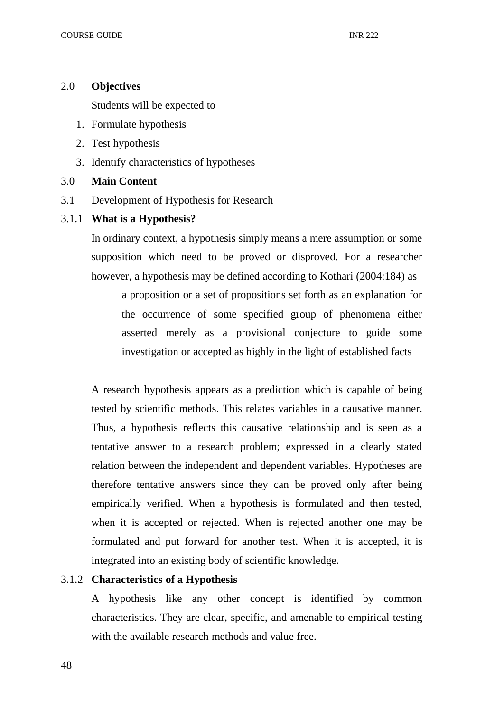# 2.0 **Objectives**

Students will be expected to

- 1. Formulate hypothesis
- 2. Test hypothesis
- 3. Identify characteristics of hypotheses

# 3.0 **Main Content**

- 3.1 Development of Hypothesis for Research
- 3.1.1 **What is a Hypothesis?**

In ordinary context, a hypothesis simply means a mere assumption or some supposition which need to be proved or disproved. For a researcher however, a hypothesis may be defined according to Kothari (2004:184) as

a proposition or a set of propositions set forth as an explanation for the occurrence of some specified group of phenomena either asserted merely as a provisional conjecture to guide some investigation or accepted as highly in the light of established facts

A research hypothesis appears as a prediction which is capable of being tested by scientific methods. This relates variables in a causative manner. Thus, a hypothesis reflects this causative relationship and is seen as a tentative answer to a research problem; expressed in a clearly stated relation between the independent and dependent variables. Hypotheses are therefore tentative answers since they can be proved only after being empirically verified. When a hypothesis is formulated and then tested, when it is accepted or rejected. When is rejected another one may be formulated and put forward for another test. When it is accepted, it is integrated into an existing body of scientific knowledge.

# 3.1.2 **Characteristics of a Hypothesis**

A hypothesis like any other concept is identified by common characteristics. They are clear, specific, and amenable to empirical testing with the available research methods and value free.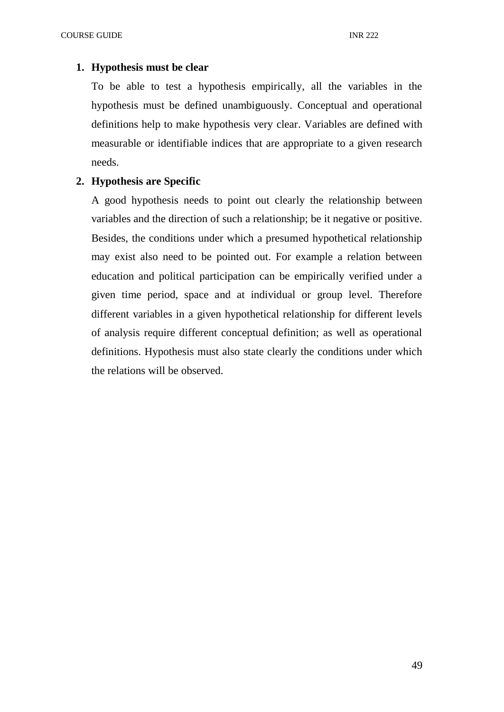## **1. Hypothesis must be clear**

To be able to test a hypothesis empirically, all the variables in the hypothesis must be defined unambiguously. Conceptual and operational definitions help to make hypothesis very clear. Variables are defined with measurable or identifiable indices that are appropriate to a given research needs.

# **2. Hypothesis are Specific**

A good hypothesis needs to point out clearly the relationship between variables and the direction of such a relationship; be it negative or positive. Besides, the conditions under which a presumed hypothetical relationship may exist also need to be pointed out. For example a relation between education and political participation can be empirically verified under a given time period, space and at individual or group level. Therefore different variables in a given hypothetical relationship for different levels of analysis require different conceptual definition; as well as operational definitions. Hypothesis must also state clearly the conditions under which the relations will be observed.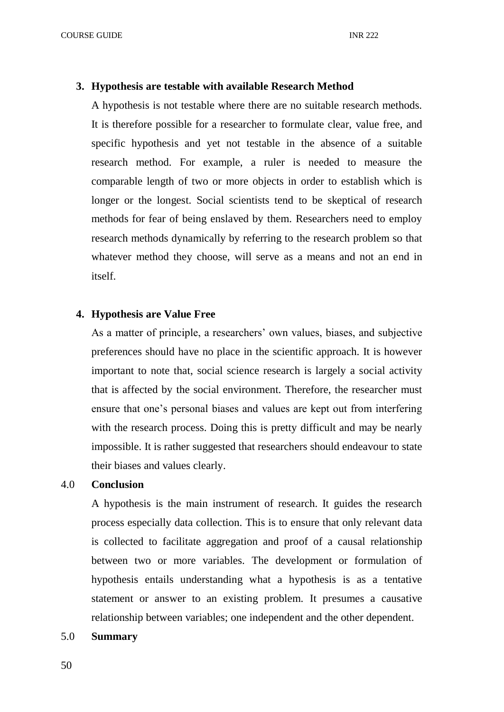## **3. Hypothesis are testable with available Research Method**

A hypothesis is not testable where there are no suitable research methods. It is therefore possible for a researcher to formulate clear, value free, and specific hypothesis and yet not testable in the absence of a suitable research method. For example, a ruler is needed to measure the comparable length of two or more objects in order to establish which is longer or the longest. Social scientists tend to be skeptical of research methods for fear of being enslaved by them. Researchers need to employ research methods dynamically by referring to the research problem so that whatever method they choose, will serve as a means and not an end in itself.

# **4. Hypothesis are Value Free**

As a matter of principle, a researchers' own values, biases, and subjective preferences should have no place in the scientific approach. It is however important to note that, social science research is largely a social activity that is affected by the social environment. Therefore, the researcher must ensure that one's personal biases and values are kept out from interfering with the research process. Doing this is pretty difficult and may be nearly impossible. It is rather suggested that researchers should endeavour to state their biases and values clearly.

#### 4.0 **Conclusion**

A hypothesis is the main instrument of research. It guides the research process especially data collection. This is to ensure that only relevant data is collected to facilitate aggregation and proof of a causal relationship between two or more variables. The development or formulation of hypothesis entails understanding what a hypothesis is as a tentative statement or answer to an existing problem. It presumes a causative relationship between variables; one independent and the other dependent.

#### 5.0 **Summary**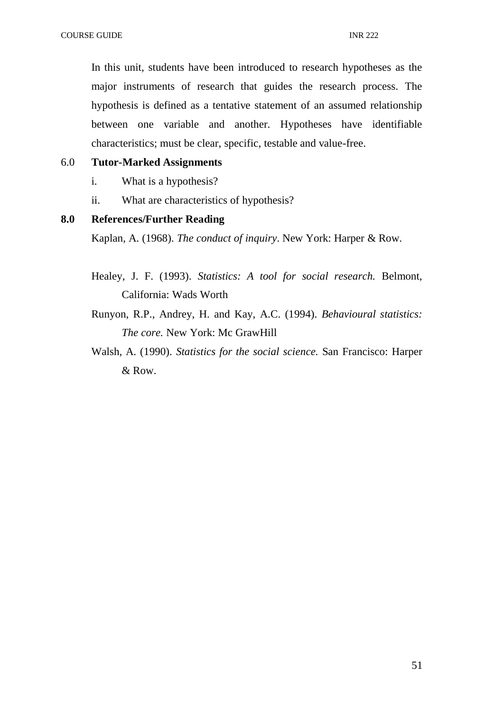In this unit, students have been introduced to research hypotheses as the major instruments of research that guides the research process. The hypothesis is defined as a tentative statement of an assumed relationship between one variable and another. Hypotheses have identifiable characteristics; must be clear, specific, testable and value-free.

# 6.0 **Tutor-Marked Assignments**

- i. What is a hypothesis?
- ii. What are characteristics of hypothesis?

# **8.0 References/Further Reading**

Kaplan, A. (1968). *The conduct of inquiry*. New York: Harper & Row.

- Healey, J. F. (1993). *Statistics: A tool for social research.* Belmont, California: Wads Worth
- Runyon, R.P., Andrey, H. and Kay, A.C. (1994). *Behavioural statistics: The core.* New York: Mc GrawHill
- Walsh, A. (1990). *Statistics for the social science.* San Francisco: Harper & Row.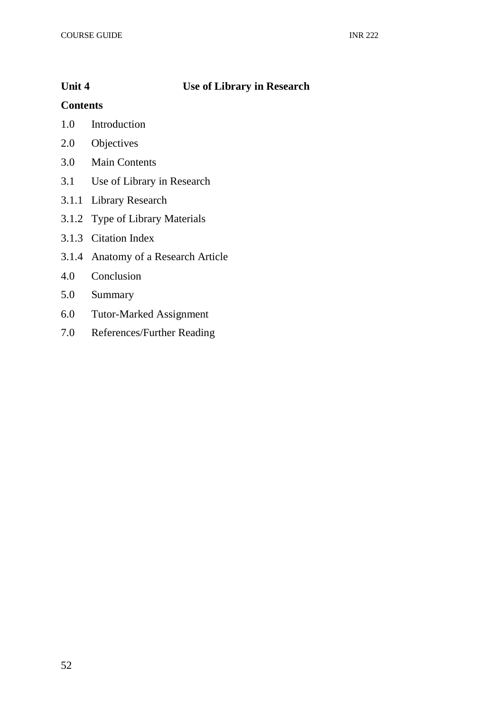# **Unit 4 Use of Library in Research**

# **Contents**

- 1.0 Introduction
- 2.0 Objectives
- 3.0 Main Contents
- 3.1 Use of Library in Research
- 3.1.1 Library Research
- 3.1.2 Type of Library Materials
- 3.1.3 Citation Index
- 3.1.4 Anatomy of a Research Article
- 4.0 Conclusion
- 5.0 Summary
- 6.0 Tutor-Marked Assignment
- 7.0 References/Further Reading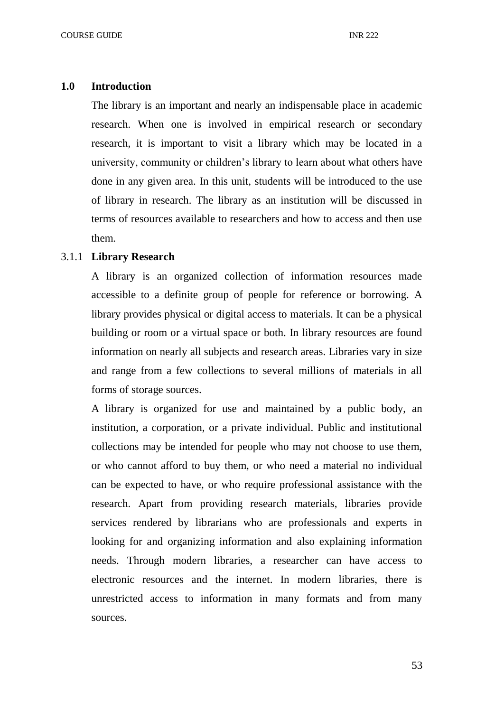#### **1.0 Introduction**

The library is an important and nearly an indispensable place in academic research. When one is involved in empirical research or secondary research, it is important to visit a library which may be located in a university, community or children's library to learn about what others have done in any given area. In this unit, students will be introduced to the use of library in research. The library as an institution will be discussed in terms of resources available to researchers and how to access and then use them.

#### 3.1.1 **Library Research**

A library is an organized collection of information resources made accessible to a definite group of people for reference or borrowing. A library provides physical or digital access to materials. It can be a physical building or room or a virtual space or both. In library resources are found information on nearly all subjects and research areas. Libraries vary in size and range from a few collections to several millions of materials in all forms of storage sources.

A library is organized for use and maintained by a public body, an institution, a corporation, or a private individual. Public and institutional collections may be intended for people who may not choose to use them, or who cannot afford to buy them, or who need a material no individual can be expected to have, or who require professional assistance with the research. Apart from providing research materials, libraries provide services rendered by librarians who are professionals and experts in looking for and organizing information and also explaining information needs. Through modern libraries, a researcher can have access to electronic resources and the internet. In modern libraries, there is unrestricted access to information in many formats and from many sources.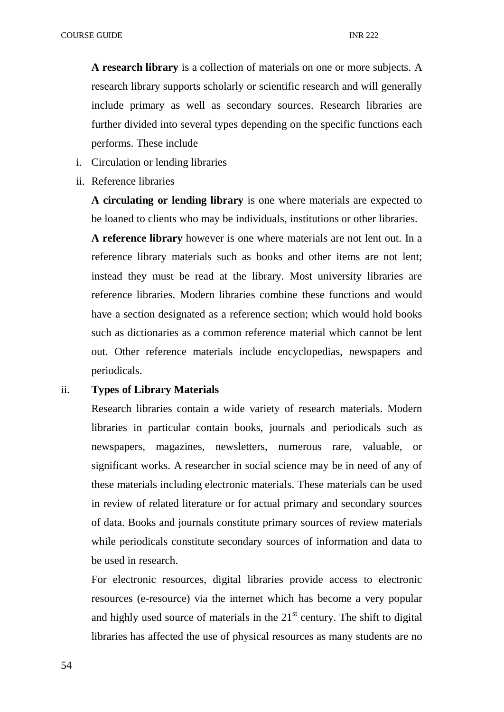**A research library** is a collection of materials on one or more subjects. A research library supports scholarly or scientific research and will generally include primary as well as secondary sources. Research libraries are further divided into several types depending on the specific functions each performs. These include

- i. Circulation or lending libraries
- ii. Reference libraries

**A circulating or lending library** is one where materials are expected to be loaned to clients who may be individuals, institutions or other libraries.

**A reference library** however is one where materials are not lent out. In a reference library materials such as books and other items are not lent; instead they must be read at the library. Most university libraries are reference libraries. Modern libraries combine these functions and would have a section designated as a reference section; which would hold books such as dictionaries as a common reference material which cannot be lent out. Other reference materials include encyclopedias, newspapers and periodicals.

# ii. **Types of Library Materials**

Research libraries contain a wide variety of research materials. Modern libraries in particular contain books, journals and periodicals such as newspapers, magazines, newsletters, numerous rare, valuable, or significant works. A researcher in social science may be in need of any of these materials including electronic materials. These materials can be used in review of related literature or for actual primary and secondary sources of data. Books and journals constitute primary sources of review materials while periodicals constitute secondary sources of information and data to be used in research.

For electronic resources, digital libraries provide access to electronic resources (e-resource) via the internet which has become a very popular and highly used source of materials in the  $21<sup>st</sup>$  century. The shift to digital libraries has affected the use of physical resources as many students are no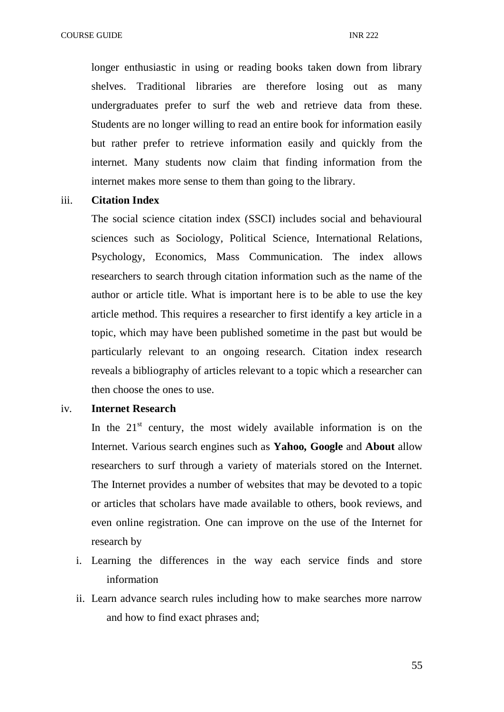longer enthusiastic in using or reading books taken down from library shelves. Traditional libraries are therefore losing out as many undergraduates prefer to surf the web and retrieve data from these. Students are no longer willing to read an entire book for information easily but rather prefer to retrieve information easily and quickly from the internet. Many students now claim that finding information from the internet makes more sense to them than going to the library.

## iii. **Citation Index**

The social science citation index (SSCI) includes social and behavioural sciences such as Sociology, Political Science, International Relations, Psychology, Economics, Mass Communication. The index allows researchers to search through citation information such as the name of the author or article title. What is important here is to be able to use the key article method. This requires a researcher to first identify a key article in a topic, which may have been published sometime in the past but would be particularly relevant to an ongoing research. Citation index research reveals a bibliography of articles relevant to a topic which a researcher can then choose the ones to use.

### iv. **Internet Research**

In the  $21<sup>st</sup>$  century, the most widely available information is on the Internet. Various search engines such as **Yahoo, Google** and **About** allow researchers to surf through a variety of materials stored on the Internet. The Internet provides a number of websites that may be devoted to a topic or articles that scholars have made available to others, book reviews, and even online registration. One can improve on the use of the Internet for research by

- i. Learning the differences in the way each service finds and store information
- ii. Learn advance search rules including how to make searches more narrow and how to find exact phrases and;

55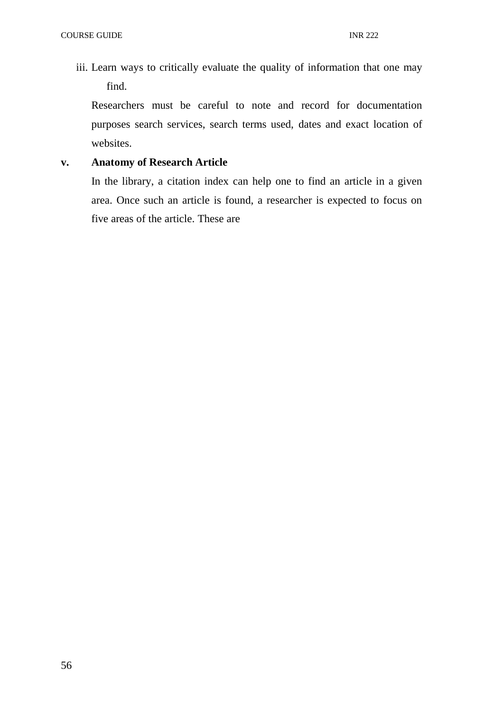iii. Learn ways to critically evaluate the quality of information that one may find.

Researchers must be careful to note and record for documentation purposes search services, search terms used, dates and exact location of websites.

# **v. Anatomy of Research Article**

In the library, a citation index can help one to find an article in a given area. Once such an article is found, a researcher is expected to focus on five areas of the article. These are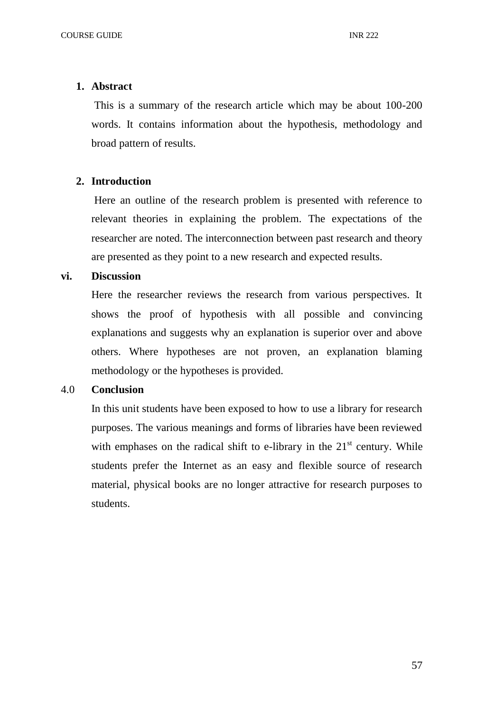## **1. Abstract**

This is a summary of the research article which may be about 100-200 words. It contains information about the hypothesis, methodology and broad pattern of results.

# **2. Introduction**

Here an outline of the research problem is presented with reference to relevant theories in explaining the problem. The expectations of the researcher are noted. The interconnection between past research and theory are presented as they point to a new research and expected results.

## **vi. Discussion**

Here the researcher reviews the research from various perspectives. It shows the proof of hypothesis with all possible and convincing explanations and suggests why an explanation is superior over and above others. Where hypotheses are not proven, an explanation blaming methodology or the hypotheses is provided.

# 4.0 **Conclusion**

In this unit students have been exposed to how to use a library for research purposes. The various meanings and forms of libraries have been reviewed with emphases on the radical shift to e-library in the  $21<sup>st</sup>$  century. While students prefer the Internet as an easy and flexible source of research material, physical books are no longer attractive for research purposes to students.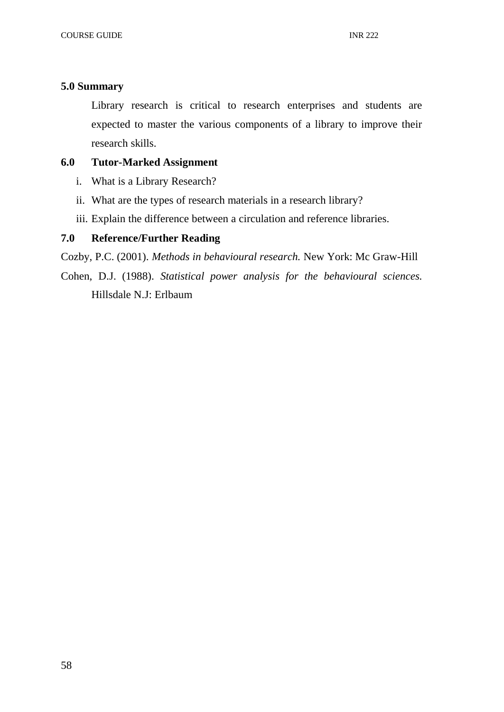# **5.0 Summary**

Library research is critical to research enterprises and students are expected to master the various components of a library to improve their research skills.

# **6.0 Tutor-Marked Assignment**

- i. What is a Library Research?
- ii. What are the types of research materials in a research library?
- iii. Explain the difference between a circulation and reference libraries.

# **7.0 Reference/Further Reading**

Cozby, P.C. (2001). *Methods in behavioural research.* New York: Mc Graw-Hill

Cohen, D.J. (1988). *Statistical power analysis for the behavioural sciences.* Hillsdale N.J: Erlbaum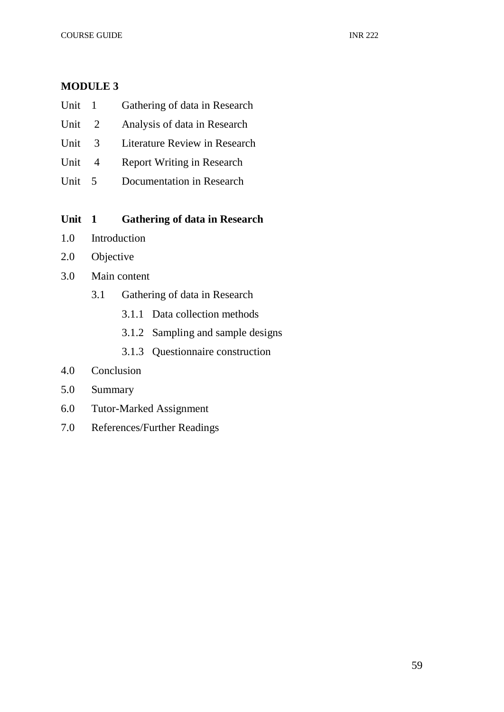# **MODULE 3**

| Unit | Gathering of data in Research |
|------|-------------------------------|
|      |                               |

- Unit 2 Analysis of data in Research
- Unit 3 Literature Review in Research
- Unit 4 Report Writing in Research
- Unit 5 Documentation in Research

# **Unit 1 Gathering of data in Research**

- 1.0 Introduction
- 2.0 Objective
- 3.0 Main content
	- 3.1 Gathering of data in Research
		- 3.1.1 Data collection methods
		- 3.1.2 Sampling and sample designs
		- 3.1.3 Questionnaire construction
- 4.0 Conclusion
- 5.0 Summary
- 6.0 Tutor-Marked Assignment
- 7.0 References/Further Readings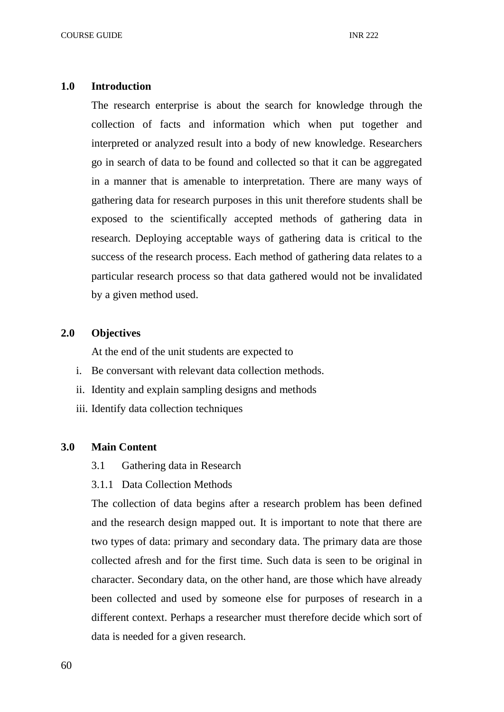#### **1.0 Introduction**

The research enterprise is about the search for knowledge through the collection of facts and information which when put together and interpreted or analyzed result into a body of new knowledge. Researchers go in search of data to be found and collected so that it can be aggregated in a manner that is amenable to interpretation. There are many ways of gathering data for research purposes in this unit therefore students shall be exposed to the scientifically accepted methods of gathering data in research. Deploying acceptable ways of gathering data is critical to the success of the research process. Each method of gathering data relates to a particular research process so that data gathered would not be invalidated by a given method used.

#### **2.0 Objectives**

At the end of the unit students are expected to

- i. Be conversant with relevant data collection methods.
- ii. Identity and explain sampling designs and methods
- iii. Identify data collection techniques

#### **3.0 Main Content**

- 3.1 Gathering data in Research
- 3.1.1 Data Collection Methods

The collection of data begins after a research problem has been defined and the research design mapped out. It is important to note that there are two types of data: primary and secondary data. The primary data are those collected afresh and for the first time. Such data is seen to be original in character. Secondary data, on the other hand, are those which have already been collected and used by someone else for purposes of research in a different context. Perhaps a researcher must therefore decide which sort of data is needed for a given research.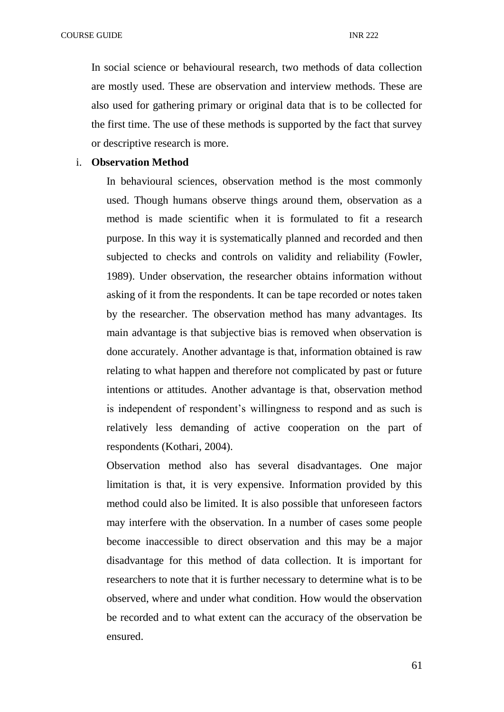In social science or behavioural research, two methods of data collection are mostly used. These are observation and interview methods. These are also used for gathering primary or original data that is to be collected for the first time. The use of these methods is supported by the fact that survey or descriptive research is more.

## i. **Observation Method**

In behavioural sciences, observation method is the most commonly used. Though humans observe things around them, observation as a method is made scientific when it is formulated to fit a research purpose. In this way it is systematically planned and recorded and then subjected to checks and controls on validity and reliability (Fowler, 1989). Under observation, the researcher obtains information without asking of it from the respondents. It can be tape recorded or notes taken by the researcher. The observation method has many advantages. Its main advantage is that subjective bias is removed when observation is done accurately. Another advantage is that, information obtained is raw relating to what happen and therefore not complicated by past or future intentions or attitudes. Another advantage is that, observation method is independent of respondent's willingness to respond and as such is relatively less demanding of active cooperation on the part of respondents (Kothari, 2004).

Observation method also has several disadvantages. One major limitation is that, it is very expensive. Information provided by this method could also be limited. It is also possible that unforeseen factors may interfere with the observation. In a number of cases some people become inaccessible to direct observation and this may be a major disadvantage for this method of data collection. It is important for researchers to note that it is further necessary to determine what is to be observed, where and under what condition. How would the observation be recorded and to what extent can the accuracy of the observation be ensured.

61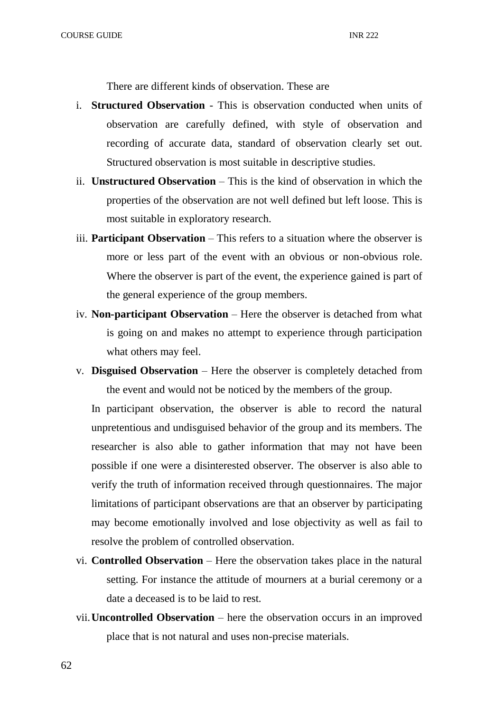There are different kinds of observation. These are

- i. **Structured Observation** This is observation conducted when units of observation are carefully defined, with style of observation and recording of accurate data, standard of observation clearly set out. Structured observation is most suitable in descriptive studies.
- ii. **Unstructured Observation**  This is the kind of observation in which the properties of the observation are not well defined but left loose. This is most suitable in exploratory research.
- iii. **Participant Observation** This refers to a situation where the observer is more or less part of the event with an obvious or non-obvious role. Where the observer is part of the event, the experience gained is part of the general experience of the group members.
- iv. **Non-participant Observation** Here the observer is detached from what is going on and makes no attempt to experience through participation what others may feel.
- v. **Disguised Observation** Here the observer is completely detached from the event and would not be noticed by the members of the group.

In participant observation, the observer is able to record the natural unpretentious and undisguised behavior of the group and its members. The researcher is also able to gather information that may not have been possible if one were a disinterested observer. The observer is also able to verify the truth of information received through questionnaires. The major limitations of participant observations are that an observer by participating may become emotionally involved and lose objectivity as well as fail to resolve the problem of controlled observation.

- vi. **Controlled Observation** Here the observation takes place in the natural setting. For instance the attitude of mourners at a burial ceremony or a date a deceased is to be laid to rest.
- vii.**Uncontrolled Observation** here the observation occurs in an improved place that is not natural and uses non-precise materials.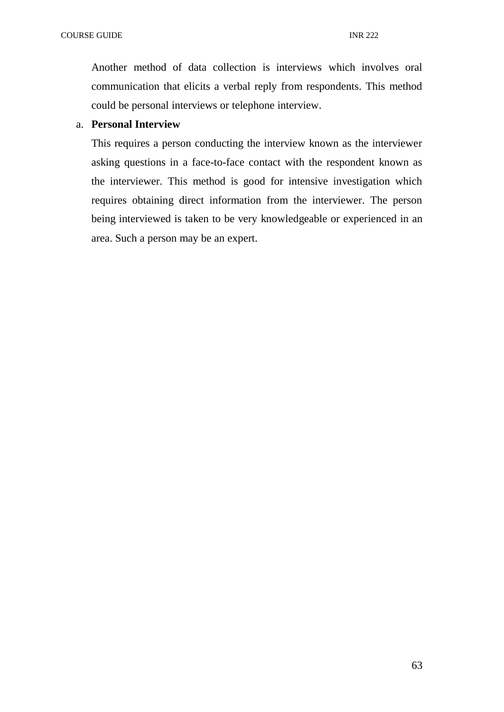Another method of data collection is interviews which involves oral communication that elicits a verbal reply from respondents. This method could be personal interviews or telephone interview.

# a. **Personal Interview**

This requires a person conducting the interview known as the interviewer asking questions in a face-to-face contact with the respondent known as the interviewer. This method is good for intensive investigation which requires obtaining direct information from the interviewer. The person being interviewed is taken to be very knowledgeable or experienced in an area. Such a person may be an expert.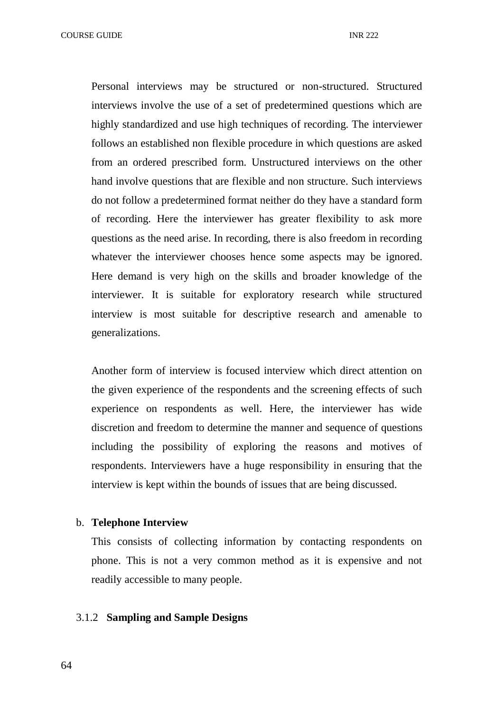COURSE GUIDE **INR** 222

Personal interviews may be structured or non-structured. Structured interviews involve the use of a set of predetermined questions which are highly standardized and use high techniques of recording. The interviewer follows an established non flexible procedure in which questions are asked from an ordered prescribed form. Unstructured interviews on the other hand involve questions that are flexible and non structure. Such interviews do not follow a predetermined format neither do they have a standard form of recording. Here the interviewer has greater flexibility to ask more questions as the need arise. In recording, there is also freedom in recording whatever the interviewer chooses hence some aspects may be ignored. Here demand is very high on the skills and broader knowledge of the interviewer. It is suitable for exploratory research while structured interview is most suitable for descriptive research and amenable to generalizations.

Another form of interview is focused interview which direct attention on the given experience of the respondents and the screening effects of such experience on respondents as well. Here, the interviewer has wide discretion and freedom to determine the manner and sequence of questions including the possibility of exploring the reasons and motives of respondents. Interviewers have a huge responsibility in ensuring that the interview is kept within the bounds of issues that are being discussed.

# b. **Telephone Interview**

This consists of collecting information by contacting respondents on phone. This is not a very common method as it is expensive and not readily accessible to many people.

## 3.1.2 **Sampling and Sample Designs**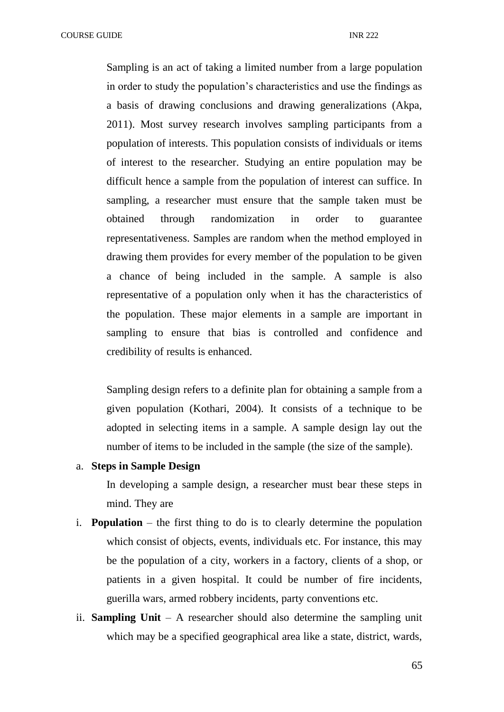COURSE GUIDE **INR** 222

Sampling is an act of taking a limited number from a large population in order to study the population's characteristics and use the findings as a basis of drawing conclusions and drawing generalizations (Akpa, 2011). Most survey research involves sampling participants from a population of interests. This population consists of individuals or items of interest to the researcher. Studying an entire population may be difficult hence a sample from the population of interest can suffice. In sampling, a researcher must ensure that the sample taken must be obtained through randomization in order to guarantee representativeness. Samples are random when the method employed in drawing them provides for every member of the population to be given a chance of being included in the sample. A sample is also representative of a population only when it has the characteristics of the population. These major elements in a sample are important in sampling to ensure that bias is controlled and confidence and credibility of results is enhanced.

Sampling design refers to a definite plan for obtaining a sample from a given population (Kothari, 2004). It consists of a technique to be adopted in selecting items in a sample. A sample design lay out the number of items to be included in the sample (the size of the sample).

#### a. **Steps in Sample Design**

In developing a sample design, a researcher must bear these steps in mind. They are

- i. **Population** the first thing to do is to clearly determine the population which consist of objects, events, individuals etc. For instance, this may be the population of a city, workers in a factory, clients of a shop, or patients in a given hospital. It could be number of fire incidents, guerilla wars, armed robbery incidents, party conventions etc.
- ii. **Sampling Unit** A researcher should also determine the sampling unit which may be a specified geographical area like a state, district, wards,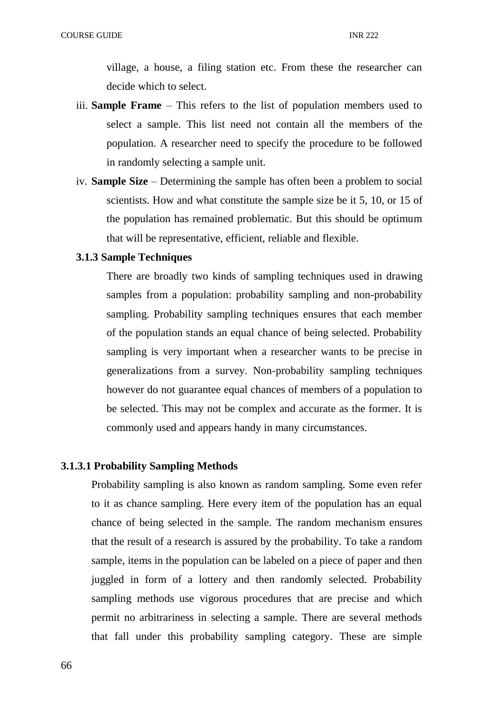village, a house, a filing station etc. From these the researcher can decide which to select.

- iii. **Sample Frame** This refers to the list of population members used to select a sample. This list need not contain all the members of the population. A researcher need to specify the procedure to be followed in randomly selecting a sample unit.
- iv. **Sample Size**  Determining the sample has often been a problem to social scientists. How and what constitute the sample size be it 5, 10, or 15 of the population has remained problematic. But this should be optimum that will be representative, efficient, reliable and flexible.

# **3.1.3 Sample Techniques**

There are broadly two kinds of sampling techniques used in drawing samples from a population: probability sampling and non-probability sampling. Probability sampling techniques ensures that each member of the population stands an equal chance of being selected. Probability sampling is very important when a researcher wants to be precise in generalizations from a survey. Non-probability sampling techniques however do not guarantee equal chances of members of a population to be selected. This may not be complex and accurate as the former. It is commonly used and appears handy in many circumstances.

#### **3.1.3.1 Probability Sampling Methods**

Probability sampling is also known as random sampling. Some even refer to it as chance sampling. Here every item of the population has an equal chance of being selected in the sample. The random mechanism ensures that the result of a research is assured by the probability. To take a random sample, items in the population can be labeled on a piece of paper and then juggled in form of a lottery and then randomly selected. Probability sampling methods use vigorous procedures that are precise and which permit no arbitrariness in selecting a sample. There are several methods that fall under this probability sampling category. These are simple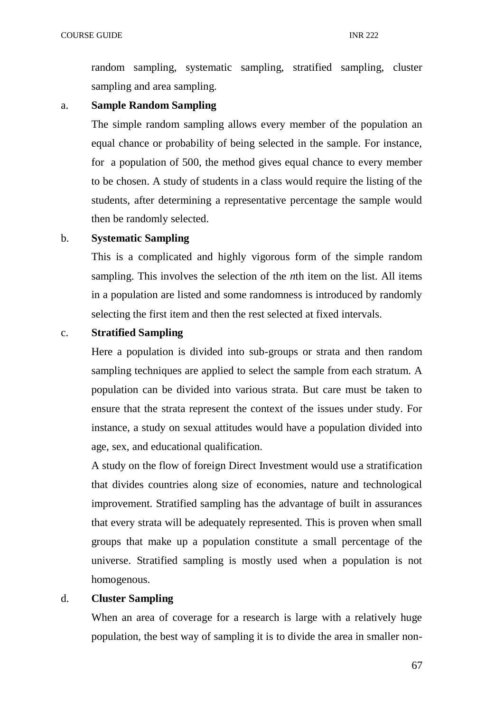random sampling, systematic sampling, stratified sampling, cluster sampling and area sampling.

# a. **Sample Random Sampling**

The simple random sampling allows every member of the population an equal chance or probability of being selected in the sample. For instance, for a population of 500, the method gives equal chance to every member to be chosen. A study of students in a class would require the listing of the students, after determining a representative percentage the sample would then be randomly selected.

# b. **Systematic Sampling**

This is a complicated and highly vigorous form of the simple random sampling. This involves the selection of the *n*th item on the list. All items in a population are listed and some randomness is introduced by randomly selecting the first item and then the rest selected at fixed intervals.

# c. **Stratified Sampling**

Here a population is divided into sub-groups or strata and then random sampling techniques are applied to select the sample from each stratum. A population can be divided into various strata. But care must be taken to ensure that the strata represent the context of the issues under study. For instance, a study on sexual attitudes would have a population divided into age, sex, and educational qualification.

A study on the flow of foreign Direct Investment would use a stratification that divides countries along size of economies, nature and technological improvement. Stratified sampling has the advantage of built in assurances that every strata will be adequately represented. This is proven when small groups that make up a population constitute a small percentage of the universe. Stratified sampling is mostly used when a population is not homogenous.

# d. **Cluster Sampling**

When an area of coverage for a research is large with a relatively huge population, the best way of sampling it is to divide the area in smaller non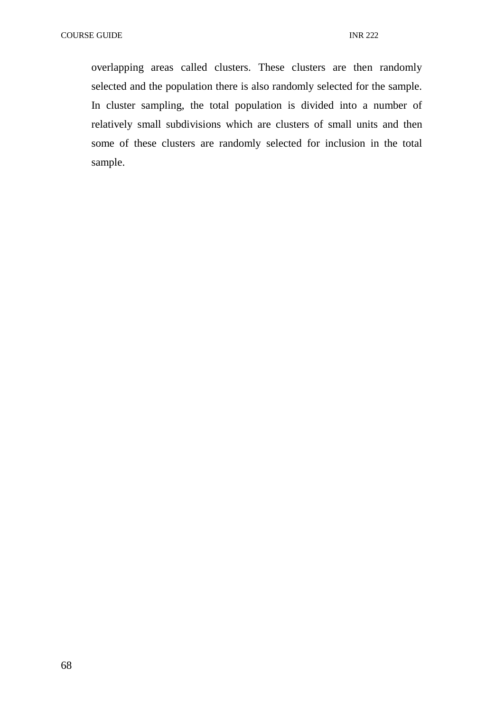overlapping areas called clusters. These clusters are then randomly selected and the population there is also randomly selected for the sample. In cluster sampling, the total population is divided into a number of relatively small subdivisions which are clusters of small units and then some of these clusters are randomly selected for inclusion in the total sample.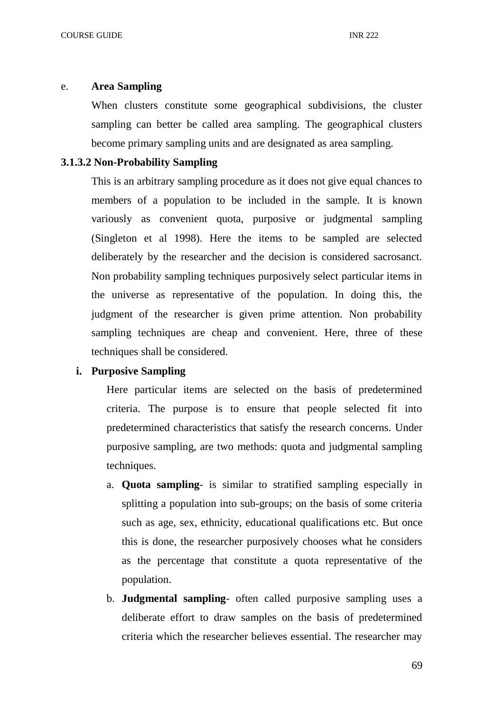#### e. **Area Sampling**

When clusters constitute some geographical subdivisions, the cluster sampling can better be called area sampling. The geographical clusters become primary sampling units and are designated as area sampling.

## **3.1.3.2 Non-Probability Sampling**

This is an arbitrary sampling procedure as it does not give equal chances to members of a population to be included in the sample. It is known variously as convenient quota, purposive or judgmental sampling (Singleton et al 1998). Here the items to be sampled are selected deliberately by the researcher and the decision is considered sacrosanct. Non probability sampling techniques purposively select particular items in the universe as representative of the population. In doing this, the judgment of the researcher is given prime attention. Non probability sampling techniques are cheap and convenient. Here, three of these techniques shall be considered.

### **i. Purposive Sampling**

Here particular items are selected on the basis of predetermined criteria. The purpose is to ensure that people selected fit into predetermined characteristics that satisfy the research concerns. Under purposive sampling, are two methods: quota and judgmental sampling techniques.

- a. **Quota sampling** is similar to stratified sampling especially in splitting a population into sub-groups; on the basis of some criteria such as age, sex, ethnicity, educational qualifications etc. But once this is done, the researcher purposively chooses what he considers as the percentage that constitute a quota representative of the population.
- b. **Judgmental sampling** often called purposive sampling uses a deliberate effort to draw samples on the basis of predetermined criteria which the researcher believes essential. The researcher may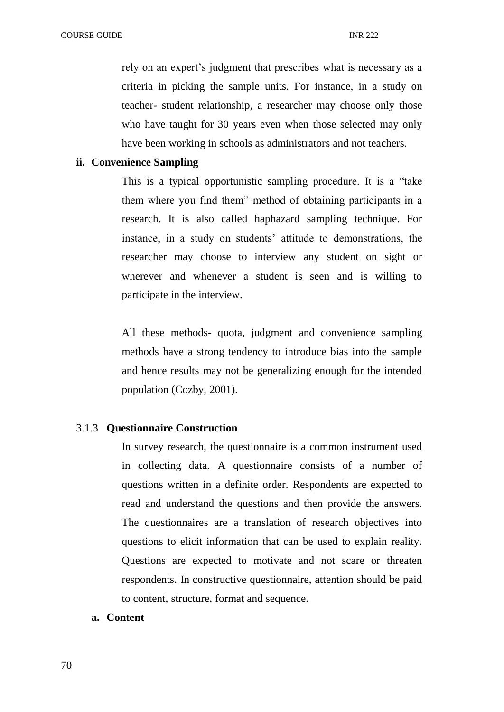rely on an expert's judgment that prescribes what is necessary as a criteria in picking the sample units. For instance, in a study on teacher- student relationship, a researcher may choose only those who have taught for 30 years even when those selected may only have been working in schools as administrators and not teachers.

### **ii. Convenience Sampling**

This is a typical opportunistic sampling procedure. It is a "take them where you find them" method of obtaining participants in a research. It is also called haphazard sampling technique. For instance, in a study on students' attitude to demonstrations, the researcher may choose to interview any student on sight or wherever and whenever a student is seen and is willing to participate in the interview.

All these methods- quota, judgment and convenience sampling methods have a strong tendency to introduce bias into the sample and hence results may not be generalizing enough for the intended population (Cozby, 2001).

### 3.1.3 **Questionnaire Construction**

In survey research, the questionnaire is a common instrument used in collecting data. A questionnaire consists of a number of questions written in a definite order. Respondents are expected to read and understand the questions and then provide the answers. The questionnaires are a translation of research objectives into questions to elicit information that can be used to explain reality. Questions are expected to motivate and not scare or threaten respondents. In constructive questionnaire, attention should be paid to content, structure, format and sequence.

## **a. Content**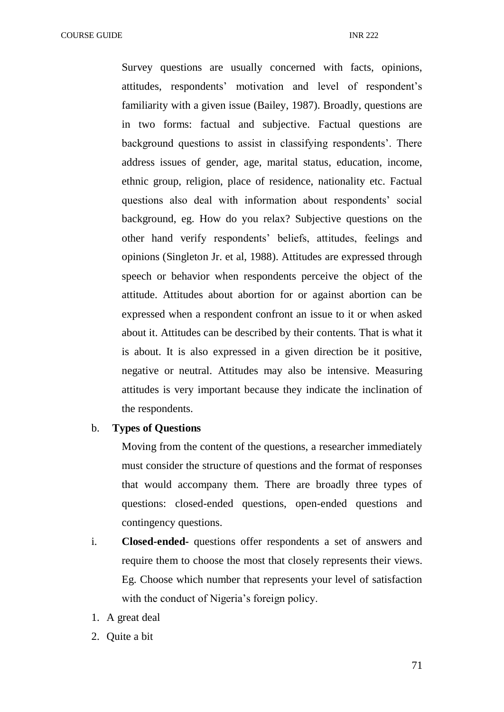Survey questions are usually concerned with facts, opinions, attitudes, respondents' motivation and level of respondent's familiarity with a given issue (Bailey, 1987). Broadly, questions are in two forms: factual and subjective. Factual questions are background questions to assist in classifying respondents'. There address issues of gender, age, marital status, education, income, ethnic group, religion, place of residence, nationality etc. Factual questions also deal with information about respondents' social background, eg. How do you relax? Subjective questions on the other hand verify respondents' beliefs, attitudes, feelings and opinions (Singleton Jr. et al, 1988). Attitudes are expressed through speech or behavior when respondents perceive the object of the attitude. Attitudes about abortion for or against abortion can be expressed when a respondent confront an issue to it or when asked about it. Attitudes can be described by their contents. That is what it is about. It is also expressed in a given direction be it positive, negative or neutral. Attitudes may also be intensive. Measuring attitudes is very important because they indicate the inclination of the respondents.

## b. **Types of Questions**

Moving from the content of the questions, a researcher immediately must consider the structure of questions and the format of responses that would accompany them. There are broadly three types of questions: closed-ended questions, open-ended questions and contingency questions.

- i. **Closed-ended-** questions offer respondents a set of answers and require them to choose the most that closely represents their views. Eg. Choose which number that represents your level of satisfaction with the conduct of Nigeria's foreign policy.
- 1. A great deal
- 2. Quite a bit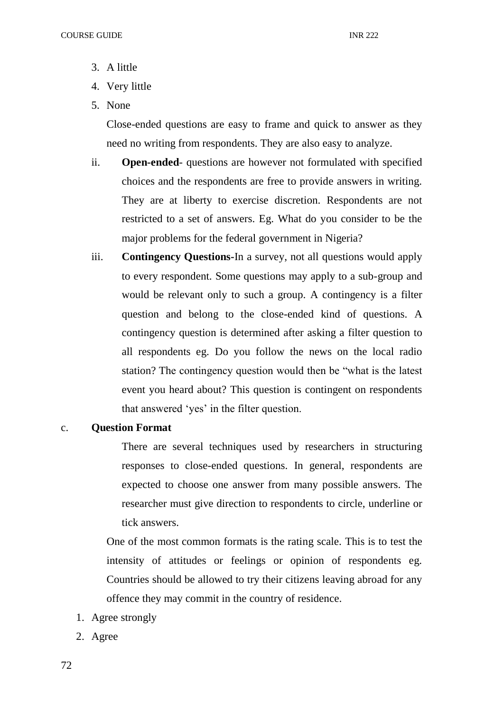- 3. A little
- 4. Very little
- 5. None

Close-ended questions are easy to frame and quick to answer as they need no writing from respondents. They are also easy to analyze.

- ii. **Open-ended** questions are however not formulated with specified choices and the respondents are free to provide answers in writing. They are at liberty to exercise discretion. Respondents are not restricted to a set of answers. Eg. What do you consider to be the major problems for the federal government in Nigeria?
- iii. **Contingency Questions-**In a survey, not all questions would apply to every respondent. Some questions may apply to a sub-group and would be relevant only to such a group. A contingency is a filter question and belong to the close-ended kind of questions. A contingency question is determined after asking a filter question to all respondents eg. Do you follow the news on the local radio station? The contingency question would then be "what is the latest event you heard about? This question is contingent on respondents that answered 'yes' in the filter question.

#### c. **Question Format**

There are several techniques used by researchers in structuring responses to close-ended questions. In general, respondents are expected to choose one answer from many possible answers. The researcher must give direction to respondents to circle, underline or tick answers.

One of the most common formats is the rating scale. This is to test the intensity of attitudes or feelings or opinion of respondents eg. Countries should be allowed to try their citizens leaving abroad for any offence they may commit in the country of residence.

- 1. Agree strongly
- 2. Agree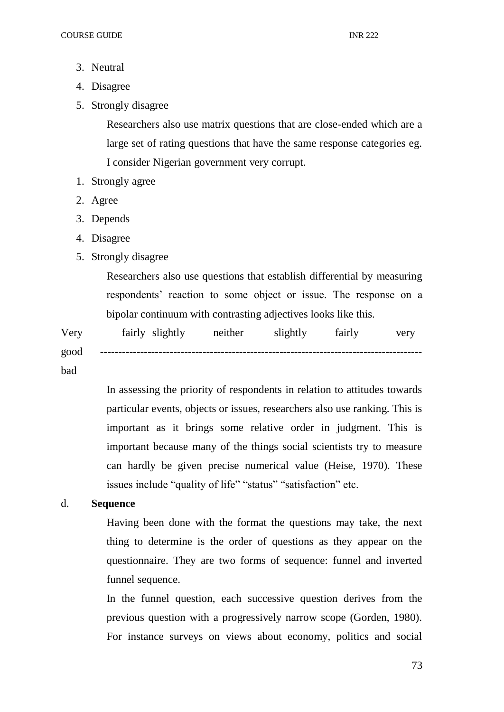- 3. Neutral
- 4. Disagree
- 5. Strongly disagree

Researchers also use matrix questions that are close-ended which are a large set of rating questions that have the same response categories eg. I consider Nigerian government very corrupt.

- 1. Strongly agree
- 2. Agree
- 3. Depends
- 4. Disagree
- 5. Strongly disagree

Researchers also use questions that establish differential by measuring respondents' reaction to some object or issue. The response on a bipolar continuum with contrasting adjectives looks like this.

| Very | fairly slightly | neither slightly fairly | very |
|------|-----------------|-------------------------|------|
| good |                 |                         |      |
|      |                 |                         |      |

bad

In assessing the priority of respondents in relation to attitudes towards particular events, objects or issues, researchers also use ranking. This is important as it brings some relative order in judgment. This is important because many of the things social scientists try to measure can hardly be given precise numerical value (Heise, 1970). These issues include "quality of life" "status" "satisfaction" etc.

## d. **Sequence**

Having been done with the format the questions may take, the next thing to determine is the order of questions as they appear on the questionnaire. They are two forms of sequence: funnel and inverted funnel sequence.

In the funnel question, each successive question derives from the previous question with a progressively narrow scope (Gorden, 1980). For instance surveys on views about economy, politics and social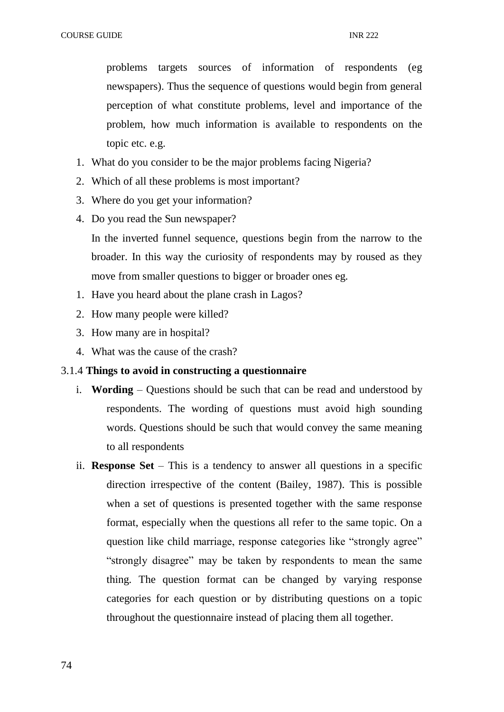problems targets sources of information of respondents (eg newspapers). Thus the sequence of questions would begin from general perception of what constitute problems, level and importance of the problem, how much information is available to respondents on the topic etc. e.g.

- 1. What do you consider to be the major problems facing Nigeria?
- 2. Which of all these problems is most important?
- 3. Where do you get your information?
- 4. Do you read the Sun newspaper? In the inverted funnel sequence, questions begin from the narrow to the broader. In this way the curiosity of respondents may by roused as they move from smaller questions to bigger or broader ones eg.
- 1. Have you heard about the plane crash in Lagos?
- 2. How many people were killed?
- 3. How many are in hospital?
- 4. What was the cause of the crash?

# 3.1.4 **Things to avoid in constructing a questionnaire**

- i. **Wording**  Questions should be such that can be read and understood by respondents. The wording of questions must avoid high sounding words. Questions should be such that would convey the same meaning to all respondents
- ii. **Response Set**  This is a tendency to answer all questions in a specific direction irrespective of the content (Bailey, 1987). This is possible when a set of questions is presented together with the same response format, especially when the questions all refer to the same topic. On a question like child marriage, response categories like "strongly agree" "strongly disagree" may be taken by respondents to mean the same thing. The question format can be changed by varying response categories for each question or by distributing questions on a topic throughout the questionnaire instead of placing them all together.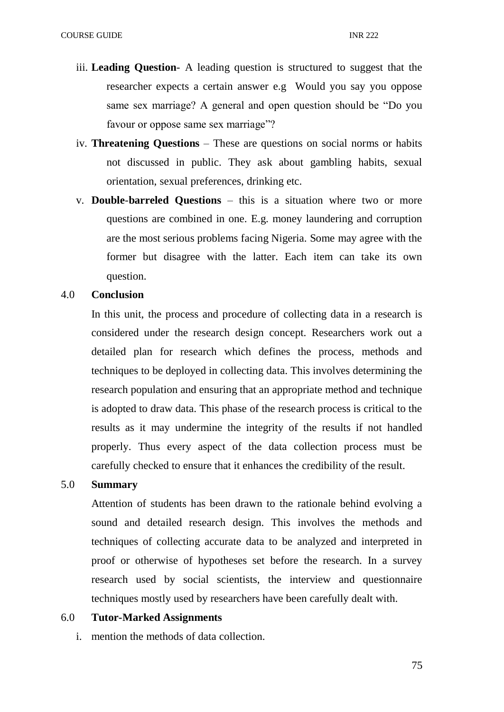- iii. **Leading Question** A leading question is structured to suggest that the researcher expects a certain answer e.g Would you say you oppose same sex marriage? A general and open question should be "Do you favour or oppose same sex marriage"?
- iv. **Threatening Questions**  These are questions on social norms or habits not discussed in public. They ask about gambling habits, sexual orientation, sexual preferences, drinking etc.
- v. **Double**-**barreled Questions** this is a situation where two or more questions are combined in one. E.g. money laundering and corruption are the most serious problems facing Nigeria. Some may agree with the former but disagree with the latter. Each item can take its own question.

### 4.0 **Conclusion**

In this unit, the process and procedure of collecting data in a research is considered under the research design concept. Researchers work out a detailed plan for research which defines the process, methods and techniques to be deployed in collecting data. This involves determining the research population and ensuring that an appropriate method and technique is adopted to draw data. This phase of the research process is critical to the results as it may undermine the integrity of the results if not handled properly. Thus every aspect of the data collection process must be carefully checked to ensure that it enhances the credibility of the result.

### 5.0 **Summary**

Attention of students has been drawn to the rationale behind evolving a sound and detailed research design. This involves the methods and techniques of collecting accurate data to be analyzed and interpreted in proof or otherwise of hypotheses set before the research. In a survey research used by social scientists, the interview and questionnaire techniques mostly used by researchers have been carefully dealt with.

## 6.0 **Tutor-Marked Assignments**

i. mention the methods of data collection.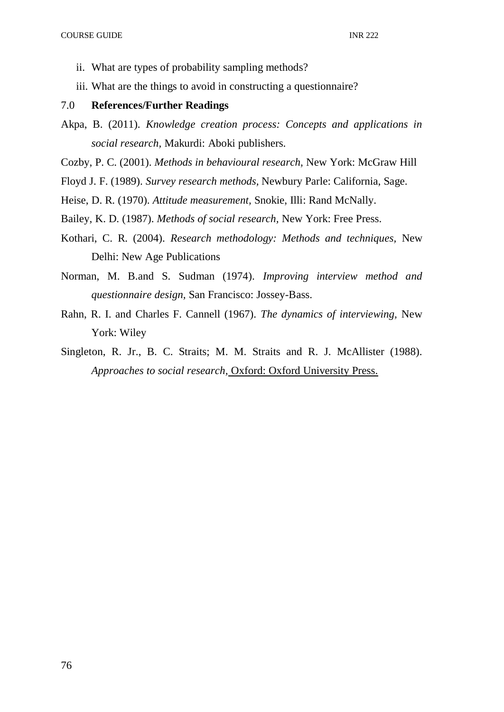- ii. What are types of probability sampling methods?
- iii. What are the things to avoid in constructing a questionnaire?

### 7.0 **References/Further Readings**

- Akpa, B. (2011). *Knowledge creation process: Concepts and applications in social research,* Makurdi: Aboki publishers.
- Cozby, P. C. (2001). *Methods in behavioural research,* New York: McGraw Hill
- Floyd J. F. (1989). *Survey research methods,* Newbury Parle: California, Sage.
- Heise, D. R. (1970). *Attitude measurement,* Snokie, Illi: Rand McNally.
- Bailey, K. D. (1987). *Methods of social research,* New York: Free Press.
- Kothari, C. R. (2004). *Research methodology: Methods and techniques,* New Delhi: New Age Publications
- Norman, M. B.and S. Sudman (1974). *Improving interview method and questionnaire design,* San Francisco: Jossey-Bass.
- Rahn, R. I. and Charles F. Cannell (1967). *The dynamics of interviewing,* New York: Wiley
- Singleton, R. Jr., B. C. Straits; M. M. Straits and R. J. McAllister (1988). *Approaches to social research,* Oxford: Oxford University Press.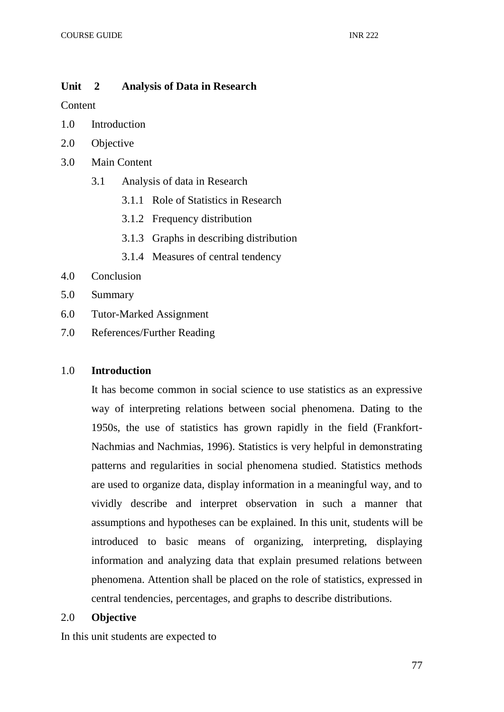# **Unit 2 Analysis of Data in Research**

Content

- 1.0 Introduction
- 2.0 Objective
- 3.0 Main Content
	- 3.1 Analysis of data in Research
		- 3.1.1 Role of Statistics in Research
		- 3.1.2 Frequency distribution
		- 3.1.3 Graphs in describing distribution
		- 3.1.4 Measures of central tendency
- 4.0 Conclusion
- 5.0 Summary
- 6.0 Tutor-Marked Assignment
- 7.0 References/Further Reading

# 1.0 **Introduction**

It has become common in social science to use statistics as an expressive way of interpreting relations between social phenomena. Dating to the 1950s, the use of statistics has grown rapidly in the field (Frankfort-Nachmias and Nachmias, 1996). Statistics is very helpful in demonstrating patterns and regularities in social phenomena studied. Statistics methods are used to organize data, display information in a meaningful way, and to vividly describe and interpret observation in such a manner that assumptions and hypotheses can be explained. In this unit, students will be introduced to basic means of organizing, interpreting, displaying information and analyzing data that explain presumed relations between phenomena. Attention shall be placed on the role of statistics, expressed in central tendencies, percentages, and graphs to describe distributions.

# 2.0 **Objective**

In this unit students are expected to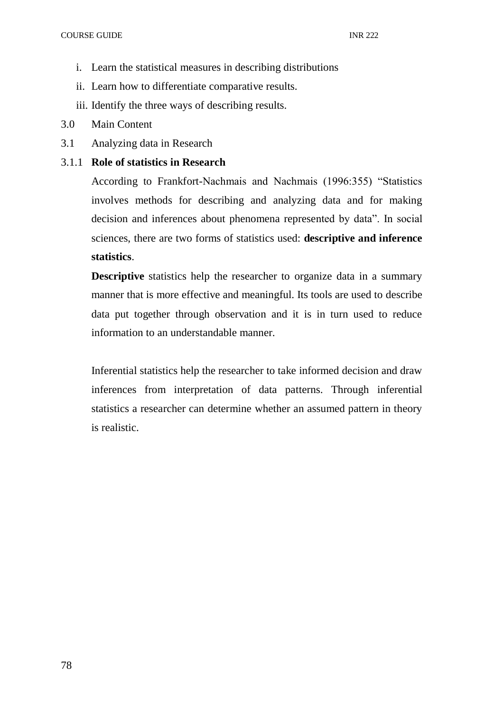- i. Learn the statistical measures in describing distributions
- ii. Learn how to differentiate comparative results.
- iii. Identify the three ways of describing results.
- 3.0 Main Content
- 3.1 Analyzing data in Research

## 3.1.1 **Role of statistics in Research**

According to Frankfort-Nachmais and Nachmais (1996:355) "Statistics involves methods for describing and analyzing data and for making decision and inferences about phenomena represented by data". In social sciences, there are two forms of statistics used: **descriptive and inference statistics**.

**Descriptive** statistics help the researcher to organize data in a summary manner that is more effective and meaningful. Its tools are used to describe data put together through observation and it is in turn used to reduce information to an understandable manner.

Inferential statistics help the researcher to take informed decision and draw inferences from interpretation of data patterns. Through inferential statistics a researcher can determine whether an assumed pattern in theory is realistic.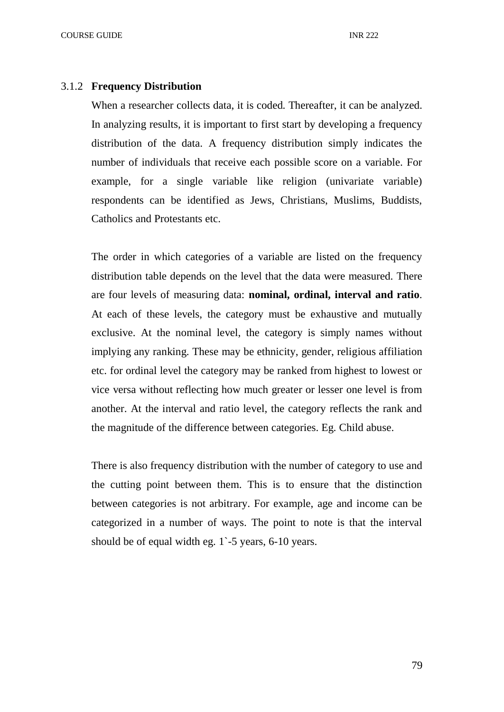#### 3.1.2 **Frequency Distribution**

When a researcher collects data, it is coded. Thereafter, it can be analyzed. In analyzing results, it is important to first start by developing a frequency distribution of the data. A frequency distribution simply indicates the number of individuals that receive each possible score on a variable. For example, for a single variable like religion (univariate variable) respondents can be identified as Jews, Christians, Muslims, Buddists, Catholics and Protestants etc.

The order in which categories of a variable are listed on the frequency distribution table depends on the level that the data were measured. There are four levels of measuring data: **nominal, ordinal, interval and ratio**. At each of these levels, the category must be exhaustive and mutually exclusive. At the nominal level, the category is simply names without implying any ranking. These may be ethnicity, gender, religious affiliation etc. for ordinal level the category may be ranked from highest to lowest or vice versa without reflecting how much greater or lesser one level is from another. At the interval and ratio level, the category reflects the rank and the magnitude of the difference between categories. Eg. Child abuse.

There is also frequency distribution with the number of category to use and the cutting point between them. This is to ensure that the distinction between categories is not arbitrary. For example, age and income can be categorized in a number of ways. The point to note is that the interval should be of equal width eg. 1`-5 years, 6-10 years.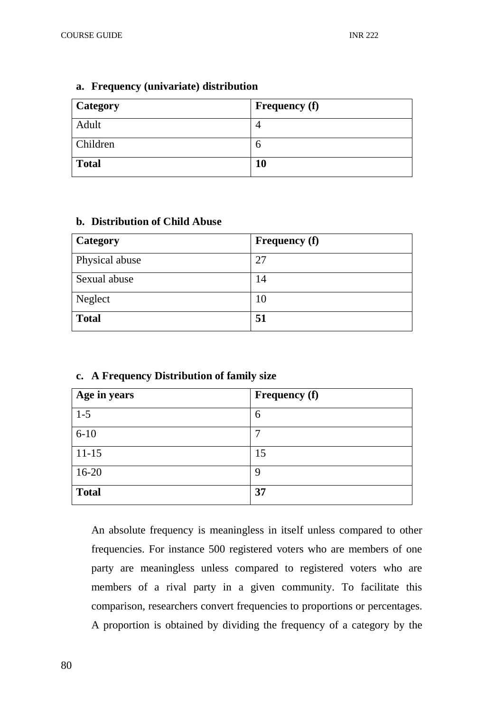| Category     | <b>Frequency</b> (f) |
|--------------|----------------------|
| Adult        |                      |
| Children     | n                    |
| <b>Total</b> | 10                   |

#### **a. Frequency (univariate) distribution**

### **b. Distribution of Child Abuse**

| <b>Category</b> | <b>Frequency (f)</b> |
|-----------------|----------------------|
| Physical abuse  | 27                   |
| Sexual abuse    | 14                   |
| Neglect         | 10                   |
| <b>Total</b>    | 51                   |

| Age in years | <b>Frequency (f)</b> |
|--------------|----------------------|
| $1-5$        | 6                    |
| $6 - 10$     |                      |
| $11 - 15$    | 15                   |
| $16-20$      | 9                    |
| <b>Total</b> | 37                   |

### **c. A Frequency Distribution of family size**

An absolute frequency is meaningless in itself unless compared to other frequencies. For instance 500 registered voters who are members of one party are meaningless unless compared to registered voters who are members of a rival party in a given community. To facilitate this comparison, researchers convert frequencies to proportions or percentages. A proportion is obtained by dividing the frequency of a category by the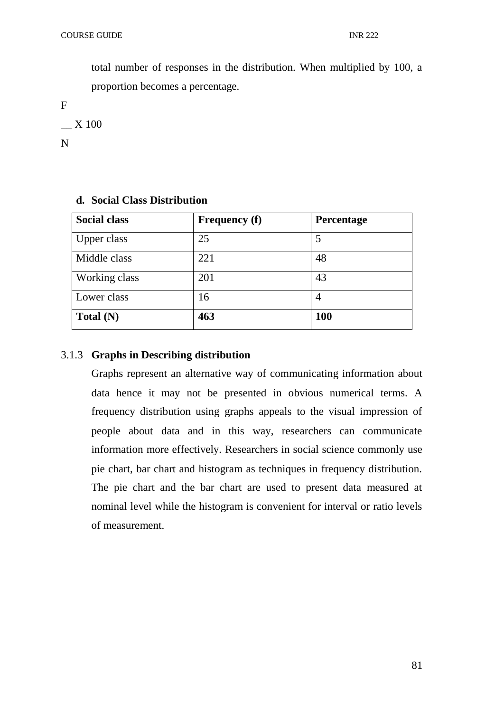total number of responses in the distribution. When multiplied by 100, a proportion becomes a percentage.

F

\_\_ X 100

N

| <b>Social class</b> | <b>Frequency (f)</b> | <b>Percentage</b> |
|---------------------|----------------------|-------------------|
| Upper class         | 25                   | 5                 |
| Middle class        | 221                  | 48                |
| Working class       | 201                  | 43                |
| Lower class         | 16                   | 4                 |
| Total $(N)$         | 463                  | 100               |

# **d. Social Class Distribution**

# 3.1.3 **Graphs in Describing distribution**

Graphs represent an alternative way of communicating information about data hence it may not be presented in obvious numerical terms. A frequency distribution using graphs appeals to the visual impression of people about data and in this way, researchers can communicate information more effectively. Researchers in social science commonly use pie chart, bar chart and histogram as techniques in frequency distribution. The pie chart and the bar chart are used to present data measured at nominal level while the histogram is convenient for interval or ratio levels of measurement.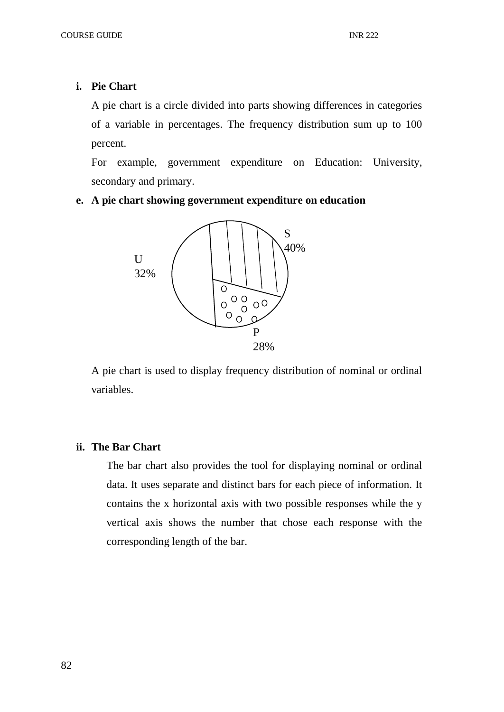## **i. Pie Chart**

A pie chart is a circle divided into parts showing differences in categories of a variable in percentages. The frequency distribution sum up to 100 percent.

For example, government expenditure on Education: University, secondary and primary.

# **e. A pie chart showing government expenditure on education**



A pie chart is used to display frequency distribution of nominal or ordinal variables.

## **ii. The Bar Chart**

The bar chart also provides the tool for displaying nominal or ordinal data. It uses separate and distinct bars for each piece of information. It contains the x horizontal axis with two possible responses while the y vertical axis shows the number that chose each response with the corresponding length of the bar.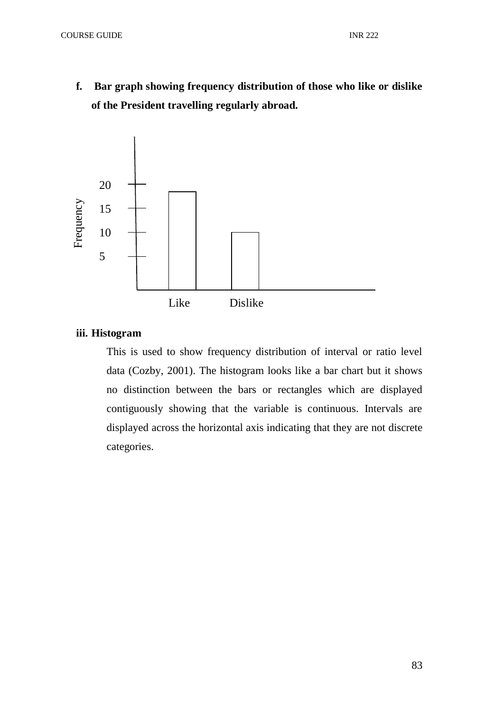**f. Bar graph showing frequency distribution of those who like or dislike of the President travelling regularly abroad.**



# **iii. Histogram**

This is used to show frequency distribution of interval or ratio level data (Cozby, 2001). The histogram looks like a bar chart but it shows no distinction between the bars or rectangles which are displayed contiguously showing that the variable is continuous. Intervals are displayed across the horizontal axis indicating that they are not discrete categories.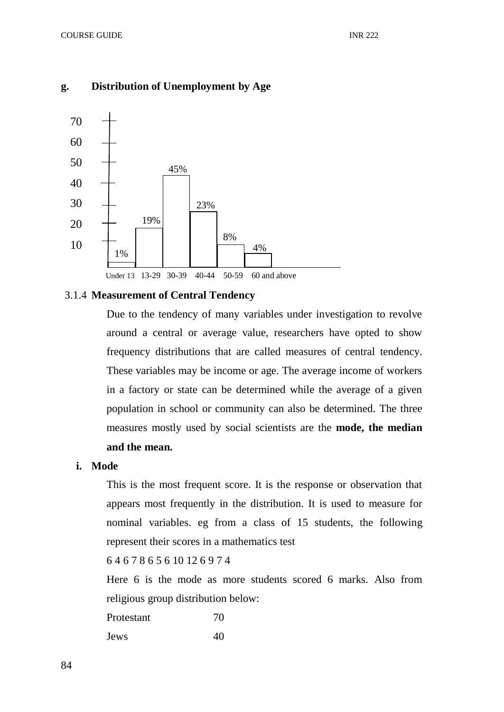# **g. Distribution of Unemployment by Age**



#### 3.1.4 **Measurement of Central Tendency**

Due to the tendency of many variables under investigation to revolve around a central or average value, researchers have opted to show frequency distributions that are called measures of central tendency. These variables may be income or age. The average income of workers in a factory or state can be determined while the average of a given population in school or community can also be determined. The three measures mostly used by social scientists are the **mode, the median and the mean.** 

#### **i. Mode**

This is the most frequent score. It is the response or observation that appears most frequently in the distribution. It is used to measure for nominal variables. eg from a class of 15 students, the following represent their scores in a mathematics test

## 6 4 6 7 8 6 5 6 10 12 6 9 7 4

Here 6 is the mode as more students scored 6 marks. Also from religious group distribution below:

Protestant 70 Jews 40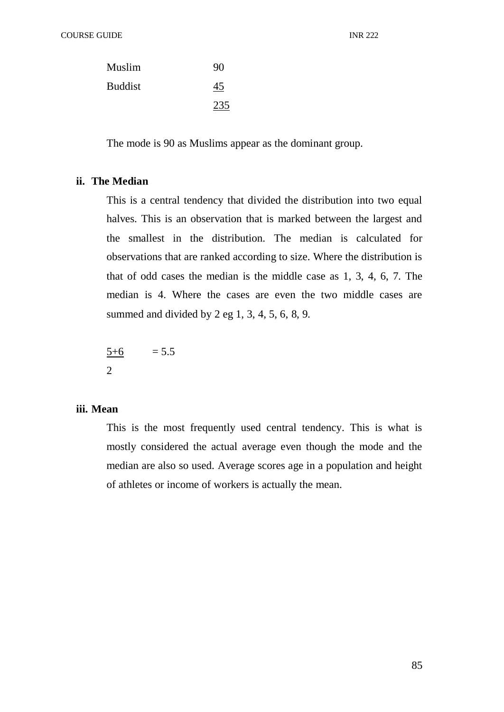| Muslim  | 90  |
|---------|-----|
| Buddist | 45  |
|         | 235 |

The mode is 90 as Muslims appear as the dominant group.

## **ii. The Median**

This is a central tendency that divided the distribution into two equal halves. This is an observation that is marked between the largest and the smallest in the distribution. The median is calculated for observations that are ranked according to size. Where the distribution is that of odd cases the median is the middle case as 1, 3, 4, 6, 7. The median is 4. Where the cases are even the two middle cases are summed and divided by 2 eg 1, 3, 4, 5, 6, 8, 9.

 $\frac{5+6}{5}$  = 5.5 2

### **iii. Mean**

This is the most frequently used central tendency. This is what is mostly considered the actual average even though the mode and the median are also so used. Average scores age in a population and height of athletes or income of workers is actually the mean.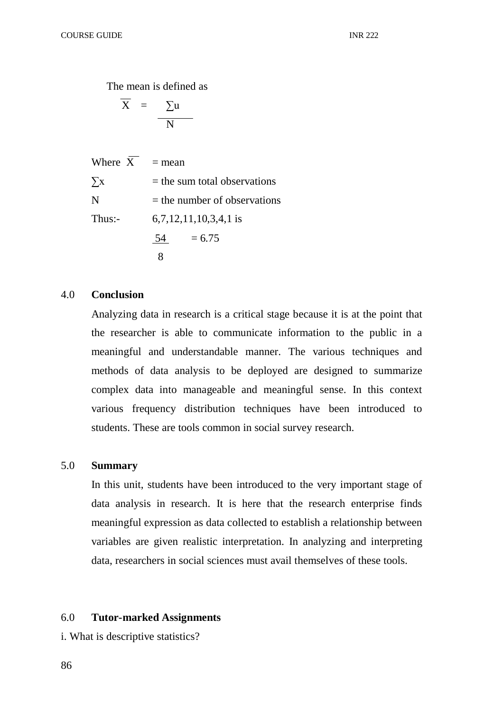The mean is defined as

$$
\overline{X} = \underline{\sum u}
$$

Where  $\overline{X}$  = mean  $\Sigma$ x = the sum total observations  $N =$  the number of observations Thus:- 6,7,12,11,10,3,4,1 is 54  $= 6.75$ 8

#### 4.0 **Conclusion**

Analyzing data in research is a critical stage because it is at the point that the researcher is able to communicate information to the public in a meaningful and understandable manner. The various techniques and methods of data analysis to be deployed are designed to summarize complex data into manageable and meaningful sense. In this context various frequency distribution techniques have been introduced to students. These are tools common in social survey research.

#### 5.0 **Summary**

In this unit, students have been introduced to the very important stage of data analysis in research. It is here that the research enterprise finds meaningful expression as data collected to establish a relationship between variables are given realistic interpretation. In analyzing and interpreting data, researchers in social sciences must avail themselves of these tools.

## 6.0 **Tutor-marked Assignments**

i. What is descriptive statistics?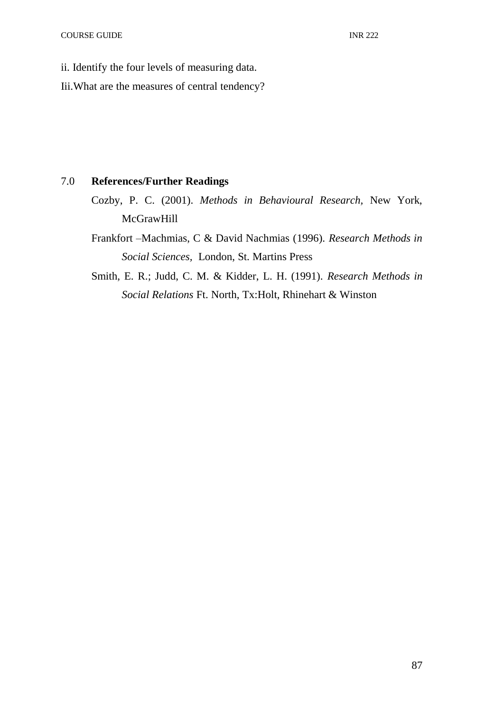- ii. Identify the four levels of measuring data.
- Iii.What are the measures of central tendency?

## 7.0 **References/Further Readings**

- Cozby, P. C. (2001). *Methods in Behavioural Research,* New York, **McGrawHill**
- Frankfort –Machmias, C & David Nachmias (1996). *Research Methods in Social Sciences,* London, St. Martins Press
- Smith, E. R.; Judd, C. M. & Kidder, L. H. (1991). *Research Methods in Social Relations* Ft. North, Tx:Holt, Rhinehart & Winston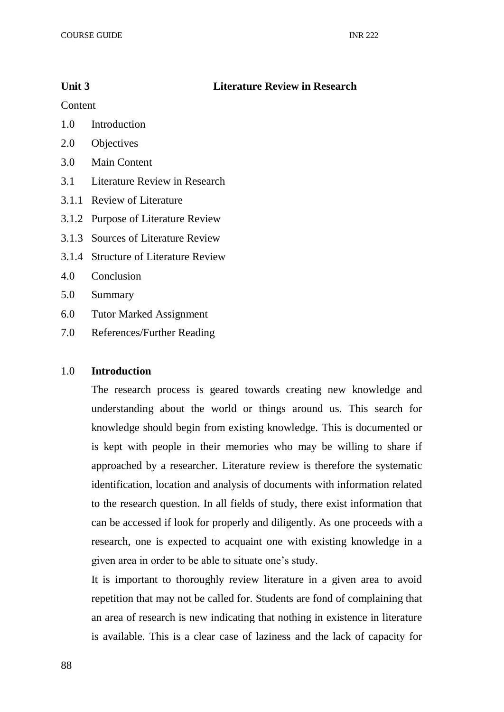## **Unit 3 Literature Review in Research**

Content

- 1.0 Introduction
- 2.0 Objectives
- 3.0 Main Content
- 3.1 Literature Review in Research
- 3.1.1 Review of Literature
- 3.1.2 Purpose of Literature Review
- 3.1.3 Sources of Literature Review
- 3.1.4 Structure of Literature Review
- 4.0 Conclusion
- 5.0 Summary
- 6.0 Tutor Marked Assignment
- 7.0 References/Further Reading

#### 1.0 **Introduction**

The research process is geared towards creating new knowledge and understanding about the world or things around us. This search for knowledge should begin from existing knowledge. This is documented or is kept with people in their memories who may be willing to share if approached by a researcher. Literature review is therefore the systematic identification, location and analysis of documents with information related to the research question. In all fields of study, there exist information that can be accessed if look for properly and diligently. As one proceeds with a research, one is expected to acquaint one with existing knowledge in a given area in order to be able to situate one's study.

It is important to thoroughly review literature in a given area to avoid repetition that may not be called for. Students are fond of complaining that an area of research is new indicating that nothing in existence in literature is available. This is a clear case of laziness and the lack of capacity for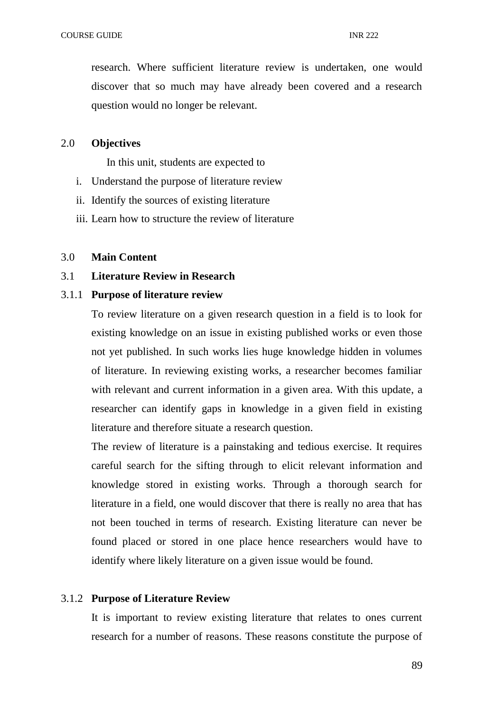research. Where sufficient literature review is undertaken, one would discover that so much may have already been covered and a research question would no longer be relevant.

### 2.0 **Objectives**

In this unit, students are expected to

- i. Understand the purpose of literature review
- ii. Identify the sources of existing literature
- iii. Learn how to structure the review of literature

## 3.0 **Main Content**

3.1 **Literature Review in Research**

#### 3.1.1 **Purpose of literature review**

To review literature on a given research question in a field is to look for existing knowledge on an issue in existing published works or even those not yet published. In such works lies huge knowledge hidden in volumes of literature. In reviewing existing works, a researcher becomes familiar with relevant and current information in a given area. With this update, a researcher can identify gaps in knowledge in a given field in existing literature and therefore situate a research question.

The review of literature is a painstaking and tedious exercise. It requires careful search for the sifting through to elicit relevant information and knowledge stored in existing works. Through a thorough search for literature in a field, one would discover that there is really no area that has not been touched in terms of research. Existing literature can never be found placed or stored in one place hence researchers would have to identify where likely literature on a given issue would be found.

### 3.1.2 **Purpose of Literature Review**

It is important to review existing literature that relates to ones current research for a number of reasons. These reasons constitute the purpose of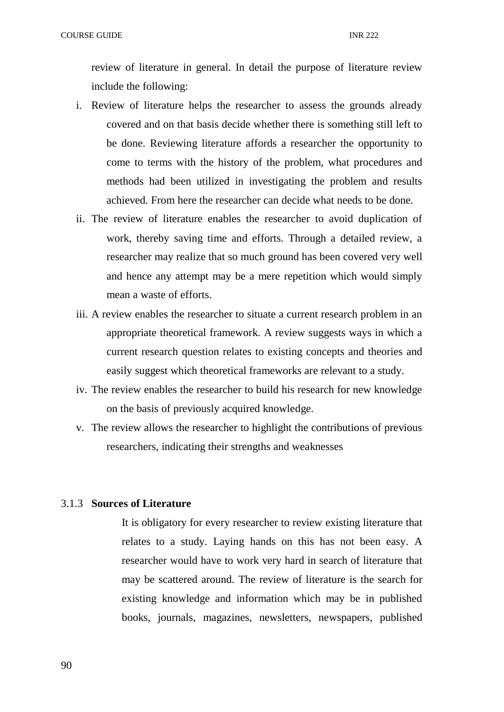review of literature in general. In detail the purpose of literature review include the following:

- i. Review of literature helps the researcher to assess the grounds already covered and on that basis decide whether there is something still left to be done. Reviewing literature affords a researcher the opportunity to come to terms with the history of the problem, what procedures and methods had been utilized in investigating the problem and results achieved. From here the researcher can decide what needs to be done.
- ii. The review of literature enables the researcher to avoid duplication of work, thereby saving time and efforts. Through a detailed review, a researcher may realize that so much ground has been covered very well and hence any attempt may be a mere repetition which would simply mean a waste of efforts.
- iii. A review enables the researcher to situate a current research problem in an appropriate theoretical framework. A review suggests ways in which a current research question relates to existing concepts and theories and easily suggest which theoretical frameworks are relevant to a study.
- iv. The review enables the researcher to build his research for new knowledge on the basis of previously acquired knowledge.
- v. The review allows the researcher to highlight the contributions of previous researchers, indicating their strengths and weaknesses

### 3.1.3 **Sources of Literature**

It is obligatory for every researcher to review existing literature that relates to a study. Laying hands on this has not been easy. A researcher would have to work very hard in search of literature that may be scattered around. The review of literature is the search for existing knowledge and information which may be in published books, journals, magazines, newsletters, newspapers, published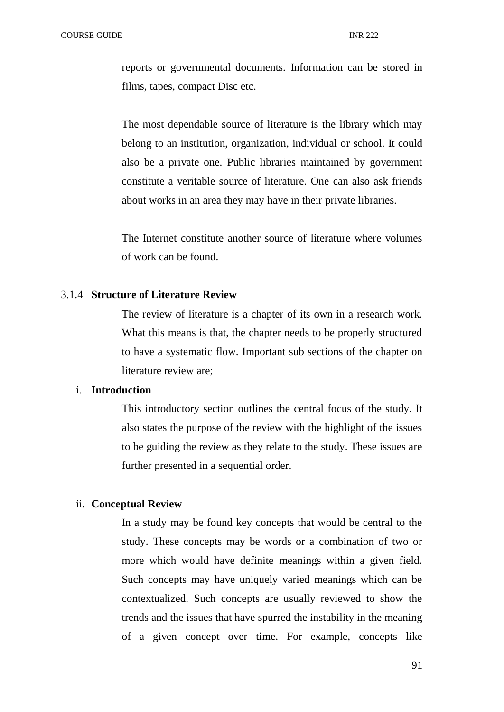reports or governmental documents. Information can be stored in films, tapes, compact Disc etc.

The most dependable source of literature is the library which may belong to an institution, organization, individual or school. It could also be a private one. Public libraries maintained by government constitute a veritable source of literature. One can also ask friends about works in an area they may have in their private libraries.

The Internet constitute another source of literature where volumes of work can be found.

### 3.1.4 **Structure of Literature Review**

The review of literature is a chapter of its own in a research work. What this means is that, the chapter needs to be properly structured to have a systematic flow. Important sub sections of the chapter on literature review are;

### i. **Introduction**

This introductory section outlines the central focus of the study. It also states the purpose of the review with the highlight of the issues to be guiding the review as they relate to the study. These issues are further presented in a sequential order.

### ii. **Conceptual Review**

In a study may be found key concepts that would be central to the study. These concepts may be words or a combination of two or more which would have definite meanings within a given field. Such concepts may have uniquely varied meanings which can be contextualized. Such concepts are usually reviewed to show the trends and the issues that have spurred the instability in the meaning of a given concept over time. For example, concepts like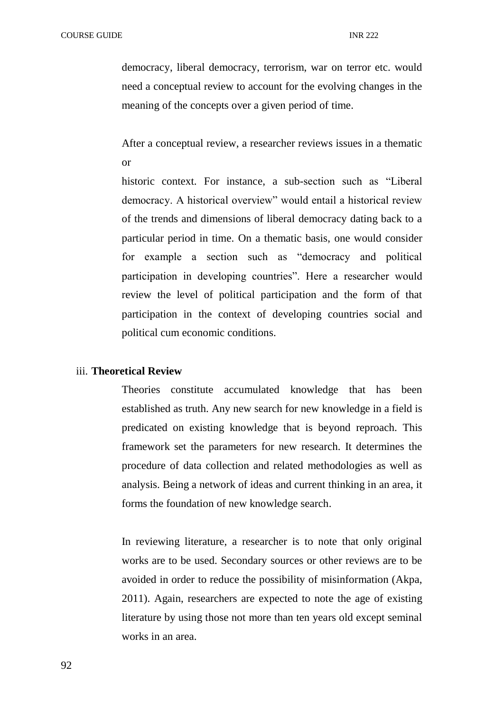democracy, liberal democracy, terrorism, war on terror etc. would need a conceptual review to account for the evolving changes in the meaning of the concepts over a given period of time.

After a conceptual review, a researcher reviews issues in a thematic or

historic context. For instance, a sub-section such as "Liberal democracy. A historical overview" would entail a historical review of the trends and dimensions of liberal democracy dating back to a particular period in time. On a thematic basis, one would consider for example a section such as "democracy and political participation in developing countries". Here a researcher would review the level of political participation and the form of that participation in the context of developing countries social and political cum economic conditions.

#### iii. **Theoretical Review**

Theories constitute accumulated knowledge that has been established as truth. Any new search for new knowledge in a field is predicated on existing knowledge that is beyond reproach. This framework set the parameters for new research. It determines the procedure of data collection and related methodologies as well as analysis. Being a network of ideas and current thinking in an area, it forms the foundation of new knowledge search.

In reviewing literature, a researcher is to note that only original works are to be used. Secondary sources or other reviews are to be avoided in order to reduce the possibility of misinformation (Akpa, 2011). Again, researchers are expected to note the age of existing literature by using those not more than ten years old except seminal works in an area.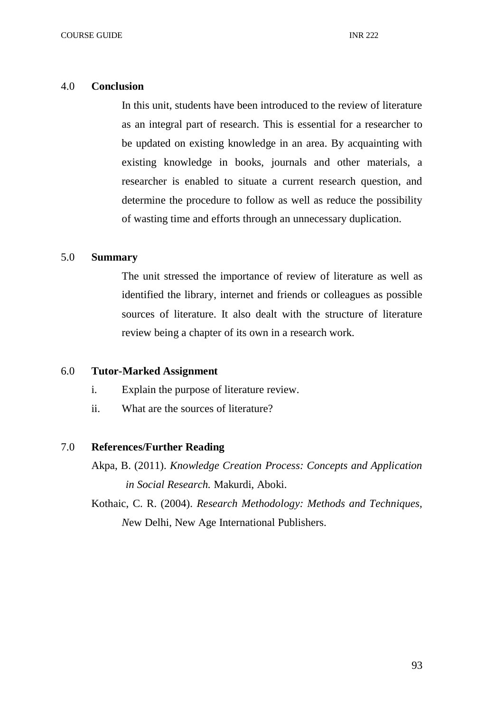# 4.0 **Conclusion**

In this unit, students have been introduced to the review of literature as an integral part of research. This is essential for a researcher to be updated on existing knowledge in an area. By acquainting with existing knowledge in books, journals and other materials, a researcher is enabled to situate a current research question, and determine the procedure to follow as well as reduce the possibility of wasting time and efforts through an unnecessary duplication.

### 5.0 **Summary**

The unit stressed the importance of review of literature as well as identified the library, internet and friends or colleagues as possible sources of literature. It also dealt with the structure of literature review being a chapter of its own in a research work.

#### 6.0 **Tutor-Marked Assignment**

- i. Explain the purpose of literature review.
- ii. What are the sources of literature?

#### 7.0 **References/Further Reading**

Akpa, B. (2011). *Knowledge Creation Process: Concepts and Application in Social Research.* Makurdi, Aboki.

Kothaic, C. R. (2004). *Research Methodology: Methods and Techniques, N*ew Delhi, New Age International Publishers.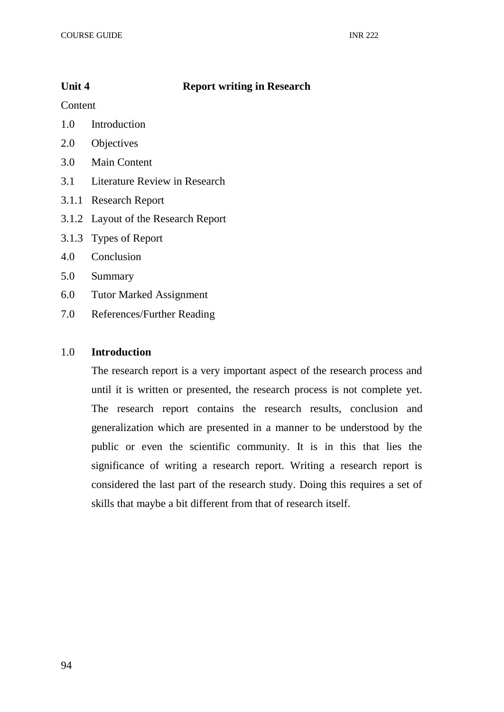# **Unit 4 Report writing in Research**

Content

- 1.0 Introduction
- 2.0 Objectives
- 3.0 Main Content
- 3.1 Literature Review in Research
- 3.1.1 Research Report
- 3.1.2 Layout of the Research Report
- 3.1.3 Types of Report
- 4.0 Conclusion
- 5.0 Summary
- 6.0 Tutor Marked Assignment
- 7.0 References/Further Reading

## 1.0 **Introduction**

The research report is a very important aspect of the research process and until it is written or presented, the research process is not complete yet. The research report contains the research results, conclusion and generalization which are presented in a manner to be understood by the public or even the scientific community. It is in this that lies the significance of writing a research report. Writing a research report is considered the last part of the research study. Doing this requires a set of skills that maybe a bit different from that of research itself.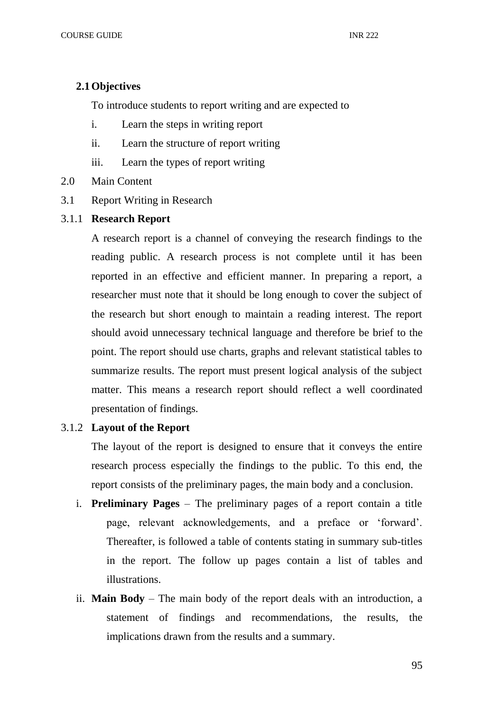#### **2.1Objectives**

To introduce students to report writing and are expected to

- i. Learn the steps in writing report
- ii. Learn the structure of report writing
- iii. Learn the types of report writing
- 2.0 Main Content
- 3.1 Report Writing in Research
- 3.1.1 **Research Report**

A research report is a channel of conveying the research findings to the reading public. A research process is not complete until it has been reported in an effective and efficient manner. In preparing a report, a researcher must note that it should be long enough to cover the subject of the research but short enough to maintain a reading interest. The report should avoid unnecessary technical language and therefore be brief to the point. The report should use charts, graphs and relevant statistical tables to summarize results. The report must present logical analysis of the subject matter. This means a research report should reflect a well coordinated presentation of findings.

## 3.1.2 **Layout of the Report**

The layout of the report is designed to ensure that it conveys the entire research process especially the findings to the public. To this end, the report consists of the preliminary pages, the main body and a conclusion.

- i. **Preliminary Pages** The preliminary pages of a report contain a title page, relevant acknowledgements, and a preface or 'forward'. Thereafter, is followed a table of contents stating in summary sub-titles in the report. The follow up pages contain a list of tables and illustrations.
- ii. **Main Body** The main body of the report deals with an introduction, a statement of findings and recommendations, the results, the implications drawn from the results and a summary.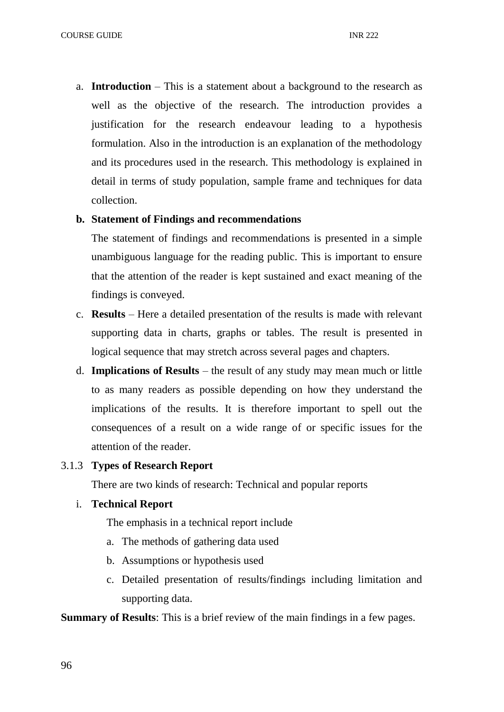a. **Introduction** – This is a statement about a background to the research as well as the objective of the research. The introduction provides a justification for the research endeavour leading to a hypothesis formulation. Also in the introduction is an explanation of the methodology and its procedures used in the research. This methodology is explained in detail in terms of study population, sample frame and techniques for data collection.

#### **b. Statement of Findings and recommendations**

The statement of findings and recommendations is presented in a simple unambiguous language for the reading public. This is important to ensure that the attention of the reader is kept sustained and exact meaning of the findings is conveyed.

- c. **Results**  Here a detailed presentation of the results is made with relevant supporting data in charts, graphs or tables. The result is presented in logical sequence that may stretch across several pages and chapters.
- d. **Implications of Results** the result of any study may mean much or little to as many readers as possible depending on how they understand the implications of the results. It is therefore important to spell out the consequences of a result on a wide range of or specific issues for the attention of the reader.

#### 3.1.3 **Types of Research Report**

There are two kinds of research: Technical and popular reports

## i. **Technical Report**

The emphasis in a technical report include

- a. The methods of gathering data used
- b. Assumptions or hypothesis used
- c. Detailed presentation of results/findings including limitation and supporting data.

**Summary of Results**: This is a brief review of the main findings in a few pages.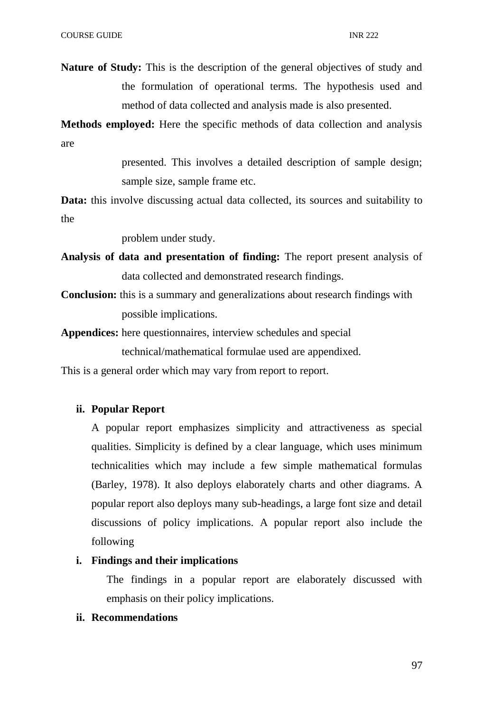**Nature of Study:** This is the description of the general objectives of study and the formulation of operational terms. The hypothesis used and method of data collected and analysis made is also presented.

**Methods employed:** Here the specific methods of data collection and analysis are

> presented. This involves a detailed description of sample design; sample size, sample frame etc.

**Data:** this involve discussing actual data collected, its sources and suitability to the

problem under study.

- **Analysis of data and presentation of finding:** The report present analysis of data collected and demonstrated research findings.
- **Conclusion:** this is a summary and generalizations about research findings with possible implications.

**Appendices:** here questionnaires, interview schedules and special technical/mathematical formulae used are appendixed.

This is a general order which may vary from report to report.

### **ii. Popular Report**

A popular report emphasizes simplicity and attractiveness as special qualities. Simplicity is defined by a clear language, which uses minimum technicalities which may include a few simple mathematical formulas (Barley, 1978). It also deploys elaborately charts and other diagrams. A popular report also deploys many sub-headings, a large font size and detail discussions of policy implications. A popular report also include the following

## **i. Findings and their implications**

The findings in a popular report are elaborately discussed with emphasis on their policy implications.

# **ii. Recommendations**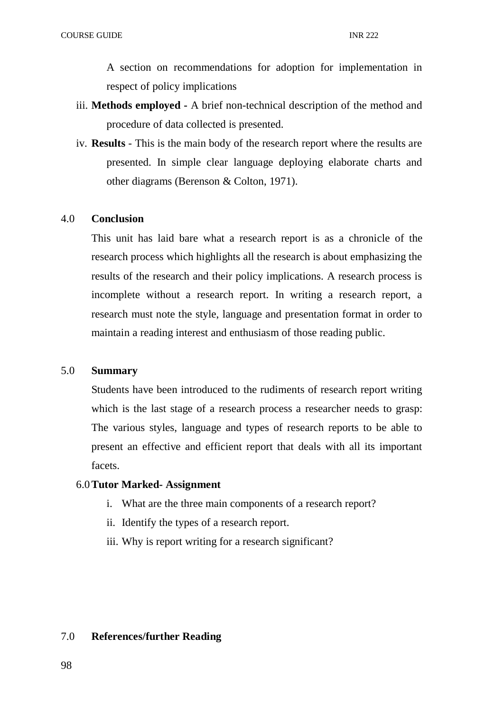A section on recommendations for adoption for implementation in respect of policy implications

- iii. **Methods employed -** A brief non-technical description of the method and procedure of data collected is presented.
- iv. **Results** This is the main body of the research report where the results are presented. In simple clear language deploying elaborate charts and other diagrams (Berenson & Colton, 1971).

## 4.0 **Conclusion**

This unit has laid bare what a research report is as a chronicle of the research process which highlights all the research is about emphasizing the results of the research and their policy implications. A research process is incomplete without a research report. In writing a research report, a research must note the style, language and presentation format in order to maintain a reading interest and enthusiasm of those reading public.

#### 5.0 **Summary**

Students have been introduced to the rudiments of research report writing which is the last stage of a research process a researcher needs to grasp: The various styles, language and types of research reports to be able to present an effective and efficient report that deals with all its important facets.

#### 6.0**Tutor Marked- Assignment**

- i. What are the three main components of a research report?
- ii. Identify the types of a research report.
- iii. Why is report writing for a research significant?

## 7.0 **References/further Reading**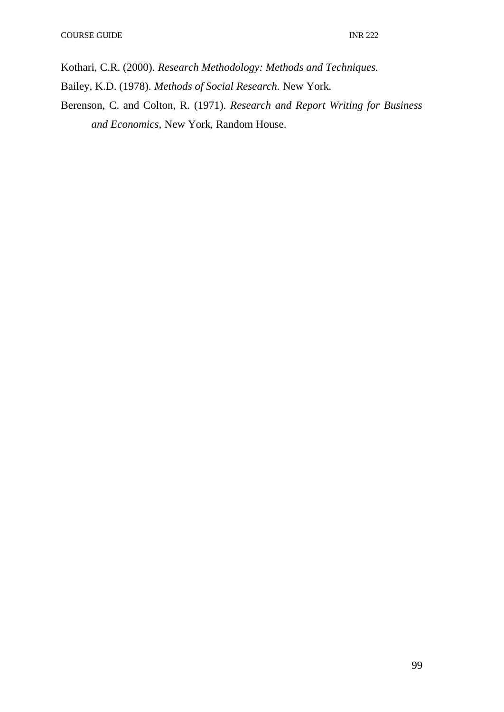Kothari, C.R. (2000). *Research Methodology: Methods and Techniques.*

- Bailey, K.D. (1978). *Methods of Social Research.* New York.
- Berenson, C. and Colton, R. (1971). *Research and Report Writing for Business and Economics,* New York, Random House.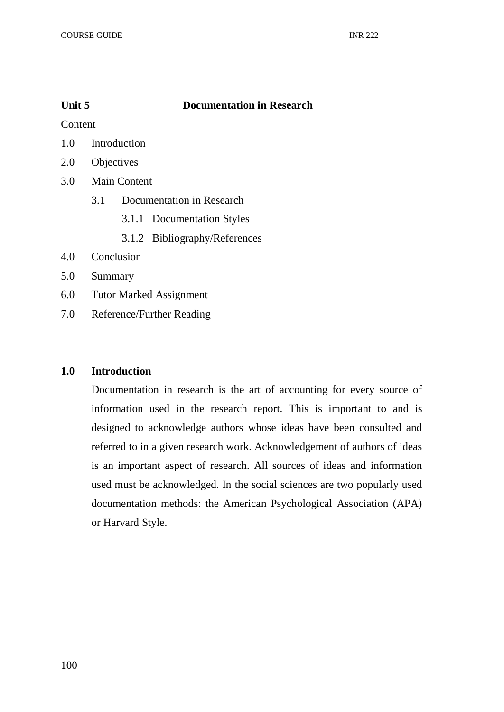# **Unit 5 Documentation in Research**

**Content** 

- 1.0 Introduction
- 2.0 Objectives
- 3.0 Main Content
	- 3.1 Documentation in Research
		- 3.1.1 Documentation Styles
		- 3.1.2 Bibliography/References
- 4.0 Conclusion
- 5.0 Summary
- 6.0 Tutor Marked Assignment
- 7.0 Reference/Further Reading

## **1.0 Introduction**

Documentation in research is the art of accounting for every source of information used in the research report. This is important to and is designed to acknowledge authors whose ideas have been consulted and referred to in a given research work. Acknowledgement of authors of ideas is an important aspect of research. All sources of ideas and information used must be acknowledged. In the social sciences are two popularly used documentation methods: the American Psychological Association (APA) or Harvard Style.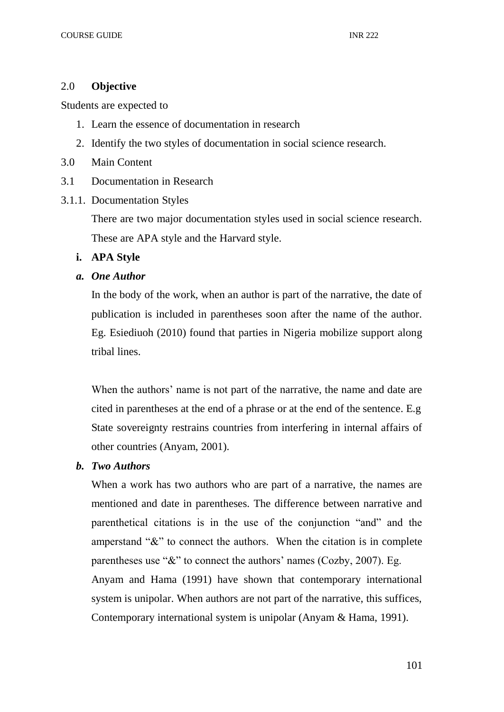# 2.0 **Objective**

Students are expected to

- 1. Learn the essence of documentation in research
- 2. Identify the two styles of documentation in social science research.
- 3.0 Main Content
- 3.1 Documentation in Research
- 3.1.1. Documentation Styles

There are two major documentation styles used in social science research. These are APA style and the Harvard style.

- **i. APA Style**
- *a. One Author*

In the body of the work, when an author is part of the narrative, the date of publication is included in parentheses soon after the name of the author. Eg. Esiediuoh (2010) found that parties in Nigeria mobilize support along tribal lines.

When the authors' name is not part of the narrative, the name and date are cited in parentheses at the end of a phrase or at the end of the sentence. E.g State sovereignty restrains countries from interfering in internal affairs of other countries (Anyam, 2001).

# *b. Two Authors*

When a work has two authors who are part of a narrative, the names are mentioned and date in parentheses. The difference between narrative and parenthetical citations is in the use of the conjunction "and" and the amperstand " $\&$ " to connect the authors. When the citation is in complete parentheses use "&" to connect the authors' names (Cozby, 2007). Eg. Anyam and Hama (1991) have shown that contemporary international system is unipolar. When authors are not part of the narrative, this suffices, Contemporary international system is unipolar (Anyam & Hama, 1991).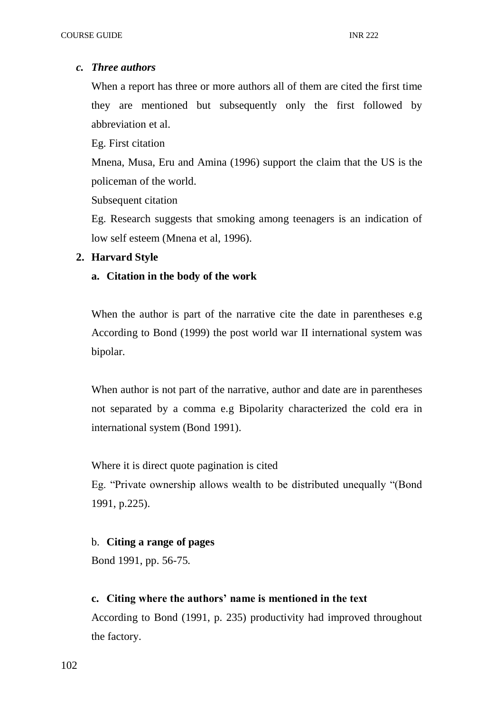# *c. Three authors*

When a report has three or more authors all of them are cited the first time they are mentioned but subsequently only the first followed by abbreviation et al.

Eg. First citation

Mnena, Musa, Eru and Amina (1996) support the claim that the US is the policeman of the world.

Subsequent citation

Eg. Research suggests that smoking among teenagers is an indication of low self esteem (Mnena et al, 1996).

# **2. Harvard Style**

# **a. Citation in the body of the work**

When the author is part of the narrative cite the date in parentheses e.g According to Bond (1999) the post world war II international system was bipolar.

When author is not part of the narrative, author and date are in parentheses not separated by a comma e.g Bipolarity characterized the cold era in international system (Bond 1991).

Where it is direct quote pagination is cited

Eg. "Private ownership allows wealth to be distributed unequally "(Bond 1991, p.225).

# b. **Citing a range of pages**

Bond 1991, pp. 56-75.

# **c. Citing where the authors' name is mentioned in the text**

According to Bond (1991, p. 235) productivity had improved throughout the factory.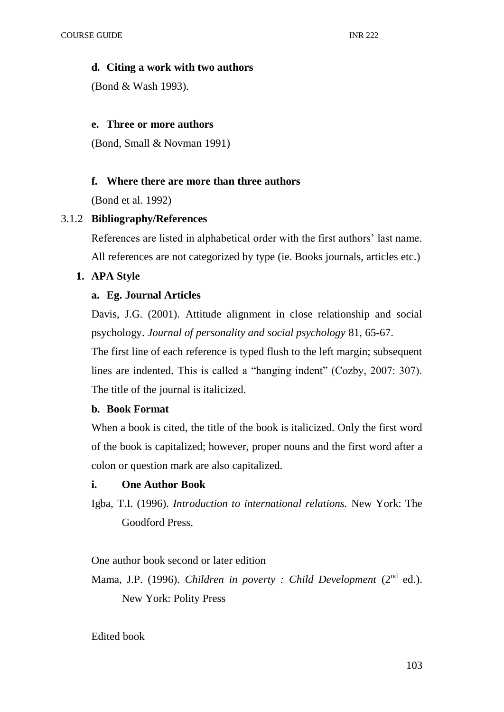## **d. Citing a work with two authors**

(Bond & Wash 1993).

## **e. Three or more authors**

(Bond, Small & Novman 1991)

# **f. Where there are more than three authors**

(Bond et al. 1992)

# 3.1.2 **Bibliography/References**

References are listed in alphabetical order with the first authors' last name. All references are not categorized by type (ie. Books journals, articles etc.)

# **1. APA Style**

# **a. Eg. Journal Articles**

Davis, J.G. (2001). Attitude alignment in close relationship and social psychology. *Journal of personality and social psychology* 81, 65-67.

The first line of each reference is typed flush to the left margin; subsequent lines are indented. This is called a "hanging indent" (Cozby, 2007: 307). The title of the journal is italicized.

## **b. Book Format**

When a book is cited, the title of the book is italicized. Only the first word of the book is capitalized; however, proper nouns and the first word after a colon or question mark are also capitalized.

## **i. One Author Book**

Igba, T.I. (1996). *Introduction to international relations.* New York: The Goodford Press.

One author book second or later edition

Mama, J.P. (1996). *Children in poverty : Child Development* (2<sup>nd</sup> ed.).

New York: Polity Press

Edited book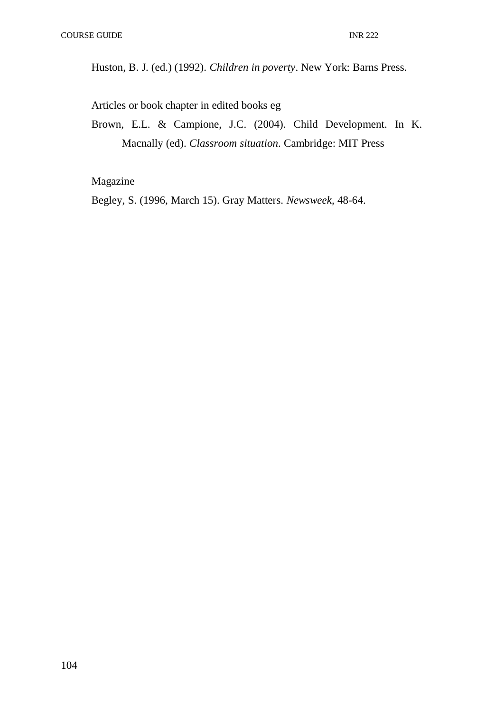Huston, B. J. (ed.) (1992). *Children in poverty*. New York: Barns Press.

Articles or book chapter in edited books eg

Brown, E.L. & Campione, J.C. (2004). Child Development. In K. Macnally (ed). *Classroom situation*. Cambridge: MIT Press

# Magazine

Begley, S. (1996, March 15). Gray Matters. *Newsweek,* 48-64.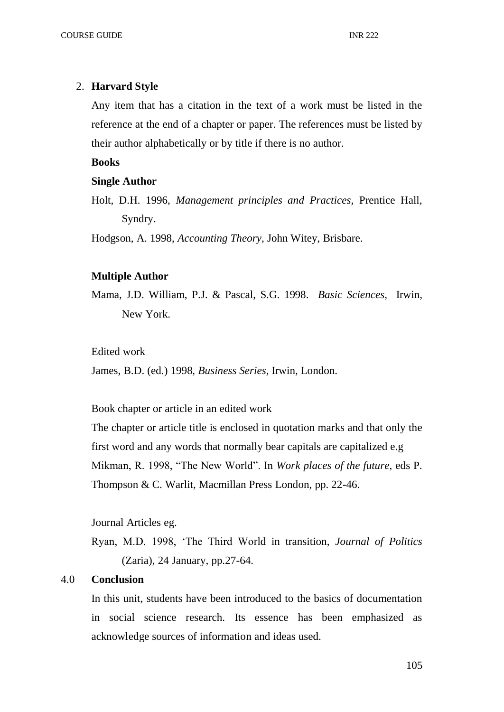#### 2. **Harvard Style**

Any item that has a citation in the text of a work must be listed in the reference at the end of a chapter or paper. The references must be listed by their author alphabetically or by title if there is no author.

### **Books**

#### **Single Author**

Holt, D.H. 1996, *Management principles and Practices,* Prentice Hall, Syndry.

Hodgson, A. 1998, *Accounting Theory*, John Witey, Brisbare.

#### **Multiple Author**

Mama, J.D. William, P.J. & Pascal, S.G. 1998. *Basic Sciences*, Irwin, New York.

#### Edited work

James, B.D. (ed.) 1998, *Business Series*, Irwin, London.

Book chapter or article in an edited work

The chapter or article title is enclosed in quotation marks and that only the first word and any words that normally bear capitals are capitalized e.g Mikman, R. 1998, "The New World". In *Work places of the future*, eds P. Thompson & C. Warlit, Macmillan Press London, pp. 22-46.

Journal Articles eg.

Ryan, M.D. 1998, 'The Third World in transition, *Journal of Politics*  (Zaria), 24 January, pp.27-64.

### 4.0 **Conclusion**

In this unit, students have been introduced to the basics of documentation in social science research. Its essence has been emphasized as acknowledge sources of information and ideas used.